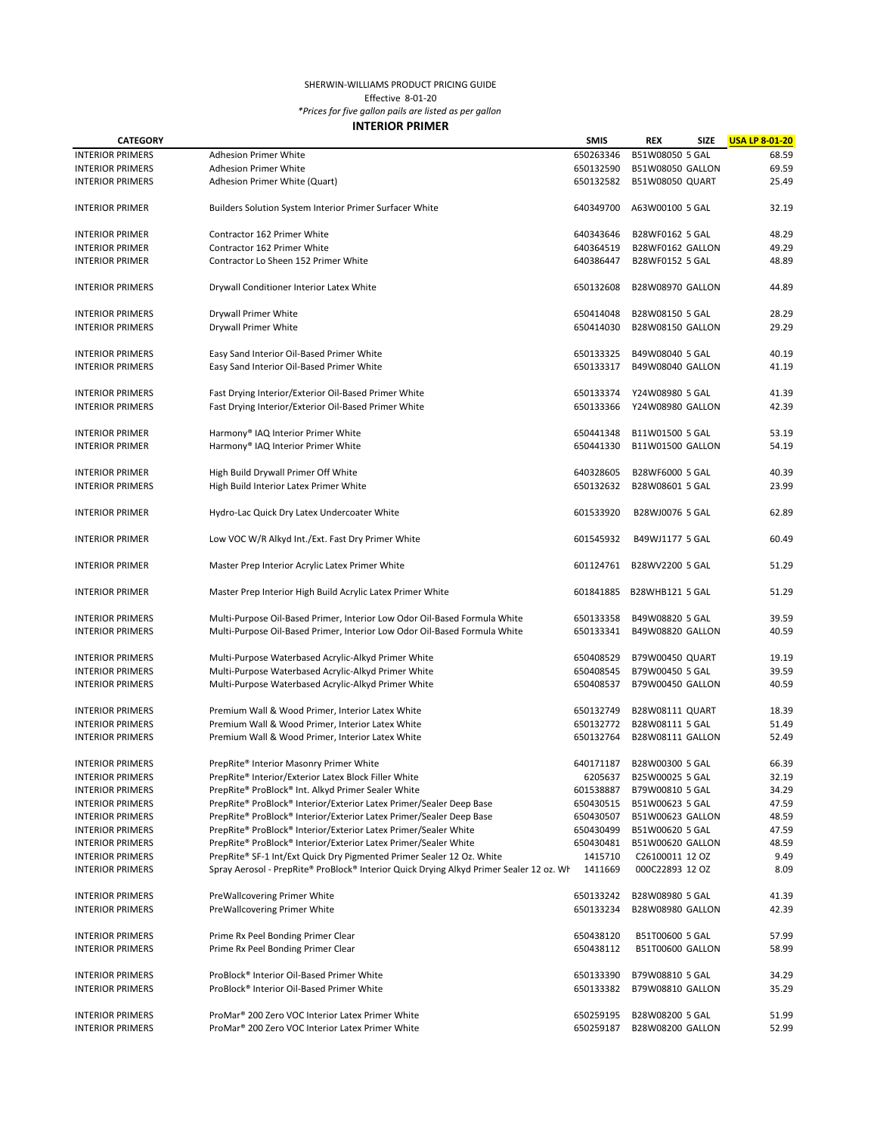## SHERWIN-WILLIAMS PRODUCT PRICING GUIDE

Effective 8-01-20

*\*Prices for five gallon pails are listed as per gallon*

## **INTERIOR PRIMER**

| <b>CATEGORY</b>                                    |                                                                                                                                                                  | <b>SMIS</b>            | <b>REX</b>                          | <b>SIZE</b> | <b>USA LP 8-01-20</b> |
|----------------------------------------------------|------------------------------------------------------------------------------------------------------------------------------------------------------------------|------------------------|-------------------------------------|-------------|-----------------------|
| <b>INTERIOR PRIMERS</b>                            | Adhesion Primer White                                                                                                                                            | 650263346              | B51W08050 5 GAL                     |             | 68.59                 |
| <b>INTERIOR PRIMERS</b>                            | <b>Adhesion Primer White</b>                                                                                                                                     | 650132590              | B51W08050 GALLON                    |             | 69.59                 |
| <b>INTERIOR PRIMERS</b>                            | Adhesion Primer White (Quart)                                                                                                                                    | 650132582              | <b>B51W08050 QUART</b>              |             | 25.49                 |
| <b>INTERIOR PRIMER</b>                             | Builders Solution System Interior Primer Surfacer White                                                                                                          | 640349700              | A63W00100 5 GAL                     |             | 32.19                 |
| <b>INTERIOR PRIMER</b>                             | Contractor 162 Primer White                                                                                                                                      | 640343646              | B28WF0162 5 GAL                     |             | 48.29                 |
| <b>INTERIOR PRIMER</b>                             | Contractor 162 Primer White                                                                                                                                      | 640364519              | B28WF0162 GALLON                    |             | 49.29                 |
| <b>INTERIOR PRIMER</b>                             | Contractor Lo Sheen 152 Primer White                                                                                                                             | 640386447              | B28WF0152 5 GAL                     |             | 48.89                 |
| <b>INTERIOR PRIMERS</b>                            | Drywall Conditioner Interior Latex White                                                                                                                         | 650132608              | <b>B28W08970 GALLON</b>             |             | 44.89                 |
| <b>INTERIOR PRIMERS</b>                            | Drywall Primer White                                                                                                                                             | 650414048              | B28W08150 5 GAL                     |             | 28.29                 |
| <b>INTERIOR PRIMERS</b>                            | Drywall Primer White                                                                                                                                             | 650414030              | <b>B28W08150 GALLON</b>             |             | 29.29                 |
| <b>INTERIOR PRIMERS</b>                            | Easy Sand Interior Oil-Based Primer White                                                                                                                        | 650133325              | B49W08040 5 GAL                     |             | 40.19                 |
| <b>INTERIOR PRIMERS</b>                            | Easy Sand Interior Oil-Based Primer White                                                                                                                        | 650133317              | B49W08040 GALLON                    |             | 41.19                 |
| <b>INTERIOR PRIMERS</b>                            | Fast Drying Interior/Exterior Oil-Based Primer White                                                                                                             | 650133374              | Y24W08980 5 GAL                     |             | 41.39                 |
| <b>INTERIOR PRIMERS</b>                            | Fast Drying Interior/Exterior Oil-Based Primer White                                                                                                             | 650133366              | Y24W08980 GALLON                    |             | 42.39                 |
| <b>INTERIOR PRIMER</b>                             | Harmony® IAQ Interior Primer White                                                                                                                               | 650441348              | B11W01500 5 GAL                     |             | 53.19                 |
| <b>INTERIOR PRIMER</b>                             | Harmony® IAQ Interior Primer White                                                                                                                               | 650441330              | B11W01500 GALLON                    |             | 54.19                 |
| <b>INTERIOR PRIMER</b>                             | High Build Drywall Primer Off White                                                                                                                              | 640328605              | B28WF6000 5 GAL                     |             | 40.39                 |
| <b>INTERIOR PRIMERS</b>                            | High Build Interior Latex Primer White                                                                                                                           | 650132632              | B28W08601 5 GAL                     |             | 23.99                 |
| <b>INTERIOR PRIMER</b>                             | Hydro-Lac Quick Dry Latex Undercoater White                                                                                                                      | 601533920              | B28WJ0076 5 GAL                     |             | 62.89                 |
| <b>INTERIOR PRIMER</b>                             | Low VOC W/R Alkyd Int./Ext. Fast Dry Primer White                                                                                                                | 601545932              | B49WJ1177 5 GAL                     |             | 60.49                 |
| <b>INTERIOR PRIMER</b>                             | Master Prep Interior Acrylic Latex Primer White                                                                                                                  | 601124761              | B28WV2200 5 GAL                     |             | 51.29                 |
| <b>INTERIOR PRIMER</b>                             | Master Prep Interior High Build Acrylic Latex Primer White                                                                                                       | 601841885              | <b>B28WHB121 5 GAL</b>              |             | 51.29                 |
|                                                    |                                                                                                                                                                  |                        |                                     |             | 39.59                 |
| <b>INTERIOR PRIMERS</b><br><b>INTERIOR PRIMERS</b> | Multi-Purpose Oil-Based Primer, Interior Low Odor Oil-Based Formula White<br>Multi-Purpose Oil-Based Primer, Interior Low Odor Oil-Based Formula White           | 650133358<br>650133341 | B49W08820 5 GAL<br>B49W08820 GALLON |             | 40.59                 |
|                                                    |                                                                                                                                                                  |                        |                                     |             |                       |
| <b>INTERIOR PRIMERS</b>                            | Multi-Purpose Waterbased Acrylic-Alkyd Primer White                                                                                                              | 650408529              | B79W00450 QUART                     |             | 19.19                 |
| <b>INTERIOR PRIMERS</b>                            | Multi-Purpose Waterbased Acrylic-Alkyd Primer White                                                                                                              | 650408545              | B79W00450 5 GAL                     |             | 39.59                 |
| <b>INTERIOR PRIMERS</b>                            | Multi-Purpose Waterbased Acrylic-Alkyd Primer White                                                                                                              | 650408537              | B79W00450 GALLON                    |             | 40.59                 |
| <b>INTERIOR PRIMERS</b>                            | Premium Wall & Wood Primer, Interior Latex White                                                                                                                 | 650132749              | B28W08111 QUART                     |             | 18.39                 |
| <b>INTERIOR PRIMERS</b>                            | Premium Wall & Wood Primer, Interior Latex White                                                                                                                 | 650132772              | B28W08111 5 GAL                     |             | 51.49                 |
| <b>INTERIOR PRIMERS</b>                            | Premium Wall & Wood Primer, Interior Latex White                                                                                                                 | 650132764              | B28W08111 GALLON                    |             | 52.49                 |
| <b>INTERIOR PRIMERS</b>                            | PrepRite® Interior Masonry Primer White                                                                                                                          | 640171187              | B28W00300 5 GAL                     |             | 66.39                 |
| <b>INTERIOR PRIMERS</b>                            | PrepRite® Interior/Exterior Latex Block Filler White                                                                                                             | 6205637                | B25W00025 5 GAL                     |             | 32.19                 |
| <b>INTERIOR PRIMERS</b>                            | PrepRite® ProBlock® Int. Alkyd Primer Sealer White                                                                                                               | 601538887              | B79W00810 5 GAL                     |             | 34.29                 |
| <b>INTERIOR PRIMERS</b>                            | PrepRite® ProBlock® Interior/Exterior Latex Primer/Sealer Deep Base                                                                                              | 650430515              | B51W00623 5 GAL                     |             | 47.59                 |
| <b>INTERIOR PRIMERS</b>                            | PrepRite® ProBlock® Interior/Exterior Latex Primer/Sealer Deep Base                                                                                              | 650430507              | B51W00623 GALLON                    |             | 48.59                 |
| <b>INTERIOR PRIMERS</b>                            | PrepRite® ProBlock® Interior/Exterior Latex Primer/Sealer White                                                                                                  | 650430499              | B51W00620 5 GAL                     |             | 47.59                 |
| <b>INTERIOR PRIMERS</b>                            | PrepRite® ProBlock® Interior/Exterior Latex Primer/Sealer White                                                                                                  | 650430481              | B51W00620 GALLON                    |             | 48.59                 |
|                                                    |                                                                                                                                                                  |                        |                                     |             |                       |
| <b>INTERIOR PRIMERS</b><br><b>INTERIOR PRIMERS</b> | PrepRite® SF-1 Int/Ext Quick Dry Pigmented Primer Sealer 12 Oz. White<br>Spray Aerosol - PrepRite® ProBlock® Interior Quick Drying Alkyd Primer Sealer 12 oz. Wh | 1415710<br>1411669     | C26100011 12 OZ<br>000C22893 12 OZ  |             | 9.49<br>8.09          |
|                                                    |                                                                                                                                                                  |                        |                                     |             |                       |
| <b>INTERIOR PRIMERS</b>                            | PreWallcovering Primer White                                                                                                                                     | 650133242              | B28W08980 5 GAL                     |             | 41.39                 |
| <b>INTERIOR PRIMERS</b>                            | PreWallcovering Primer White                                                                                                                                     | 650133234              | B28W08980 GALLON                    |             | 42.39                 |
| <b>INTERIOR PRIMERS</b>                            | Prime Rx Peel Bonding Primer Clear                                                                                                                               | 650438120              | B51T00600 5 GAL                     |             | 57.99                 |
| <b>INTERIOR PRIMERS</b>                            | Prime Rx Peel Bonding Primer Clear                                                                                                                               | 650438112              | B51T00600 GALLON                    |             | 58.99                 |
| <b>INTERIOR PRIMERS</b>                            | ProBlock® Interior Oil-Based Primer White                                                                                                                        | 650133390              | B79W08810 5 GAL                     |             | 34.29                 |
| <b>INTERIOR PRIMERS</b>                            | ProBlock® Interior Oil-Based Primer White                                                                                                                        | 650133382              | B79W08810 GALLON                    |             | 35.29                 |
| <b>INTERIOR PRIMERS</b>                            | ProMar <sup>®</sup> 200 Zero VOC Interior Latex Primer White                                                                                                     | 650259195              | B28W08200 5 GAL                     |             | 51.99                 |
| <b>INTERIOR PRIMERS</b>                            | ProMar <sup>®</sup> 200 Zero VOC Interior Latex Primer White                                                                                                     | 650259187              | <b>B28W08200 GALLON</b>             |             | 52.99                 |
|                                                    |                                                                                                                                                                  |                        |                                     |             |                       |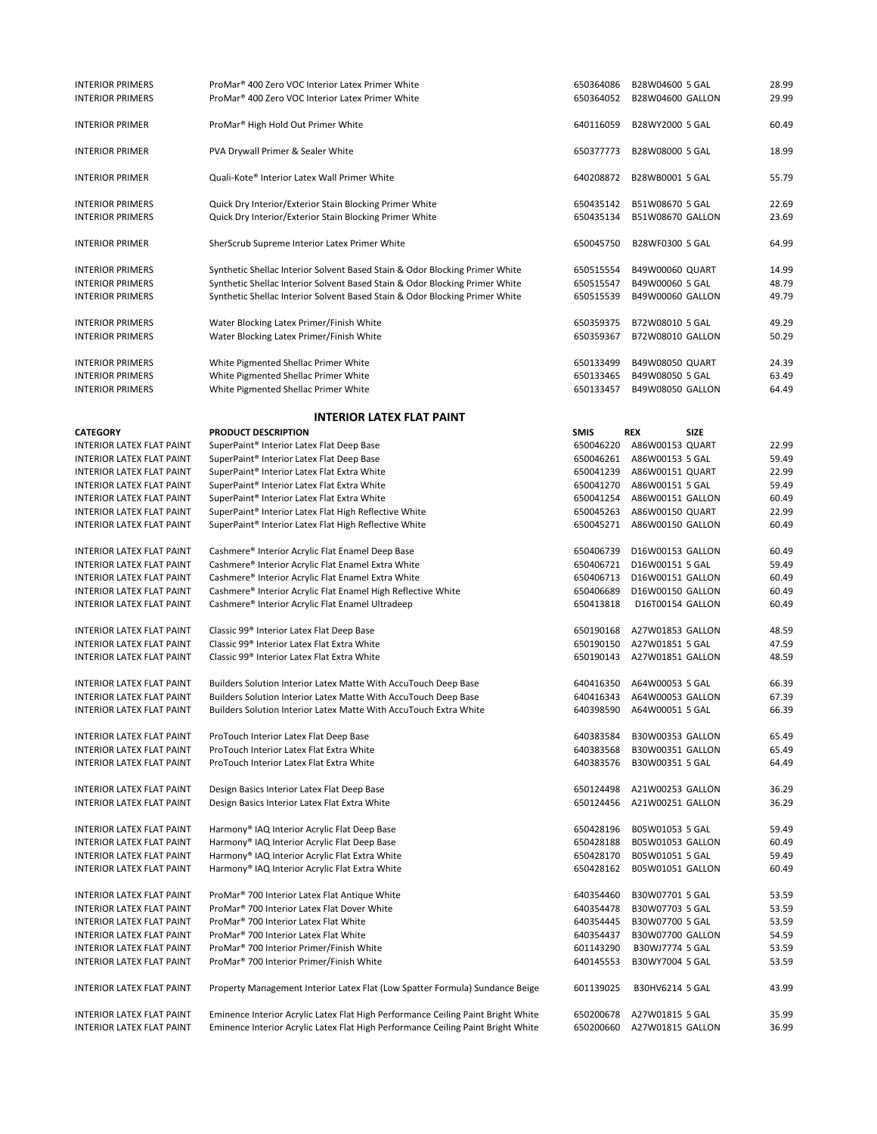| <b>INTERIOR PRIMERS</b>          | ProMar <sup>®</sup> 400 Zero VOC Interior Latex Primer White                     | 650364086   | B28W04600 5 GAL         | 28.99 |
|----------------------------------|----------------------------------------------------------------------------------|-------------|-------------------------|-------|
| <b>INTERIOR PRIMERS</b>          | ProMar <sup>®</sup> 400 Zero VOC Interior Latex Primer White                     | 650364052   | <b>B28W04600 GALLON</b> | 29.99 |
|                                  |                                                                                  |             |                         |       |
|                                  |                                                                                  |             |                         |       |
| <b>INTERIOR PRIMER</b>           | ProMar <sup>®</sup> High Hold Out Primer White                                   | 640116059   | B28WY2000 5 GAL         | 60.49 |
|                                  |                                                                                  |             |                         |       |
| <b>INTERIOR PRIMER</b>           | PVA Drywall Primer & Sealer White                                                | 650377773   | B28W08000 5 GAL         | 18.99 |
|                                  |                                                                                  |             |                         |       |
| <b>INTERIOR PRIMER</b>           | Quali-Kote® Interior Latex Wall Primer White                                     | 640208872   | B28WB0001 5 GAL         | 55.79 |
|                                  |                                                                                  |             |                         |       |
|                                  |                                                                                  |             |                         |       |
| <b>INTERIOR PRIMERS</b>          | Quick Dry Interior/Exterior Stain Blocking Primer White                          | 650435142   | B51W08670 5 GAL         | 22.69 |
| <b>INTERIOR PRIMERS</b>          | Quick Dry Interior/Exterior Stain Blocking Primer White                          | 650435134   | B51W08670 GALLON        | 23.69 |
|                                  |                                                                                  |             |                         |       |
| <b>INTERIOR PRIMER</b>           | SherScrub Supreme Interior Latex Primer White                                    | 650045750   | B28WF0300 5 GAL         | 64.99 |
|                                  |                                                                                  |             |                         |       |
| <b>INTERIOR PRIMERS</b>          | Synthetic Shellac Interior Solvent Based Stain & Odor Blocking Primer White      | 650515554   | B49W00060 QUART         | 14.99 |
|                                  |                                                                                  |             |                         |       |
| <b>INTERIOR PRIMERS</b>          | Synthetic Shellac Interior Solvent Based Stain & Odor Blocking Primer White      | 650515547   | B49W00060 5 GAL         | 48.79 |
| <b>INTERIOR PRIMERS</b>          | Synthetic Shellac Interior Solvent Based Stain & Odor Blocking Primer White      | 650515539   | B49W00060 GALLON        | 49.79 |
|                                  |                                                                                  |             |                         |       |
| <b>INTERIOR PRIMERS</b>          | Water Blocking Latex Primer/Finish White                                         | 650359375   | B72W08010 5 GAL         | 49.29 |
| <b>INTERIOR PRIMERS</b>          | Water Blocking Latex Primer/Finish White                                         | 650359367   | <b>B72W08010 GALLON</b> | 50.29 |
|                                  |                                                                                  |             |                         |       |
|                                  |                                                                                  |             | B49W08050 QUART         | 24.39 |
| <b>INTERIOR PRIMERS</b>          | White Pigmented Shellac Primer White                                             | 650133499   |                         |       |
| <b>INTERIOR PRIMERS</b>          | White Pigmented Shellac Primer White                                             | 650133465   | B49W08050 5 GAL         | 63.49 |
| <b>INTERIOR PRIMERS</b>          | White Pigmented Shellac Primer White                                             | 650133457   | B49W08050 GALLON        | 64.49 |
|                                  |                                                                                  |             |                         |       |
|                                  | <b>INTERIOR LATEX FLAT PAINT</b>                                                 |             |                         |       |
|                                  |                                                                                  |             |                         |       |
| <b>CATEGORY</b>                  | PRODUCT DESCRIPTION                                                              | <b>SMIS</b> | REX<br>SIZE             |       |
| <b>INTERIOR LATEX FLAT PAINT</b> | SuperPaint® Interior Latex Flat Deep Base                                        | 650046220   | A86W00153 QUART         | 22.99 |
| <b>INTERIOR LATEX FLAT PAINT</b> | SuperPaint® Interior Latex Flat Deep Base                                        | 650046261   | A86W00153 5 GAL         | 59.49 |
| INTERIOR LATEX FLAT PAINT        | SuperPaint® Interior Latex Flat Extra White                                      | 650041239   | A86W00151 QUART         | 22.99 |
| <b>INTERIOR LATEX FLAT PAINT</b> | SuperPaint® Interior Latex Flat Extra White                                      | 650041270   | A86W00151 5 GAL         | 59.49 |
|                                  |                                                                                  |             |                         |       |
| <b>INTERIOR LATEX FLAT PAINT</b> | SuperPaint® Interior Latex Flat Extra White                                      | 650041254   | A86W00151 GALLON        | 60.49 |
| <b>INTERIOR LATEX FLAT PAINT</b> | SuperPaint® Interior Latex Flat High Reflective White                            | 650045263   | A86W00150 QUART         | 22.99 |
| <b>INTERIOR LATEX FLAT PAINT</b> | SuperPaint® Interior Latex Flat High Reflective White                            | 650045271   | A86W00150 GALLON        | 60.49 |
|                                  |                                                                                  |             |                         |       |
| INTERIOR LATEX FLAT PAINT        | Cashmere® Interior Acrylic Flat Enamel Deep Base                                 | 650406739   | D16W00153 GALLON        | 60.49 |
| <b>INTERIOR LATEX FLAT PAINT</b> | Cashmere® Interior Acrylic Flat Enamel Extra White                               | 650406721   | D16W00151 5 GAL         | 59.49 |
|                                  |                                                                                  |             |                         | 60.49 |
| INTERIOR LATEX FLAT PAINT        | Cashmere® Interior Acrylic Flat Enamel Extra White                               | 650406713   | D16W00151 GALLON        |       |
| <b>INTERIOR LATEX FLAT PAINT</b> | Cashmere® Interior Acrylic Flat Enamel High Reflective White                     | 650406689   | D16W00150 GALLON        | 60.49 |
| <b>INTERIOR LATEX FLAT PAINT</b> | Cashmere® Interior Acrylic Flat Enamel Ultradeep                                 | 650413818   | D16T00154 GALLON        | 60.49 |
|                                  |                                                                                  |             |                         |       |
| <b>INTERIOR LATEX FLAT PAINT</b> | Classic 99 <sup>®</sup> Interior Latex Flat Deep Base                            | 650190168   | A27W01853 GALLON        | 48.59 |
| <b>INTERIOR LATEX FLAT PAINT</b> | Classic 99 <sup>®</sup> Interior Latex Flat Extra White                          | 650190150   | A27W01851 5 GAL         | 47.59 |
| <b>INTERIOR LATEX FLAT PAINT</b> | Classic 99 <sup>®</sup> Interior Latex Flat Extra White                          | 650190143   | A27W01851 GALLON        | 48.59 |
|                                  |                                                                                  |             |                         |       |
|                                  |                                                                                  |             |                         |       |
| <b>INTERIOR LATEX FLAT PAINT</b> | Builders Solution Interior Latex Matte With AccuTouch Deep Base                  | 640416350   | A64W00053 5 GAL         | 66.39 |
| <b>INTERIOR LATEX FLAT PAINT</b> | Builders Solution Interior Latex Matte With AccuTouch Deep Base                  | 640416343   | A64W00053 GALLON        | 67.39 |
| <b>INTERIOR LATEX FLAT PAINT</b> | Builders Solution Interior Latex Matte With AccuTouch Extra White                | 640398590   | A64W00051 5 GAL         | 66.39 |
|                                  |                                                                                  |             |                         |       |
| INTERIOR LATEX FLAT PAINT        | ProTouch Interior Latex Flat Deep Base                                           | 640383584   | B30W00353 GALLON        | 65.49 |
|                                  |                                                                                  |             |                         |       |
| <b>INTERIOR LATEX FLAT PAINT</b> | ProTouch Interior Latex Flat Extra White                                         | 640383568   | B30W00351 GALLON        | 65.49 |
| INTERIOR LATEX FLAT PAINT        | ProTouch Interior Latex Flat Extra White                                         | 640383576   | B30W00351 5 GAL         | 64.49 |
|                                  |                                                                                  |             |                         |       |
| INTERIOR LATEX FLAT PAINT        | Design Basics Interior Latex Flat Deep Base                                      | 650124498   | A21W00253 GALLON        | 36.29 |
| INTERIOR LATEX FLAT PAINT        | Design Basics Interior Latex Flat Extra White                                    | 650124456   | A21W00251 GALLON        | 36.29 |
|                                  |                                                                                  |             |                         |       |
|                                  |                                                                                  |             |                         |       |
| INTERIOR LATEX FLAT PAINT        | Harmony® IAQ Interior Acrylic Flat Deep Base                                     | 650428196   | B05W01053 5 GAL         | 59.49 |
| INTERIOR LATEX FLAT PAINT        | Harmony® IAQ Interior Acrylic Flat Deep Base                                     | 650428188   | B05W01053 GALLON        | 60.49 |
| INTERIOR LATEX FLAT PAINT        | Harmony® IAQ Interior Acrylic Flat Extra White                                   | 650428170   | B05W01051 5 GAL         | 59.49 |
| INTERIOR LATEX FLAT PAINT        | Harmony® IAQ Interior Acrylic Flat Extra White                                   | 650428162   | B05W01051 GALLON        | 60.49 |
|                                  |                                                                                  |             |                         |       |
| <b>INTERIOR LATEX FLAT PAINT</b> |                                                                                  |             | B30W07701 5 GAL         |       |
|                                  | ProMar <sup>®</sup> 700 Interior Latex Flat Antique White                        | 640354460   |                         | 53.59 |
| INTERIOR LATEX FLAT PAINT        | ProMar <sup>®</sup> 700 Interior Latex Flat Dover White                          | 640354478   | B30W07703 5 GAL         | 53.59 |
| <b>INTERIOR LATEX FLAT PAINT</b> | ProMar <sup>®</sup> 700 Interior Latex Flat White                                | 640354445   | B30W07700 5 GAL         | 53.59 |
| <b>INTERIOR LATEX FLAT PAINT</b> | ProMar <sup>®</sup> 700 Interior Latex Flat White                                | 640354437   | B30W07700 GALLON        | 54.59 |
| INTERIOR LATEX FLAT PAINT        | ProMar <sup>®</sup> 700 Interior Primer/Finish White                             | 601143290   | B30WJ7774 5 GAL         | 53.59 |
| INTERIOR LATEX FLAT PAINT        | ProMar <sup>®</sup> 700 Interior Primer/Finish White                             | 640145553   | B30WY7004 5 GAL         | 53.59 |
|                                  |                                                                                  |             |                         |       |
|                                  |                                                                                  |             |                         |       |
| INTERIOR LATEX FLAT PAINT        | Property Management Interior Latex Flat (Low Spatter Formula) Sundance Beige     | 601139025   | B30HV6214 5 GAL         | 43.99 |
|                                  |                                                                                  |             |                         |       |
| INTERIOR LATEX FLAT PAINT        | Eminence Interior Acrylic Latex Flat High Performance Ceiling Paint Bright White | 650200678   | A27W01815 5 GAL         | 35.99 |
| INTERIOR LATEX FLAT PAINT        | Eminence Interior Acrylic Latex Flat High Performance Ceiling Paint Bright White | 650200660   | A27W01815 GALLON        | 36.99 |
|                                  |                                                                                  |             |                         |       |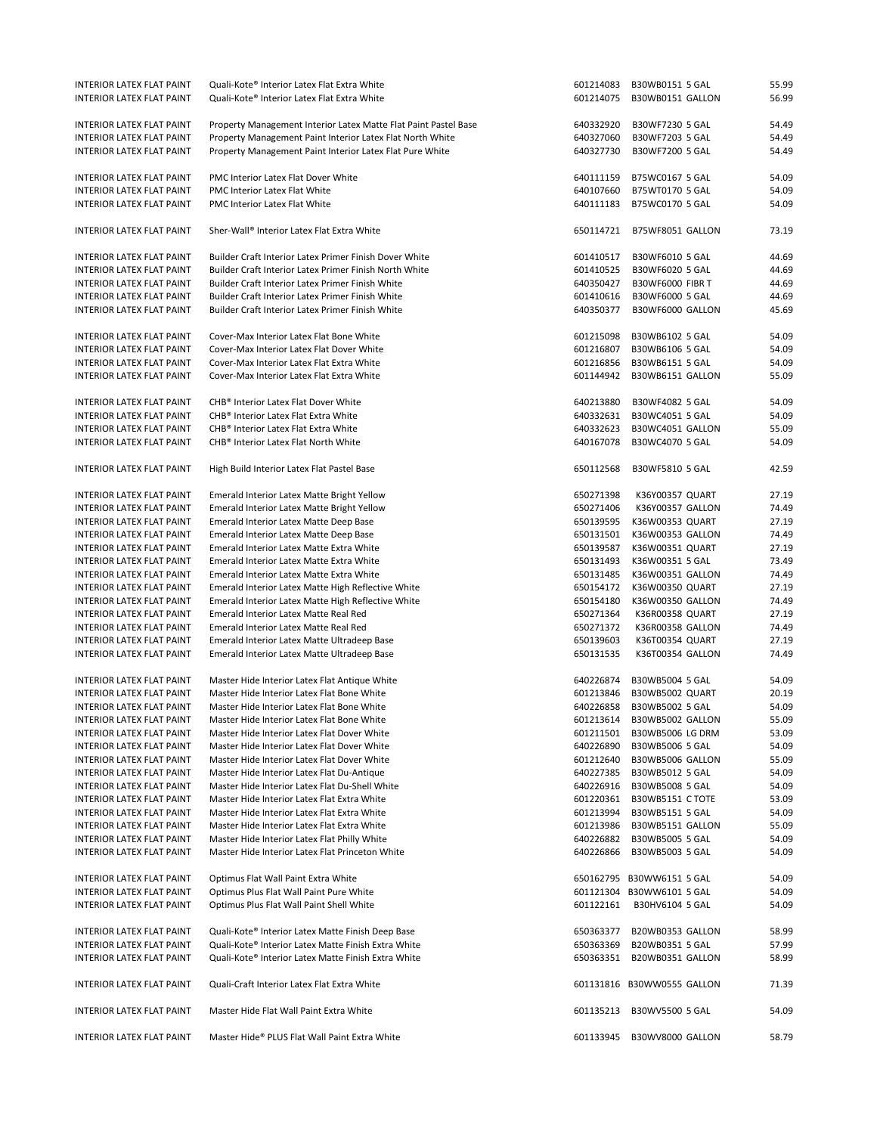| INTERIOR LATEX FLAT PAINT        | Quali-Kote® Interior Latex Flat Extra White                     | 601214083 | B30WB0151 5 GAL            | 55.99 |
|----------------------------------|-----------------------------------------------------------------|-----------|----------------------------|-------|
| INTERIOR LATEX FLAT PAINT        | Quali-Kote® Interior Latex Flat Extra White                     | 601214075 | B30WB0151 GALLON           | 56.99 |
|                                  |                                                                 |           |                            |       |
|                                  |                                                                 |           |                            |       |
| INTERIOR LATEX FLAT PAINT        | Property Management Interior Latex Matte Flat Paint Pastel Base | 640332920 | B30WF7230 5 GAL            | 54.49 |
| INTERIOR LATEX FLAT PAINT        | Property Management Paint Interior Latex Flat North White       | 640327060 | B30WF7203 5 GAL            | 54.49 |
| INTERIOR LATEX FLAT PAINT        | Property Management Paint Interior Latex Flat Pure White        | 640327730 | B30WF7200 5 GAL            | 54.49 |
|                                  |                                                                 |           |                            |       |
| INTERIOR LATEX FLAT PAINT        | PMC Interior Latex Flat Dover White                             | 640111159 | B75WC0167 5 GAL            | 54.09 |
| INTERIOR LATEX FLAT PAINT        | PMC Interior Latex Flat White                                   | 640107660 | B75WT0170 5 GAL            | 54.09 |
|                                  | PMC Interior Latex Flat White                                   | 640111183 |                            | 54.09 |
| INTERIOR LATEX FLAT PAINT        |                                                                 |           | B75WC0170 5 GAL            |       |
|                                  |                                                                 |           |                            |       |
| INTERIOR LATEX FLAT PAINT        | Sher-Wall® Interior Latex Flat Extra White                      | 650114721 | B75WF8051 GALLON           | 73.19 |
|                                  |                                                                 |           |                            |       |
| <b>INTERIOR LATEX FLAT PAINT</b> | Builder Craft Interior Latex Primer Finish Dover White          | 601410517 | B30WF6010 5 GAL            | 44.69 |
| <b>INTERIOR LATEX FLAT PAINT</b> | Builder Craft Interior Latex Primer Finish North White          | 601410525 | B30WF6020 5 GAL            | 44.69 |
| INTERIOR LATEX FLAT PAINT        | Builder Craft Interior Latex Primer Finish White                | 640350427 | B30WF6000 FIBR T           | 44.69 |
| <b>INTERIOR LATEX FLAT PAINT</b> | Builder Craft Interior Latex Primer Finish White                | 601410616 | B30WF6000 5 GAL            | 44.69 |
| <b>INTERIOR LATEX FLAT PAINT</b> | Builder Craft Interior Latex Primer Finish White                | 640350377 | B30WF6000 GALLON           | 45.69 |
|                                  |                                                                 |           |                            |       |
|                                  |                                                                 |           |                            |       |
| INTERIOR LATEX FLAT PAINT        | Cover-Max Interior Latex Flat Bone White                        | 601215098 | B30WB6102 5 GAL            | 54.09 |
| INTERIOR LATEX FLAT PAINT        | Cover-Max Interior Latex Flat Dover White                       | 601216807 | B30WB6106 5 GAL            | 54.09 |
| INTERIOR LATEX FLAT PAINT        | Cover-Max Interior Latex Flat Extra White                       | 601216856 | B30WB6151 5 GAL            | 54.09 |
| INTERIOR LATEX FLAT PAINT        | Cover-Max Interior Latex Flat Extra White                       | 601144942 | B30WB6151 GALLON           | 55.09 |
|                                  |                                                                 |           |                            |       |
| <b>INTERIOR LATEX FLAT PAINT</b> | CHB <sup>®</sup> Interior Latex Flat Dover White                | 640213880 | B30WF4082 5 GAL            | 54.09 |
| <b>INTERIOR LATEX FLAT PAINT</b> | CHB <sup>®</sup> Interior Latex Flat Extra White                | 640332631 | B30WC4051 5 GAL            | 54.09 |
|                                  |                                                                 |           |                            |       |
| INTERIOR LATEX FLAT PAINT        | CHB <sup>®</sup> Interior Latex Flat Extra White                | 640332623 | B30WC4051 GALLON           | 55.09 |
| INTERIOR LATEX FLAT PAINT        | CHB <sup>®</sup> Interior Latex Flat North White                | 640167078 | B30WC4070 5 GAL            | 54.09 |
|                                  |                                                                 |           |                            |       |
| <b>INTERIOR LATEX FLAT PAINT</b> | High Build Interior Latex Flat Pastel Base                      | 650112568 | B30WF5810 5 GAL            | 42.59 |
|                                  |                                                                 |           |                            |       |
| INTERIOR LATEX FLAT PAINT        | Emerald Interior Latex Matte Bright Yellow                      | 650271398 | K36Y00357 QUART            | 27.19 |
| INTERIOR LATEX FLAT PAINT        | Emerald Interior Latex Matte Bright Yellow                      | 650271406 | K36Y00357 GALLON           | 74.49 |
|                                  |                                                                 |           |                            |       |
| INTERIOR LATEX FLAT PAINT        | Emerald Interior Latex Matte Deep Base                          | 650139595 | K36W00353 QUART            | 27.19 |
| INTERIOR LATEX FLAT PAINT        | Emerald Interior Latex Matte Deep Base                          | 650131501 | K36W00353 GALLON           | 74.49 |
| <b>INTERIOR LATEX FLAT PAINT</b> | Emerald Interior Latex Matte Extra White                        | 650139587 | K36W00351 QUART            | 27.19 |
| INTERIOR LATEX FLAT PAINT        | Emerald Interior Latex Matte Extra White                        | 650131493 | K36W00351 5 GAL            | 73.49 |
| INTERIOR LATEX FLAT PAINT        | Emerald Interior Latex Matte Extra White                        | 650131485 | K36W00351 GALLON           | 74.49 |
| INTERIOR LATEX FLAT PAINT        | Emerald Interior Latex Matte High Reflective White              | 650154172 | K36W00350 QUART            | 27.19 |
| INTERIOR LATEX FLAT PAINT        | Emerald Interior Latex Matte High Reflective White              | 650154180 | K36W00350 GALLON           | 74.49 |
| INTERIOR LATEX FLAT PAINT        | Emerald Interior Latex Matte Real Red                           | 650271364 | K36R00358 QUART            | 27.19 |
|                                  |                                                                 |           |                            |       |
| INTERIOR LATEX FLAT PAINT        | Emerald Interior Latex Matte Real Red                           | 650271372 | K36R00358 GALLON           | 74.49 |
| INTERIOR LATEX FLAT PAINT        | Emerald Interior Latex Matte Ultradeep Base                     | 650139603 | K36T00354 QUART            | 27.19 |
| <b>INTERIOR LATEX FLAT PAINT</b> | Emerald Interior Latex Matte Ultradeep Base                     | 650131535 | K36T00354 GALLON           | 74.49 |
|                                  |                                                                 |           |                            |       |
| INTERIOR LATEX FLAT PAINT        | Master Hide Interior Latex Flat Antique White                   | 640226874 | B30WB5004 5 GAL            | 54.09 |
| INTERIOR LATEX FLAT PAINT        | Master Hide Interior Latex Flat Bone White                      | 601213846 | B30WB5002 QUART            | 20.19 |
| <b>INTERIOR LATEX FLAT PAINT</b> | Master Hide Interior Latex Flat Bone White                      | 640226858 | B30WB5002 5 GAL            | 54.09 |
| INTERIOR LATEX FLAT PAINT        | Master Hide Interior Latex Flat Bone White                      |           | 601213614 B30WB5002 GALLON | 55.09 |
|                                  |                                                                 |           |                            |       |
| INTERIOR LATEX FLAT PAINT        | Master Hide Interior Latex Flat Dover White                     |           | 601211501 B30WB5006 LG DRM | 53.09 |
| INTERIOR LATEX FLAT PAINT        | Master Hide Interior Latex Flat Dover White                     | 640226890 | B30WB5006 5 GAL            | 54.09 |
| INTERIOR LATEX FLAT PAINT        | Master Hide Interior Latex Flat Dover White                     | 601212640 | B30WB5006 GALLON           | 55.09 |
| INTERIOR LATEX FLAT PAINT        | Master Hide Interior Latex Flat Du-Antique                      | 640227385 | B30WB5012 5 GAL            | 54.09 |
| INTERIOR LATEX FLAT PAINT        | Master Hide Interior Latex Flat Du-Shell White                  | 640226916 | B30WB5008 5 GAL            | 54.09 |
| INTERIOR LATEX FLAT PAINT        | Master Hide Interior Latex Flat Extra White                     | 601220361 | B30WB5151 C TOTE           | 53.09 |
| INTERIOR LATEX FLAT PAINT        | Master Hide Interior Latex Flat Extra White                     | 601213994 | B30WB5151 5 GAL            | 54.09 |
|                                  |                                                                 |           |                            | 55.09 |
| INTERIOR LATEX FLAT PAINT        | Master Hide Interior Latex Flat Extra White                     | 601213986 | B30WB5151 GALLON           |       |
| INTERIOR LATEX FLAT PAINT        | Master Hide Interior Latex Flat Philly White                    | 640226882 | B30WB5005 5 GAL            | 54.09 |
| INTERIOR LATEX FLAT PAINT        | Master Hide Interior Latex Flat Princeton White                 | 640226866 | B30WB5003 5 GAL            | 54.09 |
|                                  |                                                                 |           |                            |       |
| INTERIOR LATEX FLAT PAINT        | Optimus Flat Wall Paint Extra White                             |           | 650162795 B30WW6151 5 GAL  | 54.09 |
| INTERIOR LATEX FLAT PAINT        | Optimus Plus Flat Wall Paint Pure White                         |           | 601121304 B30WW6101 5 GAL  | 54.09 |
| INTERIOR LATEX FLAT PAINT        | Optimus Plus Flat Wall Paint Shell White                        | 601122161 | B30HV6104 5 GAL            | 54.09 |
|                                  |                                                                 |           |                            |       |
|                                  |                                                                 |           |                            |       |
| INTERIOR LATEX FLAT PAINT        | Quali-Kote® Interior Latex Matte Finish Deep Base               | 650363377 | B20WB0353 GALLON           | 58.99 |
| <b>INTERIOR LATEX FLAT PAINT</b> | Quali-Kote® Interior Latex Matte Finish Extra White             | 650363369 | B20WB0351 5 GAL            | 57.99 |
| <b>INTERIOR LATEX FLAT PAINT</b> | Quali-Kote® Interior Latex Matte Finish Extra White             |           | 650363351 B20WB0351 GALLON | 58.99 |
|                                  |                                                                 |           |                            |       |
| INTERIOR LATEX FLAT PAINT        | Quali-Craft Interior Latex Flat Extra White                     |           | 601131816 B30WW0555 GALLON | 71.39 |
|                                  |                                                                 |           |                            |       |
| INTERIOR LATEX FLAT PAINT        | Master Hide Flat Wall Paint Extra White                         | 601135213 | B30WV5500 5 GAL            | 54.09 |
|                                  |                                                                 |           |                            |       |
|                                  |                                                                 |           |                            |       |
| <b>INTERIOR LATEX FLAT PAINT</b> | Master Hide® PLUS Flat Wall Paint Extra White                   | 601133945 | B30WV8000 GALLON           | 58.79 |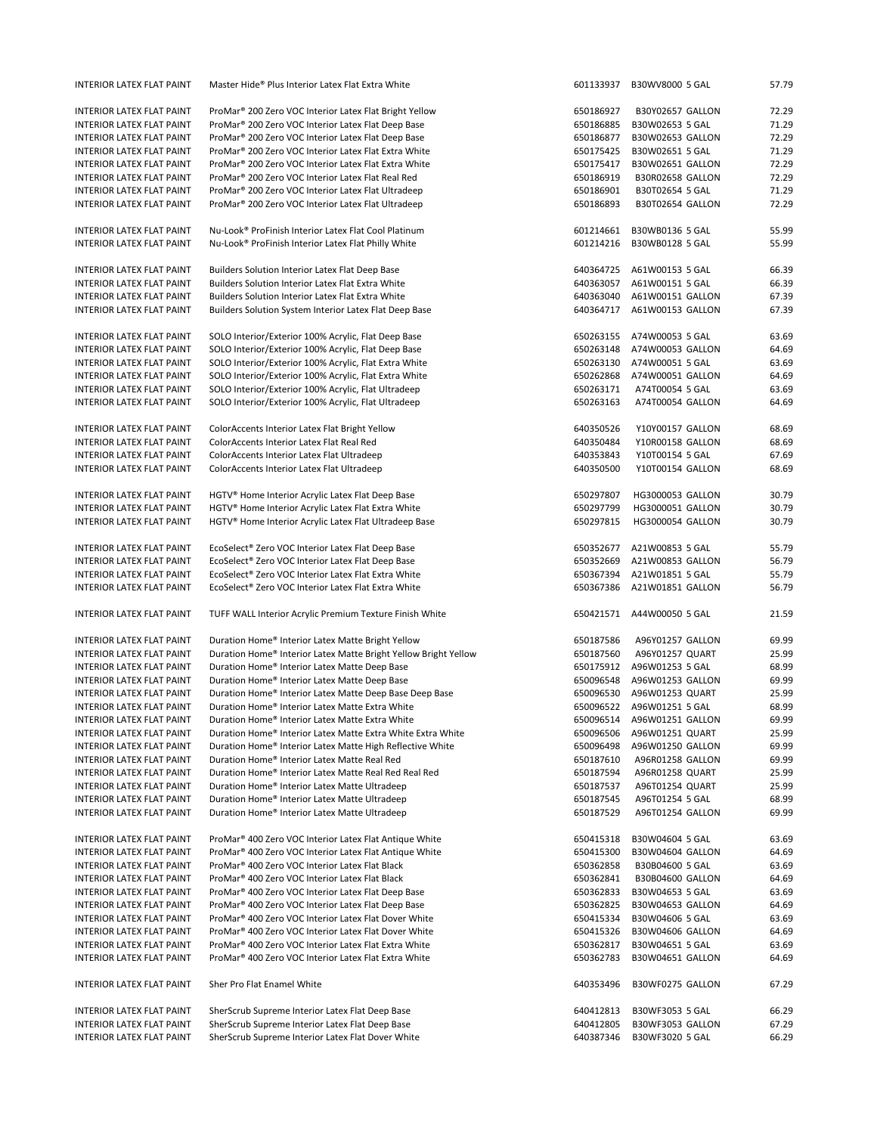| <b>INTERIOR LATEX FLAT PAINT</b>                              | Master Hide® Plus Interior Latex Flat Extra White                                                    | 601133937              | B30WV8000 5 GAL                     | 57.79          |
|---------------------------------------------------------------|------------------------------------------------------------------------------------------------------|------------------------|-------------------------------------|----------------|
| INTERIOR LATEX FLAT PAINT                                     | ProMar <sup>®</sup> 200 Zero VOC Interior Latex Flat Bright Yellow                                   | 650186927              | B30Y02657 GALLON                    | 72.29          |
| <b>INTERIOR LATEX FLAT PAINT</b>                              | ProMar <sup>®</sup> 200 Zero VOC Interior Latex Flat Deep Base                                       | 650186885              | B30W02653 5 GAL                     | 71.29          |
| <b>INTERIOR LATEX FLAT PAINT</b>                              | ProMar <sup>®</sup> 200 Zero VOC Interior Latex Flat Deep Base                                       | 650186877              | B30W02653 GALLON                    | 72.29          |
| INTERIOR LATEX FLAT PAINT                                     | ProMar <sup>®</sup> 200 Zero VOC Interior Latex Flat Extra White                                     | 650175425              | B30W02651 5 GAL                     | 71.29          |
|                                                               |                                                                                                      |                        |                                     |                |
| INTERIOR LATEX FLAT PAINT                                     | ProMar <sup>®</sup> 200 Zero VOC Interior Latex Flat Extra White                                     | 650175417              | B30W02651 GALLON                    | 72.29          |
| <b>INTERIOR LATEX FLAT PAINT</b>                              | ProMar <sup>®</sup> 200 Zero VOC Interior Latex Flat Real Red                                        | 650186919              | B30R02658 GALLON                    | 72.29          |
| INTERIOR LATEX FLAT PAINT                                     | ProMar <sup>®</sup> 200 Zero VOC Interior Latex Flat Ultradeep                                       | 650186901              | B30T02654 5 GAL                     | 71.29          |
| INTERIOR LATEX FLAT PAINT                                     | ProMar <sup>®</sup> 200 Zero VOC Interior Latex Flat Ultradeep                                       | 650186893              | B30T02654 GALLON                    | 72.29          |
| <b>INTERIOR LATEX FLAT PAINT</b>                              | Nu-Look® ProFinish Interior Latex Flat Cool Platinum                                                 | 601214661              | B30WB0136 5 GAL                     | 55.99          |
| <b>INTERIOR LATEX FLAT PAINT</b>                              | Nu-Look® ProFinish Interior Latex Flat Philly White                                                  | 601214216              | B30WB0128 5 GAL                     | 55.99          |
|                                                               |                                                                                                      |                        |                                     |                |
| INTERIOR LATEX FLAT PAINT                                     | Builders Solution Interior Latex Flat Deep Base                                                      | 640364725              | A61W00153 5 GAL                     | 66.39          |
| <b>INTERIOR LATEX FLAT PAINT</b>                              | <b>Builders Solution Interior Latex Flat Extra White</b>                                             | 640363057              | A61W00151 5 GAL                     | 66.39          |
| <b>INTERIOR LATEX FLAT PAINT</b>                              | <b>Builders Solution Interior Latex Flat Extra White</b>                                             | 640363040              | A61W00151 GALLON                    | 67.39          |
| <b>INTERIOR LATEX FLAT PAINT</b>                              | Builders Solution System Interior Latex Flat Deep Base                                               | 640364717              | A61W00153 GALLON                    | 67.39          |
| INTERIOR LATEX FLAT PAINT                                     | SOLO Interior/Exterior 100% Acrylic, Flat Deep Base                                                  | 650263155              | A74W00053 5 GAL                     | 63.69          |
| <b>INTERIOR LATEX FLAT PAINT</b>                              | SOLO Interior/Exterior 100% Acrylic, Flat Deep Base                                                  | 650263148              | A74W00053 GALLON                    | 64.69          |
| <b>INTERIOR LATEX FLAT PAINT</b>                              | SOLO Interior/Exterior 100% Acrylic, Flat Extra White                                                | 650263130              | A74W00051 5 GAL                     | 63.69          |
|                                                               | SOLO Interior/Exterior 100% Acrylic, Flat Extra White                                                | 650262868              | A74W00051 GALLON                    | 64.69          |
| INTERIOR LATEX FLAT PAINT                                     |                                                                                                      |                        |                                     |                |
| INTERIOR LATEX FLAT PAINT                                     | SOLO Interior/Exterior 100% Acrylic, Flat Ultradeep                                                  | 650263171              | A74T00054 5 GAL                     | 63.69          |
| <b>INTERIOR LATEX FLAT PAINT</b>                              | SOLO Interior/Exterior 100% Acrylic, Flat Ultradeep                                                  | 650263163              | A74T00054 GALLON                    | 64.69          |
| <b>INTERIOR LATEX FLAT PAINT</b>                              | ColorAccents Interior Latex Flat Bright Yellow                                                       | 640350526              | Y10Y00157 GALLON                    | 68.69          |
| INTERIOR LATEX FLAT PAINT                                     | ColorAccents Interior Latex Flat Real Red                                                            | 640350484              | Y10R00158 GALLON                    | 68.69          |
| <b>INTERIOR LATEX FLAT PAINT</b>                              | ColorAccents Interior Latex Flat Ultradeep                                                           | 640353843              | Y10T00154 5 GAL                     | 67.69          |
| <b>INTERIOR LATEX FLAT PAINT</b>                              | ColorAccents Interior Latex Flat Ultradeep                                                           | 640350500              | Y10T00154 GALLON                    | 68.69          |
|                                                               |                                                                                                      |                        |                                     |                |
| INTERIOR LATEX FLAT PAINT                                     | HGTV <sup>®</sup> Home Interior Acrylic Latex Flat Deep Base                                         | 650297807              | HG3000053 GALLON                    | 30.79          |
| INTERIOR LATEX FLAT PAINT                                     | HGTV® Home Interior Acrylic Latex Flat Extra White                                                   | 650297799              | HG3000051 GALLON                    | 30.79          |
| INTERIOR LATEX FLAT PAINT                                     | HGTV® Home Interior Acrylic Latex Flat Ultradeep Base                                                | 650297815              | HG3000054 GALLON                    | 30.79          |
|                                                               |                                                                                                      |                        |                                     |                |
| <b>INTERIOR LATEX FLAT PAINT</b>                              | EcoSelect® Zero VOC Interior Latex Flat Deep Base                                                    | 650352677              | A21W00853 5 GAL                     | 55.79          |
| INTERIOR LATEX FLAT PAINT                                     | EcoSelect® Zero VOC Interior Latex Flat Deep Base                                                    | 650352669              | A21W00853 GALLON                    | 56.79          |
| INTERIOR LATEX FLAT PAINT                                     | EcoSelect® Zero VOC Interior Latex Flat Extra White                                                  | 650367394              | A21W01851 5 GAL                     | 55.79          |
| INTERIOR LATEX FLAT PAINT                                     | EcoSelect® Zero VOC Interior Latex Flat Extra White                                                  | 650367386              | A21W01851 GALLON                    | 56.79          |
|                                                               |                                                                                                      |                        |                                     |                |
| <b>INTERIOR LATEX FLAT PAINT</b>                              | TUFF WALL Interior Acrylic Premium Texture Finish White                                              |                        | 650421571 A44W00050 5 GAL           | 21.59          |
|                                                               |                                                                                                      |                        |                                     |                |
| INTERIOR LATEX FLAT PAINT                                     |                                                                                                      | 650187586              | A96Y01257 GALLON                    | 69.99          |
|                                                               | Duration Home® Interior Latex Matte Bright Yellow                                                    |                        |                                     |                |
| <b>INTERIOR LATEX FLAT PAINT</b>                              | Duration Home® Interior Latex Matte Bright Yellow Bright Yellow                                      | 650187560              | A96Y01257 QUART                     | 25.99          |
| <b>INTERIOR LATEX FLAT PAINT</b>                              | Duration Home® Interior Latex Matte Deep Base                                                        | 650175912              | A96W01253 5 GAL                     | 68.99          |
| INTERIOR LATEX FLAT PAINT                                     | Duration Home® Interior Latex Matte Deep Base                                                        | 650096548              | A96W01253 GALLON                    | 69.99          |
| INTERIOR LATEX FLAT PAINT                                     | Duration Home® Interior Latex Matte Deep Base Deep Base                                              | 650096530              | A96W01253 QUART                     | 25.99          |
| <b>INTERIOR LATEX FLAT PAINT</b>                              | Duration Home® Interior Latex Matte Extra White                                                      | 650096522              | A96W01251 5 GAL                     | 68.99          |
| INTERIOR LATEX FLAT PAINT                                     | Duration Home® Interior Latex Matte Extra White                                                      | 650096514              | A96W01251 GALLON                    | 69.99          |
| INTERIOR LATEX FLAT PAINT                                     | Duration Home® Interior Latex Matte Extra White Extra White                                          | 650096506              | A96W01251 QUART                     | 25.99          |
| INTERIOR LATEX FLAT PAINT                                     | Duration Home® Interior Latex Matte High Reflective White                                            | 650096498              | A96W01250 GALLON                    | 69.99          |
|                                                               |                                                                                                      |                        |                                     |                |
| INTERIOR LATEX FLAT PAINT                                     | Duration Home® Interior Latex Matte Real Red                                                         | 650187610              | A96R01258 GALLON                    | 69.99          |
| INTERIOR LATEX FLAT PAINT                                     | Duration Home® Interior Latex Matte Real Red Real Red                                                | 650187594              | A96R01258 QUART                     | 25.99          |
| INTERIOR LATEX FLAT PAINT                                     | Duration Home® Interior Latex Matte Ultradeep                                                        | 650187537              | A96T01254 QUART                     | 25.99          |
| INTERIOR LATEX FLAT PAINT<br><b>INTERIOR LATEX FLAT PAINT</b> | Duration Home® Interior Latex Matte Ultradeep<br>Duration Home® Interior Latex Matte Ultradeep       | 650187545<br>650187529 | A96T01254 5 GAL<br>A96T01254 GALLON | 68.99<br>69.99 |
|                                                               |                                                                                                      |                        |                                     |                |
| <b>INTERIOR LATEX FLAT PAINT</b>                              | ProMar <sup>®</sup> 400 Zero VOC Interior Latex Flat Antique White                                   | 650415318              | B30W04604 5 GAL                     | 63.69          |
| <b>INTERIOR LATEX FLAT PAINT</b>                              | ProMar <sup>®</sup> 400 Zero VOC Interior Latex Flat Antique White                                   | 650415300              | B30W04604 GALLON                    | 64.69          |
| <b>INTERIOR LATEX FLAT PAINT</b>                              |                                                                                                      | 650362858              |                                     |                |
|                                                               | ProMar <sup>®</sup> 400 Zero VOC Interior Latex Flat Black                                           |                        | B30B04600 5 GAL                     | 63.69          |
| INTERIOR LATEX FLAT PAINT                                     | ProMar <sup>®</sup> 400 Zero VOC Interior Latex Flat Black                                           | 650362841              | B30B04600 GALLON                    | 64.69          |
| INTERIOR LATEX FLAT PAINT                                     | ProMar <sup>®</sup> 400 Zero VOC Interior Latex Flat Deep Base                                       | 650362833              | B30W04653 5 GAL                     | 63.69          |
| INTERIOR LATEX FLAT PAINT                                     | ProMar <sup>®</sup> 400 Zero VOC Interior Latex Flat Deep Base                                       | 650362825              | B30W04653 GALLON                    | 64.69          |
| INTERIOR LATEX FLAT PAINT                                     | ProMar <sup>®</sup> 400 Zero VOC Interior Latex Flat Dover White                                     | 650415334              | B30W04606 5 GAL                     | 63.69          |
| INTERIOR LATEX FLAT PAINT                                     | ProMar <sup>®</sup> 400 Zero VOC Interior Latex Flat Dover White                                     | 650415326              | B30W04606 GALLON                    | 64.69          |
| INTERIOR LATEX FLAT PAINT                                     | ProMar <sup>®</sup> 400 Zero VOC Interior Latex Flat Extra White                                     | 650362817              | B30W04651 5 GAL                     | 63.69          |
| INTERIOR LATEX FLAT PAINT                                     | ProMar <sup>®</sup> 400 Zero VOC Interior Latex Flat Extra White                                     | 650362783              | B30W04651 GALLON                    | 64.69          |
| INTERIOR LATEX FLAT PAINT                                     | Sher Pro Flat Enamel White                                                                           | 640353496              | B30WF0275 GALLON                    | 67.29          |
|                                                               |                                                                                                      |                        |                                     |                |
| INTERIOR LATEX FLAT PAINT                                     | SherScrub Supreme Interior Latex Flat Deep Base                                                      | 640412813              | B30WF3053 5 GAL                     | 66.29          |
| INTERIOR LATEX FLAT PAINT<br>INTERIOR LATEX FLAT PAINT        | SherScrub Supreme Interior Latex Flat Deep Base<br>SherScrub Supreme Interior Latex Flat Dover White | 640412805<br>640387346 | B30WF3053 GALLON<br>B30WF3020 5 GAL | 67.29<br>66.29 |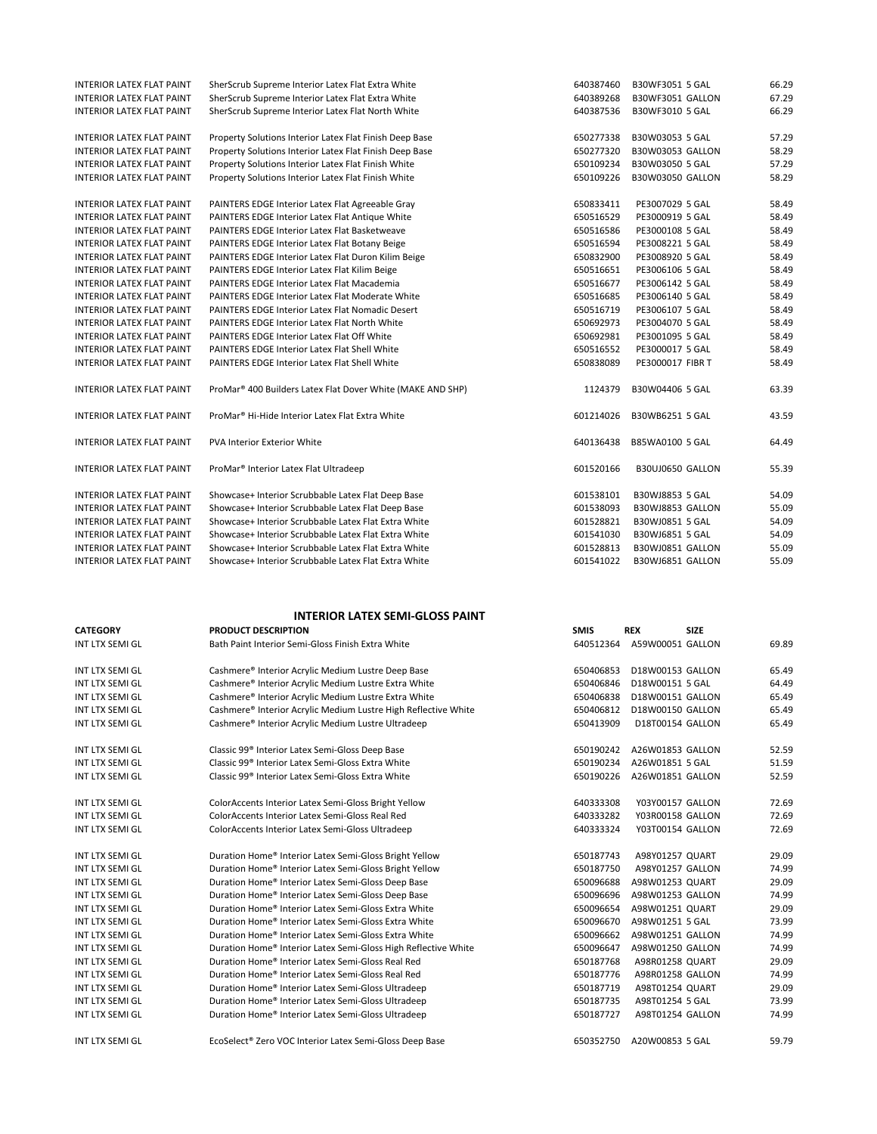| <b>INTERIOR LATEX FLAT PAINT</b> | SherScrub Supreme Interior Latex Flat Extra White              | 640387460   | B30WF3051 5 GAL            | 66.29 |
|----------------------------------|----------------------------------------------------------------|-------------|----------------------------|-------|
| <b>INTERIOR LATEX FLAT PAINT</b> | SherScrub Supreme Interior Latex Flat Extra White              | 640389268   | B30WF3051 GALLON           | 67.29 |
| INTERIOR LATEX FLAT PAINT        | SherScrub Supreme Interior Latex Flat North White              | 640387536   | B30WF3010 5 GAL            | 66.29 |
|                                  |                                                                |             |                            |       |
| <b>INTERIOR LATEX FLAT PAINT</b> | Property Solutions Interior Latex Flat Finish Deep Base        | 650277338   | B30W03053 5 GAL            | 57.29 |
| INTERIOR LATEX FLAT PAINT        | Property Solutions Interior Latex Flat Finish Deep Base        | 650277320   | B30W03053 GALLON           | 58.29 |
| INTERIOR LATEX FLAT PAINT        | Property Solutions Interior Latex Flat Finish White            | 650109234   | B30W03050 5 GAL            | 57.29 |
| <b>INTERIOR LATEX FLAT PAINT</b> | Property Solutions Interior Latex Flat Finish White            | 650109226   | <b>B30W03050 GALLON</b>    | 58.29 |
|                                  |                                                                |             |                            |       |
| <b>INTERIOR LATEX FLAT PAINT</b> | PAINTERS EDGE Interior Latex Flat Agreeable Gray               | 650833411   | PE3007029 5 GAL            | 58.49 |
| INTERIOR LATEX FLAT PAINT        | PAINTERS EDGE Interior Latex Flat Antique White                | 650516529   | PE3000919 5 GAL            | 58.49 |
| <b>INTERIOR LATEX FLAT PAINT</b> | PAINTERS EDGE Interior Latex Flat Basketweave                  | 650516586   | PE3000108 5 GAL            | 58.49 |
| <b>INTERIOR LATEX FLAT PAINT</b> | PAINTERS EDGE Interior Latex Flat Botany Beige                 | 650516594   | PE3008221 5 GAL            | 58.49 |
| INTERIOR LATEX FLAT PAINT        | PAINTERS EDGE Interior Latex Flat Duron Kilim Beige            | 650832900   | PE3008920 5 GAL            | 58.49 |
| INTERIOR LATEX FLAT PAINT        | PAINTERS EDGE Interior Latex Flat Kilim Beige                  | 650516651   | PE3006106 5 GAL            | 58.49 |
| <b>INTERIOR LATEX FLAT PAINT</b> | PAINTERS EDGE Interior Latex Flat Macademia                    | 650516677   | PE3006142 5 GAL            | 58.49 |
| <b>INTERIOR LATEX FLAT PAINT</b> | PAINTERS EDGE Interior Latex Flat Moderate White               | 650516685   | PE3006140 5 GAL            | 58.49 |
| <b>INTERIOR LATEX FLAT PAINT</b> | PAINTERS EDGE Interior Latex Flat Nomadic Desert               | 650516719   | PE3006107 5 GAL            | 58.49 |
| <b>INTERIOR LATEX FLAT PAINT</b> | PAINTERS EDGE Interior Latex Flat North White                  | 650692973   | PE3004070 5 GAL            | 58.49 |
| INTERIOR LATEX FLAT PAINT        | PAINTERS EDGE Interior Latex Flat Off White                    | 650692981   | PE3001095 5 GAL            | 58.49 |
| <b>INTERIOR LATEX FLAT PAINT</b> | <b>PAINTERS EDGE Interior Latex Flat Shell White</b>           | 650516552   | PE3000017 5 GAL            | 58.49 |
| <b>INTERIOR LATEX FLAT PAINT</b> | PAINTERS EDGE Interior Latex Flat Shell White                  | 650838089   | PE3000017 FIBR T           | 58.49 |
| <b>INTERIOR LATEX FLAT PAINT</b> | ProMar® 400 Builders Latex Flat Dover White (MAKE AND SHP)     | 1124379     | B30W04406 5 GAL            | 63.39 |
| <b>INTERIOR LATEX FLAT PAINT</b> | ProMar <sup>®</sup> Hi-Hide Interior Latex Flat Extra White    | 601214026   | B30WB6251 5 GAL            | 43.59 |
| <b>INTERIOR LATEX FLAT PAINT</b> | PVA Interior Exterior White                                    | 640136438   | B85WA0100 5 GAL            | 64.49 |
| <b>INTERIOR LATEX FLAT PAINT</b> | ProMar <sup>®</sup> Interior Latex Flat Ultradeep              | 601520166   | B30UJ0650 GALLON           | 55.39 |
| <b>INTERIOR LATEX FLAT PAINT</b> | Showcase+ Interior Scrubbable Latex Flat Deep Base             | 601538101   | B30WJ8853 5 GAL            | 54.09 |
| <b>INTERIOR LATEX FLAT PAINT</b> | Showcase+ Interior Scrubbable Latex Flat Deep Base             | 601538093   | B30WJ8853 GALLON           | 55.09 |
| INTERIOR LATEX FLAT PAINT        | Showcase+ Interior Scrubbable Latex Flat Extra White           | 601528821   | B30WJ0851 5 GAL            | 54.09 |
| <b>INTERIOR LATEX FLAT PAINT</b> | Showcase+ Interior Scrubbable Latex Flat Extra White           | 601541030   | B30WJ6851 5 GAL            | 54.09 |
| <b>INTERIOR LATEX FLAT PAINT</b> | Showcase+ Interior Scrubbable Latex Flat Extra White           | 601528813   | B30WJ0851 GALLON           | 55.09 |
| <b>INTERIOR LATEX FLAT PAINT</b> | Showcase+ Interior Scrubbable Latex Flat Extra White           | 601541022   | B30WJ6851 GALLON           | 55.09 |
|                                  |                                                                |             |                            |       |
|                                  | <b>INTERIOR LATEX SEMI-GLOSS PAINT</b>                         |             |                            |       |
| <b>CATEGORY</b>                  | <b>PRODUCT DESCRIPTION</b>                                     | <b>SMIS</b> | <b>REX</b><br><b>SIZE</b>  |       |
| <b>INT LTX SEMI GL</b>           | Bath Paint Interior Semi-Gloss Finish Extra White              |             | 640512364 A59W00051 GALLON | 69.89 |
| INT LTX SEMI GL                  | Cashmere® Interior Acrylic Medium Lustre Deep Base             | 650406853   | D18W00153 GALLON           | 65.49 |
| INT LTX SEMI GL                  | Cashmere® Interior Acrylic Medium Lustre Extra White           | 650406846   | D18W00151 5 GAL            | 64.49 |
| INT LTX SEMI GL                  | Cashmere® Interior Acrylic Medium Lustre Extra White           | 650406838   | D18W00151 GALLON           | 65.49 |
| INT LTX SEMI GL                  | Cashmere® Interior Acrylic Medium Lustre High Reflective White | 650406812   | D18W00150 GALLON           | 65.49 |
| INT LTX SEMI GL                  | Cashmere® Interior Acrylic Medium Lustre Ultradeep             | 650413909   | D18T00154 GALLON           | 65.49 |
|                                  |                                                                |             |                            |       |

| INT LTX SEMI GL        | Classic 99 <sup>®</sup> Interior Latex Semi-Gloss Deep Base    | 650190242 | A26W01853 GALLON | 52.59 |
|------------------------|----------------------------------------------------------------|-----------|------------------|-------|
| <b>INT LTX SEMI GL</b> | Classic 99 <sup>®</sup> Interior Latex Semi-Gloss Extra White  | 650190234 | A26W01851 5 GAL  | 51.59 |
| <b>INT LTX SEMI GL</b> | Classic 99 <sup>®</sup> Interior Latex Semi-Gloss Extra White  | 650190226 | A26W01851 GALLON | 52.59 |
| <b>INT LTX SEMI GL</b> | ColorAccents Interior Latex Semi-Gloss Bright Yellow           | 640333308 | Y03Y00157 GALLON | 72.69 |
| INT LTX SEMI GL        | ColorAccents Interior Latex Semi-Gloss Real Red                | 640333282 | Y03R00158 GALLON | 72.69 |
| <b>INT LTX SEMI GL</b> | ColorAccents Interior Latex Semi-Gloss Ultradeep               | 640333324 | Y03T00154 GALLON | 72.69 |
| <b>INT LTX SEMI GL</b> | Duration Home® Interior Latex Semi-Gloss Bright Yellow         | 650187743 | A98Y01257 QUART  | 29.09 |
| <b>INT LTX SEMI GL</b> | Duration Home® Interior Latex Semi-Gloss Bright Yellow         | 650187750 | A98Y01257 GALLON | 74.99 |
| <b>INT LTX SEMI GL</b> | Duration Home® Interior Latex Semi-Gloss Deep Base             | 650096688 | A98W01253 QUART  | 29.09 |
| <b>INT LTX SEMI GL</b> | Duration Home® Interior Latex Semi-Gloss Deep Base             | 650096696 | A98W01253 GALLON | 74.99 |
| <b>INT LTX SEMI GL</b> | Duration Home® Interior Latex Semi-Gloss Extra White           | 650096654 | A98W01251 QUART  | 29.09 |
| <b>INT LTX SEMI GL</b> | Duration Home® Interior Latex Semi-Gloss Extra White           | 650096670 | A98W01251 5 GAL  | 73.99 |
| <b>INT LTX SEMI GL</b> | Duration Home® Interior Latex Semi-Gloss Extra White           | 650096662 | A98W01251 GALLON | 74.99 |
| <b>INT LTX SEMI GL</b> | Duration Home® Interior Latex Semi-Gloss High Reflective White | 650096647 | A98W01250 GALLON | 74.99 |
| <b>INT LTX SEMI GL</b> | Duration Home® Interior Latex Semi-Gloss Real Red              | 650187768 | A98R01258 QUART  | 29.09 |
| INT LTX SEMI GL        | Duration Home® Interior Latex Semi-Gloss Real Red              | 650187776 | A98R01258 GALLON | 74.99 |
| <b>INT LTX SEMI GL</b> | Duration Home® Interior Latex Semi-Gloss Ultradeep             | 650187719 | A98T01254 QUART  | 29.09 |
| <b>INT LTX SEMI GL</b> | Duration Home® Interior Latex Semi-Gloss Ultradeep             | 650187735 | A98T01254 5 GAL  | 73.99 |
| <b>INT LTX SEMI GL</b> | Duration Home® Interior Latex Semi-Gloss Ultradeep             | 650187727 | A98T01254 GALLON | 74.99 |
| <b>INT LTX SEMI GL</b> | EcoSelect® Zero VOC Interior Latex Semi-Gloss Deep Base        | 650352750 | A20W00853 5 GAL  | 59.79 |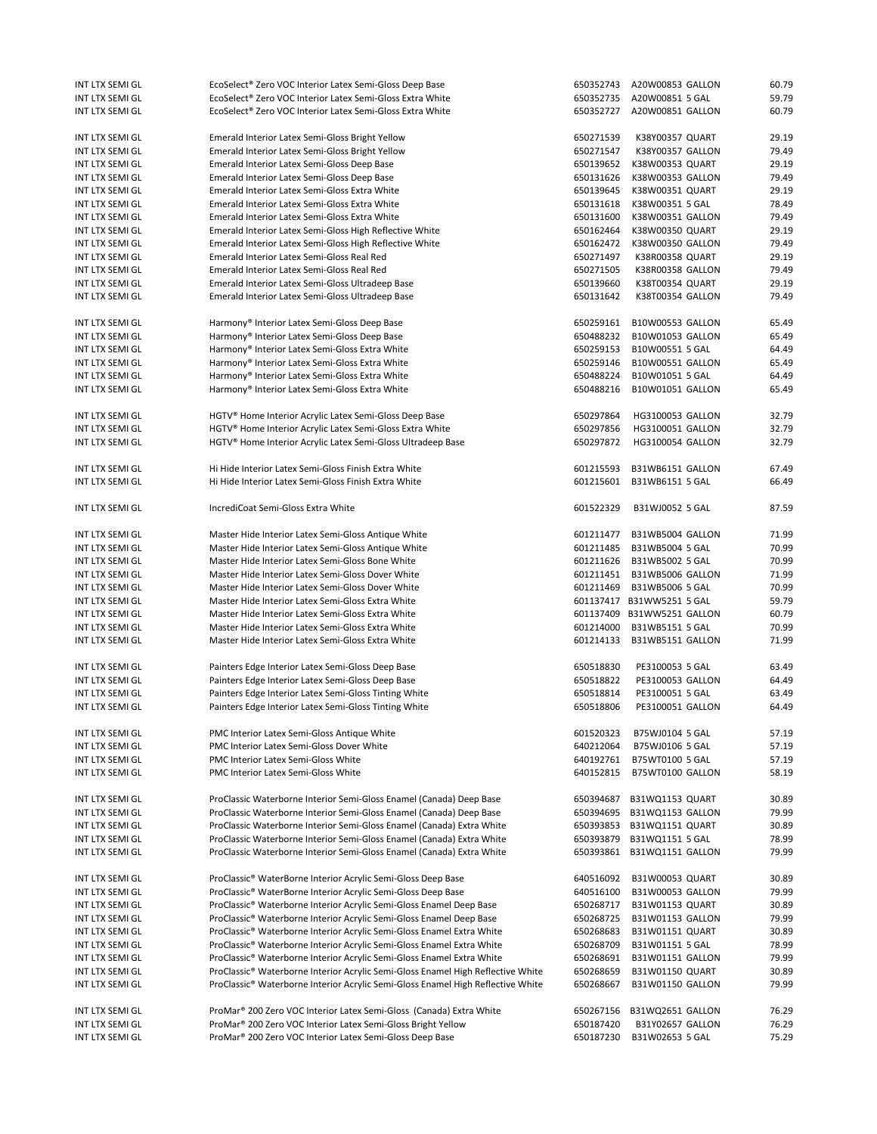| INT LTX SEMI GL                    | EcoSelect® Zero VOC Interior Latex Semi-Gloss Deep Base                                                                              | 650352743              | A20W00853 GALLON                    | 60.79          |
|------------------------------------|--------------------------------------------------------------------------------------------------------------------------------------|------------------------|-------------------------------------|----------------|
| INT LTX SEMI GL                    | EcoSelect® Zero VOC Interior Latex Semi-Gloss Extra White                                                                            | 650352735              | A20W00851 5 GAL                     | 59.79          |
| INT LTX SEMI GL                    | EcoSelect® Zero VOC Interior Latex Semi-Gloss Extra White                                                                            | 650352727              | A20W00851 GALLON                    | 60.79          |
|                                    |                                                                                                                                      |                        |                                     |                |
| INT LTX SEMI GL                    | Emerald Interior Latex Semi-Gloss Bright Yellow                                                                                      | 650271539              | K38Y00357 QUART                     | 29.19          |
| INT LTX SEMI GL                    | Emerald Interior Latex Semi-Gloss Bright Yellow                                                                                      | 650271547              | K38Y00357 GALLON                    | 79.49          |
| INT LTX SEMI GL                    | Emerald Interior Latex Semi-Gloss Deep Base                                                                                          | 650139652              | K38W00353 QUART                     | 29.19          |
| INT LTX SEMI GL                    | Emerald Interior Latex Semi-Gloss Deep Base                                                                                          | 650131626              | K38W00353 GALLON                    | 79.49          |
| INT LTX SEMI GL                    | Emerald Interior Latex Semi-Gloss Extra White                                                                                        | 650139645              | K38W00351 QUART                     | 29.19          |
| INT LTX SEMI GL                    | Emerald Interior Latex Semi-Gloss Extra White                                                                                        | 650131618              | K38W00351 5 GAL                     | 78.49          |
|                                    |                                                                                                                                      |                        |                                     | 79.49          |
| INT LTX SEMI GL                    | Emerald Interior Latex Semi-Gloss Extra White                                                                                        | 650131600              | K38W00351 GALLON                    |                |
| INT LTX SEMI GL                    | Emerald Interior Latex Semi-Gloss High Reflective White                                                                              | 650162464              | K38W00350 QUART                     | 29.19          |
| INT LTX SEMI GL                    | Emerald Interior Latex Semi-Gloss High Reflective White                                                                              | 650162472              | K38W00350 GALLON                    | 79.49          |
| INT LTX SEMI GL                    | Emerald Interior Latex Semi-Gloss Real Red                                                                                           | 650271497              | K38R00358 QUART                     | 29.19          |
| INT LTX SEMI GL                    | Emerald Interior Latex Semi-Gloss Real Red                                                                                           | 650271505              | K38R00358 GALLON                    | 79.49          |
| INT LTX SEMI GL                    | Emerald Interior Latex Semi-Gloss Ultradeep Base                                                                                     | 650139660              | K38T00354 QUART                     | 29.19          |
| INT LTX SEMI GL                    | Emerald Interior Latex Semi-Gloss Ultradeep Base                                                                                     | 650131642              | K38T00354 GALLON                    | 79.49          |
|                                    |                                                                                                                                      |                        |                                     |                |
| INT LTX SEMI GL                    | Harmony® Interior Latex Semi-Gloss Deep Base                                                                                         | 650259161              | B10W00553 GALLON                    | 65.49          |
| INT LTX SEMI GL                    | Harmony® Interior Latex Semi-Gloss Deep Base                                                                                         | 650488232              | B10W01053 GALLON                    | 65.49          |
| INT LTX SEMI GL                    | Harmony® Interior Latex Semi-Gloss Extra White                                                                                       | 650259153              | B10W00551 5 GAL                     | 64.49          |
| INT LTX SEMI GL                    | Harmony® Interior Latex Semi-Gloss Extra White                                                                                       | 650259146              | B10W00551 GALLON                    | 65.49          |
| INT LTX SEMI GL                    | Harmony® Interior Latex Semi-Gloss Extra White                                                                                       | 650488224              | B10W01051 5 GAL                     | 64.49          |
|                                    |                                                                                                                                      | 650488216              |                                     | 65.49          |
| INT LTX SEMI GL                    | Harmony® Interior Latex Semi-Gloss Extra White                                                                                       |                        | B10W01051 GALLON                    |                |
|                                    |                                                                                                                                      |                        |                                     |                |
| INT LTX SEMI GL                    | HGTV <sup>®</sup> Home Interior Acrylic Latex Semi-Gloss Deep Base                                                                   | 650297864              | <b>HG3100053 GALLON</b>             | 32.79          |
| INT LTX SEMI GL                    | HGTV® Home Interior Acrylic Latex Semi-Gloss Extra White                                                                             | 650297856              | HG3100051 GALLON                    | 32.79          |
| INT LTX SEMI GL                    | HGTV <sup>®</sup> Home Interior Acrylic Latex Semi-Gloss Ultradeep Base                                                              | 650297872              | HG3100054 GALLON                    | 32.79          |
|                                    |                                                                                                                                      |                        |                                     |                |
| INT LTX SEMI GL                    | Hi Hide Interior Latex Semi-Gloss Finish Extra White                                                                                 | 601215593              | B31WB6151 GALLON                    | 67.49          |
| INT LTX SEMI GL                    | Hi Hide Interior Latex Semi-Gloss Finish Extra White                                                                                 | 601215601              | B31WB6151 5 GAL                     | 66.49          |
|                                    |                                                                                                                                      |                        |                                     |                |
| INT LTX SEMI GL                    | IncrediCoat Semi-Gloss Extra White                                                                                                   | 601522329              | B31WJ0052 5 GAL                     | 87.59          |
|                                    |                                                                                                                                      |                        |                                     |                |
| INT LTX SEMI GL                    | Master Hide Interior Latex Semi-Gloss Antique White                                                                                  | 601211477              | B31WB5004 GALLON                    | 71.99          |
| INT LTX SEMI GL                    | Master Hide Interior Latex Semi-Gloss Antique White                                                                                  | 601211485              | B31WB5004 5 GAL                     | 70.99          |
| INT LTX SEMI GL                    | Master Hide Interior Latex Semi-Gloss Bone White                                                                                     | 601211626              | B31WB5002 5 GAL                     | 70.99          |
|                                    |                                                                                                                                      |                        |                                     |                |
| INT LTX SEMI GL                    | Master Hide Interior Latex Semi-Gloss Dover White                                                                                    | 601211451              | B31WB5006 GALLON                    | 71.99          |
| INT LTX SEMI GL                    | Master Hide Interior Latex Semi-Gloss Dover White                                                                                    | 601211469              | B31WB5006 5 GAL                     | 70.99          |
| INT LTX SEMI GL                    | Master Hide Interior Latex Semi-Gloss Extra White                                                                                    |                        | 601137417 B31WW5251 5 GAL           | 59.79          |
| INT LTX SEMI GL                    | Master Hide Interior Latex Semi-Gloss Extra White                                                                                    |                        | 601137409 B31WW5251 GALLON          | 60.79          |
| INT LTX SEMI GL                    | Master Hide Interior Latex Semi-Gloss Extra White                                                                                    | 601214000              | B31WB5151 5 GAL                     | 70.99          |
| INT LTX SEMI GL                    | Master Hide Interior Latex Semi-Gloss Extra White                                                                                    | 601214133              | B31WB5151 GALLON                    | 71.99          |
|                                    |                                                                                                                                      |                        |                                     |                |
| INT LTX SEMI GL                    | Painters Edge Interior Latex Semi-Gloss Deep Base                                                                                    | 650518830              | PE3100053 5 GAL                     | 63.49          |
| INT LTX SEMI GL                    | Painters Edge Interior Latex Semi-Gloss Deep Base                                                                                    | 650518822              | PE3100053 GALLON                    | 64.49          |
| INT LTX SEMI GL                    | Painters Edge Interior Latex Semi-Gloss Tinting White                                                                                | 650518814              | PE3100051 5 GAL                     | 63.49          |
| INT LTX SEMI GL                    | Painters Edge Interior Latex Semi-Gloss Tinting White                                                                                | 650518806              | PE3100051 GALLON                    | 64.49          |
|                                    |                                                                                                                                      |                        |                                     |                |
|                                    |                                                                                                                                      |                        |                                     |                |
| INT LTX SEMI GL                    | PMC Interior Latex Semi-Gloss Antique White                                                                                          | 601520323              | B75WJ0104 5 GAL                     | 57.19          |
| INT LTX SEMI GL                    | PMC Interior Latex Semi-Gloss Dover White                                                                                            | 640212064              | B75WJ0106 5 GAL                     | 57.19          |
| INT LTX SEMI GL                    | PMC Interior Latex Semi-Gloss White                                                                                                  | 640192761              | B75WT0100 5 GAL                     | 57.19          |
| INT LTX SEMI GL                    | PMC Interior Latex Semi-Gloss White                                                                                                  | 640152815              | B75WT0100 GALLON                    | 58.19          |
|                                    |                                                                                                                                      |                        |                                     |                |
| INT LTX SEMI GL                    | ProClassic Waterborne Interior Semi-Gloss Enamel (Canada) Deep Base                                                                  | 650394687              | B31WQ1153 QUART                     | 30.89          |
| INT LTX SEMI GL                    | ProClassic Waterborne Interior Semi-Gloss Enamel (Canada) Deep Base                                                                  | 650394695              | B31WQ1153 GALLON                    | 79.99          |
| INT LTX SEMI GL                    | ProClassic Waterborne Interior Semi-Gloss Enamel (Canada) Extra White                                                                | 650393853              | B31WQ1151 QUART                     | 30.89          |
| INT LTX SEMI GL                    | ProClassic Waterborne Interior Semi-Gloss Enamel (Canada) Extra White                                                                | 650393879              | B31WQ1151 5 GAL                     | 78.99          |
| INT LTX SEMI GL                    | ProClassic Waterborne Interior Semi-Gloss Enamel (Canada) Extra White                                                                | 650393861              | B31WQ1151 GALLON                    | 79.99          |
|                                    |                                                                                                                                      |                        |                                     |                |
| INT LTX SEMI GL                    | ProClassic® WaterBorne Interior Acrylic Semi-Gloss Deep Base                                                                         | 640516092              | B31W00053 QUART                     | 30.89          |
| INT LTX SEMI GL                    | ProClassic® WaterBorne Interior Acrylic Semi-Gloss Deep Base                                                                         | 640516100              |                                     | 79.99          |
|                                    |                                                                                                                                      |                        | B31W00053 GALLON                    |                |
| INT LTX SEMI GL                    | ProClassic® Waterborne Interior Acrylic Semi-Gloss Enamel Deep Base                                                                  | 650268717              | B31W01153 QUART                     | 30.89          |
| INT LTX SEMI GL                    | ProClassic® Waterborne Interior Acrylic Semi-Gloss Enamel Deep Base                                                                  | 650268725              | B31W01153 GALLON                    | 79.99          |
| INT LTX SEMI GL                    | ProClassic® Waterborne Interior Acrylic Semi-Gloss Enamel Extra White                                                                | 650268683              | B31W01151 QUART                     | 30.89          |
| INT LTX SEMI GL                    | ProClassic® Waterborne Interior Acrylic Semi-Gloss Enamel Extra White                                                                | 650268709              | B31W01151 5 GAL                     | 78.99          |
| INT LTX SEMI GL                    | ProClassic® Waterborne Interior Acrylic Semi-Gloss Enamel Extra White                                                                | 650268691              | B31W01151 GALLON                    | 79.99          |
| INT LTX SEMI GL                    | ProClassic® Waterborne Interior Acrylic Semi-Gloss Enamel High Reflective White                                                      | 650268659              | <b>B31W01150 QUART</b>              | 30.89          |
| INT LTX SEMI GL                    | ProClassic® Waterborne Interior Acrylic Semi-Gloss Enamel High Reflective White                                                      | 650268667              | B31W01150 GALLON                    | 79.99          |
|                                    |                                                                                                                                      |                        |                                     |                |
| INT LTX SEMI GL                    | ProMar® 200 Zero VOC Interior Latex Semi-Gloss (Canada) Extra White                                                                  | 650267156              | B31WQ2651 GALLON                    | 76.29          |
|                                    |                                                                                                                                      |                        |                                     |                |
|                                    |                                                                                                                                      |                        |                                     |                |
| INT LTX SEMI GL<br>INT LTX SEMI GL | ProMar® 200 Zero VOC Interior Latex Semi-Gloss Bright Yellow<br>ProMar <sup>®</sup> 200 Zero VOC Interior Latex Semi-Gloss Deep Base | 650187420<br>650187230 | B31Y02657 GALLON<br>B31W02653 5 GAL | 76.29<br>75.29 |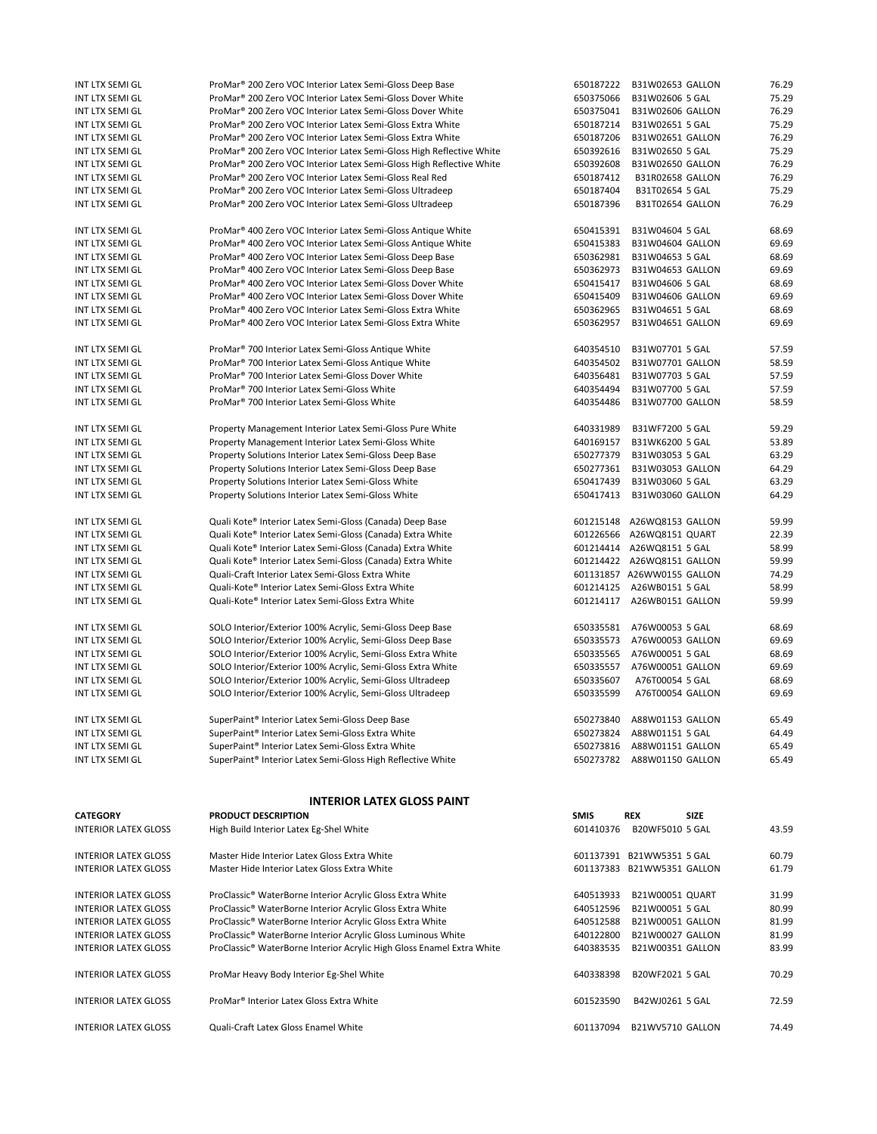| INT LTX SEMI GL             | ProMar <sup>®</sup> 200 Zero VOC Interior Latex Semi-Gloss Deep Base             | 650187222   | B31W02653 GALLON           | 76.29 |
|-----------------------------|----------------------------------------------------------------------------------|-------------|----------------------------|-------|
| INT LTX SEMI GL             | ProMar <sup>®</sup> 200 Zero VOC Interior Latex Semi-Gloss Dover White           | 650375066   | B31W02606 5 GAL            | 75.29 |
| INT LTX SEMI GL             | ProMar <sup>®</sup> 200 Zero VOC Interior Latex Semi-Gloss Dover White           | 650375041   | B31W02606 GALLON           | 76.29 |
|                             | ProMar <sup>®</sup> 200 Zero VOC Interior Latex Semi-Gloss Extra White           | 650187214   |                            | 75.29 |
| INT LTX SEMI GL             |                                                                                  |             | B31W02651 5 GAL            |       |
| INT LTX SEMI GL             | ProMar <sup>®</sup> 200 Zero VOC Interior Latex Semi-Gloss Extra White           | 650187206   | B31W02651 GALLON           | 76.29 |
| INT LTX SEMI GL             | ProMar® 200 Zero VOC Interior Latex Semi-Gloss High Reflective White             | 650392616   | B31W02650 5 GAL            | 75.29 |
| INT LTX SEMI GL             | ProMar <sup>®</sup> 200 Zero VOC Interior Latex Semi-Gloss High Reflective White | 650392608   | B31W02650 GALLON           | 76.29 |
| INT LTX SEMI GL             | ProMar <sup>®</sup> 200 Zero VOC Interior Latex Semi-Gloss Real Red              | 650187412   | <b>B31R02658 GALLON</b>    | 76.29 |
| INT LTX SEMI GL             | ProMar <sup>®</sup> 200 Zero VOC Interior Latex Semi-Gloss Ultradeep             | 650187404   | B31T02654 5 GAL            | 75.29 |
|                             |                                                                                  |             |                            | 76.29 |
| INT LTX SEMI GL             | ProMar <sup>®</sup> 200 Zero VOC Interior Latex Semi-Gloss Ultradeep             | 650187396   | B31T02654 GALLON           |       |
| INT LTX SEMI GL             | ProMar <sup>®</sup> 400 Zero VOC Interior Latex Semi-Gloss Antique White         | 650415391   | B31W04604 5 GAL            | 68.69 |
| INT LTX SEMI GL             | ProMar <sup>®</sup> 400 Zero VOC Interior Latex Semi-Gloss Antique White         | 650415383   | B31W04604 GALLON           | 69.69 |
|                             |                                                                                  |             |                            |       |
| INT LTX SEMI GL             | ProMar <sup>®</sup> 400 Zero VOC Interior Latex Semi-Gloss Deep Base             | 650362981   | B31W04653 5 GAL            | 68.69 |
| INT LTX SEMI GL             | ProMar <sup>®</sup> 400 Zero VOC Interior Latex Semi-Gloss Deep Base             | 650362973   | B31W04653 GALLON           | 69.69 |
| INT LTX SEMI GL             | ProMar <sup>®</sup> 400 Zero VOC Interior Latex Semi-Gloss Dover White           | 650415417   | B31W04606 5 GAL            | 68.69 |
| INT LTX SEMI GL             | ProMar <sup>®</sup> 400 Zero VOC Interior Latex Semi-Gloss Dover White           | 650415409   | B31W04606 GALLON           | 69.69 |
| INT LTX SEMI GL             | ProMar <sup>®</sup> 400 Zero VOC Interior Latex Semi-Gloss Extra White           | 650362965   | B31W04651 5 GAL            | 68.69 |
| INT LTX SEMI GL             | ProMar <sup>®</sup> 400 Zero VOC Interior Latex Semi-Gloss Extra White           | 650362957   | B31W04651 GALLON           | 69.69 |
|                             |                                                                                  |             |                            |       |
| INT LTX SEMI GL             | ProMar <sup>®</sup> 700 Interior Latex Semi-Gloss Antique White                  | 640354510   | B31W07701 5 GAL            | 57.59 |
| INT LTX SEMI GL             | ProMar <sup>®</sup> 700 Interior Latex Semi-Gloss Antique White                  | 640354502   | B31W07701 GALLON           | 58.59 |
| INT LTX SEMI GL             | ProMar <sup>®</sup> 700 Interior Latex Semi-Gloss Dover White                    | 640356481   | B31W07703 5 GAL            | 57.59 |
| INT LTX SEMI GL             | ProMar <sup>®</sup> 700 Interior Latex Semi-Gloss White                          | 640354494   | B31W07700 5 GAL            | 57.59 |
|                             |                                                                                  |             |                            |       |
| <b>INT LTX SEMI GL</b>      | ProMar <sup>®</sup> 700 Interior Latex Semi-Gloss White                          | 640354486   | <b>B31W07700 GALLON</b>    | 58.59 |
| INT LTX SEMI GL             | Property Management Interior Latex Semi-Gloss Pure White                         | 640331989   | B31WF7200 5 GAL            | 59.29 |
|                             |                                                                                  |             |                            |       |
| INT LTX SEMI GL             | Property Management Interior Latex Semi-Gloss White                              | 640169157   | B31WK6200 5 GAL            | 53.89 |
| INT LTX SEMI GL             | Property Solutions Interior Latex Semi-Gloss Deep Base                           | 650277379   | B31W03053 5 GAL            | 63.29 |
| INT LTX SEMI GL             | Property Solutions Interior Latex Semi-Gloss Deep Base                           | 650277361   | B31W03053 GALLON           | 64.29 |
| INT LTX SEMI GL             | Property Solutions Interior Latex Semi-Gloss White                               | 650417439   | B31W03060 5 GAL            | 63.29 |
| <b>INT LTX SEMI GL</b>      | Property Solutions Interior Latex Semi-Gloss White                               | 650417413   | B31W03060 GALLON           | 64.29 |
|                             |                                                                                  |             |                            |       |
| INT LTX SEMI GL             | Quali Kote® Interior Latex Semi-Gloss (Canada) Deep Base                         |             | 601215148 A26WQ8153 GALLON | 59.99 |
| INT LTX SEMI GL             | Quali Kote® Interior Latex Semi-Gloss (Canada) Extra White                       |             | 601226566 A26WQ8151 QUART  | 22.39 |
| INT LTX SEMI GL             | Quali Kote® Interior Latex Semi-Gloss (Canada) Extra White                       |             | 601214414 A26WQ8151 5 GAL  | 58.99 |
| INT LTX SEMI GL             | Quali Kote® Interior Latex Semi-Gloss (Canada) Extra White                       |             | 601214422 A26WQ8151 GALLON | 59.99 |
|                             |                                                                                  |             |                            |       |
| INT LTX SEMI GL             | Quali-Craft Interior Latex Semi-Gloss Extra White                                |             | 601131857 A26WW0155 GALLON | 74.29 |
| INT LTX SEMI GL             | Quali-Kote® Interior Latex Semi-Gloss Extra White                                |             | 601214125 A26WB0151 5 GAL  | 58.99 |
| INT LTX SEMI GL             | Quali-Kote® Interior Latex Semi-Gloss Extra White                                |             | 601214117 A26WB0151 GALLON | 59.99 |
|                             |                                                                                  |             |                            |       |
| INT LTX SEMI GL             | SOLO Interior/Exterior 100% Acrylic, Semi-Gloss Deep Base                        | 650335581   | A76W00053 5 GAL            | 68.69 |
| INT LTX SEMI GL             | SOLO Interior/Exterior 100% Acrylic, Semi-Gloss Deep Base                        | 650335573   | A76W00053 GALLON           | 69.69 |
| INT LTX SEMI GL             | SOLO Interior/Exterior 100% Acrylic, Semi-Gloss Extra White                      | 650335565   | A76W00051 5 GAL            | 68.69 |
| INT LTX SEMI GL             | SOLO Interior/Exterior 100% Acrylic, Semi-Gloss Extra White                      | 650335557   | A76W00051 GALLON           | 69.69 |
| INT LTX SEMI GL             | SOLO Interior/Exterior 100% Acrylic, Semi-Gloss Ultradeep                        | 650335607   | A76T00054 5 GAL            | 68.69 |
| <b>INT LTX SEMI GL</b>      | SOLO Interior/Exterior 100% Acrylic, Semi-Gloss Ultradeep                        | 650335599   | A76T00054 GALLON           | 69.69 |
|                             |                                                                                  |             |                            |       |
| INT LTX SEMI GL             | SuperPaint® Interior Latex Semi-Gloss Deep Base                                  |             | 650273840 A88W01153 GALLON | 65.49 |
| INT LTX SEMI GL             | SuperPaint® Interior Latex Semi-Gloss Extra White                                | 650273824   | A88W01151 5 GAL            | 64.49 |
| INT LTX SEMI GL             | SuperPaint® Interior Latex Semi-Gloss Extra White                                | 650273816   | A88W01151 GALLON           | 65.49 |
|                             |                                                                                  |             |                            |       |
| INT LTX SEMI GL             | SuperPaint® Interior Latex Semi-Gloss High Reflective White                      |             | 650273782 A88W01150 GALLON | 65.49 |
|                             |                                                                                  |             |                            |       |
|                             | <b>INTERIOR LATEX GLOSS PAINT</b>                                                |             |                            |       |
| <b>CATEGORY</b>             | <b>PRODUCT DESCRIPTION</b>                                                       | <b>SMIS</b> | <b>REX</b><br><b>SIZE</b>  |       |
| <b>INTERIOR LATEX GLOSS</b> | High Build Interior Latex Eg-Shel White                                          | 601410376   | B20WF5010 5 GAL            | 43.59 |
|                             |                                                                                  |             |                            |       |
| <b>INTERIOR LATEX GLOSS</b> | Master Hide Interior Latex Gloss Extra White                                     |             | 601137391 B21WW5351 5 GAL  | 60.79 |
| <b>INTERIOR LATEX GLOSS</b> | Master Hide Interior Latex Gloss Extra White                                     |             | 601137383 B21WW5351 GALLON | 61.79 |
|                             |                                                                                  |             |                            |       |
| <b>INTERIOR LATEX GLOSS</b> | ProClassic® WaterBorne Interior Acrylic Gloss Extra White                        | 640513933   | B21W00051 QUART            | 31.99 |
|                             |                                                                                  |             |                            |       |
| <b>INTERIOR LATEX GLOSS</b> | ProClassic® WaterBorne Interior Acrylic Gloss Extra White                        | 640512596   | B21W00051 5 GAL            | 80.99 |
| <b>INTERIOR LATEX GLOSS</b> | ProClassic® WaterBorne Interior Acrylic Gloss Extra White                        | 640512588   | B21W00051 GALLON           | 81.99 |
| <b>INTERIOR LATEX GLOSS</b> | ProClassic® WaterBorne Interior Acrylic Gloss Luminous White                     | 640122800   | B21W00027 GALLON           | 81.99 |
| <b>INTERIOR LATEX GLOSS</b> | ProClassic® WaterBorne Interior Acrylic High Gloss Enamel Extra White            | 640383535   | B21W00351 GALLON           | 83.99 |
|                             |                                                                                  |             |                            |       |
| <b>INTERIOR LATEX GLOSS</b> | ProMar Heavy Body Interior Eg-Shel White                                         | 640338398   | B20WF2021 5 GAL            | 70.29 |
|                             |                                                                                  |             |                            |       |
| <b>INTERIOR LATEX GLOSS</b> | ProMar <sup>®</sup> Interior Latex Gloss Extra White                             | 601523590   | B42WJ0261 5 GAL            | 72.59 |
| <b>INTERIOR LATEX GLOSS</b> | Quali-Craft Latex Gloss Enamel White                                             | 601137094   | B21WV5710 GALLON           | 74.49 |
|                             |                                                                                  |             |                            |       |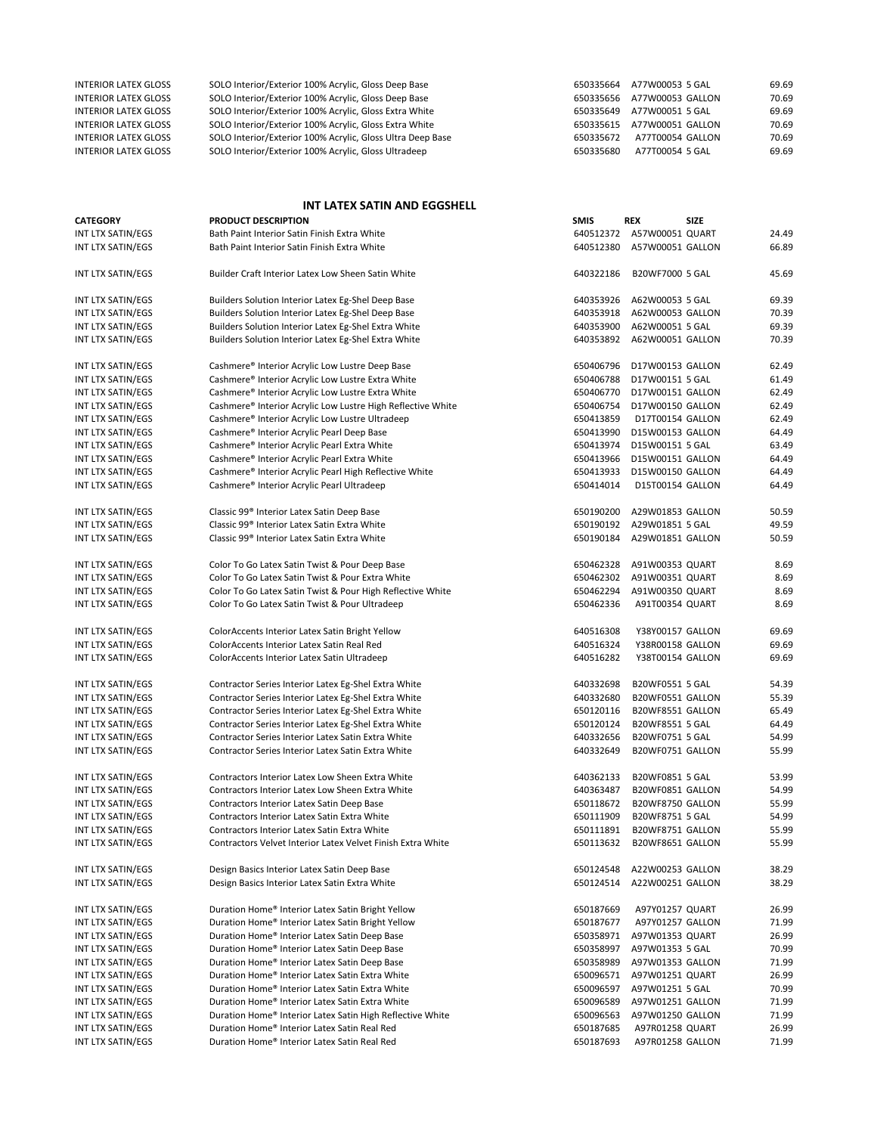| 69.69 |
|-------|
| 70.69 |
| 69.69 |
| 70.69 |
| 70.69 |
| 69.69 |
|       |

## **INT LATEX SATIN AND EGGSHELL**

| <b>CATEGORY</b>   | <b>PRODUCT DESCRIPTION</b>                                  | <b>SMIS</b> | REX<br>SIZE                |       |
|-------------------|-------------------------------------------------------------|-------------|----------------------------|-------|
| INT LTX SATIN/EGS | Bath Paint Interior Satin Finish Extra White                |             | 640512372 A57W00051 QUART  | 24.49 |
| INT LTX SATIN/EGS | Bath Paint Interior Satin Finish Extra White                | 640512380   | A57W00051 GALLON           | 66.89 |
| INT LTX SATIN/EGS | Builder Craft Interior Latex Low Sheen Satin White          | 640322186   | B20WF7000 5 GAL            | 45.69 |
| INT LTX SATIN/EGS | Builders Solution Interior Latex Eg-Shel Deep Base          | 640353926   | A62W00053 5 GAL            | 69.39 |
| INT LTX SATIN/EGS | Builders Solution Interior Latex Eg-Shel Deep Base          | 640353918   | A62W00053 GALLON           | 70.39 |
| INT LTX SATIN/EGS | Builders Solution Interior Latex Eg-Shel Extra White        | 640353900   | A62W00051 5 GAL            | 69.39 |
| INT LTX SATIN/EGS | Builders Solution Interior Latex Eg-Shel Extra White        |             | 640353892 A62W00051 GALLON | 70.39 |
| INT LTX SATIN/EGS | Cashmere® Interior Acrylic Low Lustre Deep Base             | 650406796   | D17W00153 GALLON           | 62.49 |
| INT LTX SATIN/EGS | Cashmere® Interior Acrylic Low Lustre Extra White           | 650406788   | D17W00151 5 GAL            | 61.49 |
| INT LTX SATIN/EGS | Cashmere® Interior Acrylic Low Lustre Extra White           | 650406770   | D17W00151 GALLON           | 62.49 |
| INT LTX SATIN/EGS | Cashmere® Interior Acrylic Low Lustre High Reflective White | 650406754   | D17W00150 GALLON           | 62.49 |
| INT LTX SATIN/EGS | Cashmere® Interior Acrylic Low Lustre Ultradeep             | 650413859   | D17T00154 GALLON           | 62.49 |
| INT LTX SATIN/EGS | Cashmere® Interior Acrylic Pearl Deep Base                  | 650413990   | D15W00153 GALLON           | 64.49 |
| INT LTX SATIN/EGS | Cashmere® Interior Acrylic Pearl Extra White                | 650413974   | D15W00151 5 GAL            | 63.49 |
| INT LTX SATIN/EGS | Cashmere® Interior Acrylic Pearl Extra White                | 650413966   | D15W00151 GALLON           | 64.49 |
| INT LTX SATIN/EGS | Cashmere® Interior Acrylic Pearl High Reflective White      | 650413933   | D15W00150 GALLON           | 64.49 |
| INT LTX SATIN/EGS | Cashmere® Interior Acrylic Pearl Ultradeep                  | 650414014   | D15T00154 GALLON           | 64.49 |
| INT LTX SATIN/EGS | Classic 99 <sup>®</sup> Interior Latex Satin Deep Base      | 650190200   | A29W01853 GALLON           | 50.59 |
| INT LTX SATIN/EGS | Classic 99 <sup>®</sup> Interior Latex Satin Extra White    | 650190192   | A29W01851 5 GAL            | 49.59 |
| INT LTX SATIN/EGS | Classic 99 <sup>®</sup> Interior Latex Satin Extra White    | 650190184   | A29W01851 GALLON           | 50.59 |
| INT LTX SATIN/EGS | Color To Go Latex Satin Twist & Pour Deep Base              | 650462328   | A91W00353 QUART            | 8.69  |
| INT LTX SATIN/EGS | Color To Go Latex Satin Twist & Pour Extra White            | 650462302   | A91W00351 QUART            | 8.69  |
| INT LTX SATIN/EGS | Color To Go Latex Satin Twist & Pour High Reflective White  | 650462294   | A91W00350 QUART            | 8.69  |
| INT LTX SATIN/EGS | Color To Go Latex Satin Twist & Pour Ultradeep              | 650462336   | A91T00354 QUART            | 8.69  |
| INT LTX SATIN/EGS | ColorAccents Interior Latex Satin Bright Yellow             | 640516308   | Y38Y00157 GALLON           | 69.69 |
| INT LTX SATIN/EGS | ColorAccents Interior Latex Satin Real Red                  | 640516324   | Y38R00158 GALLON           | 69.69 |
| INT LTX SATIN/EGS | ColorAccents Interior Latex Satin Ultradeep                 | 640516282   | Y38T00154 GALLON           | 69.69 |
| INT LTX SATIN/EGS | Contractor Series Interior Latex Eg-Shel Extra White        | 640332698   | B20WF0551 5 GAL            | 54.39 |
| INT LTX SATIN/EGS | Contractor Series Interior Latex Eg-Shel Extra White        | 640332680   | B20WF0551 GALLON           | 55.39 |
| INT LTX SATIN/EGS | Contractor Series Interior Latex Eg-Shel Extra White        | 650120116   | B20WF8551 GALLON           | 65.49 |
| INT LTX SATIN/EGS | Contractor Series Interior Latex Eg-Shel Extra White        | 650120124   | B20WF8551 5 GAL            | 64.49 |
| INT LTX SATIN/EGS | Contractor Series Interior Latex Satin Extra White          | 640332656   | B20WF0751 5 GAL            | 54.99 |
| INT LTX SATIN/EGS | Contractor Series Interior Latex Satin Extra White          | 640332649   | B20WF0751 GALLON           | 55.99 |
| INT LTX SATIN/EGS | Contractors Interior Latex Low Sheen Extra White            | 640362133   | B20WF0851 5 GAL            | 53.99 |
| INT LTX SATIN/EGS | Contractors Interior Latex Low Sheen Extra White            | 640363487   | B20WF0851 GALLON           | 54.99 |
| INT LTX SATIN/EGS | Contractors Interior Latex Satin Deep Base                  | 650118672   | B20WF8750 GALLON           | 55.99 |
| INT LTX SATIN/EGS | Contractors Interior Latex Satin Extra White                | 650111909   | B20WF8751 5 GAL            | 54.99 |
| INT LTX SATIN/EGS | Contractors Interior Latex Satin Extra White                | 650111891   | B20WF8751 GALLON           | 55.99 |
| INT LTX SATIN/EGS | Contractors Velvet Interior Latex Velvet Finish Extra White | 650113632   | B20WF8651 GALLON           | 55.99 |
| INT LTX SATIN/EGS | Design Basics Interior Latex Satin Deep Base                | 650124548   | A22W00253 GALLON           | 38.29 |
| INT LTX SATIN/EGS | Design Basics Interior Latex Satin Extra White              | 650124514   | A22W00251 GALLON           | 38.29 |
| INT LTX SATIN/EGS | Duration Home® Interior Latex Satin Bright Yellow           | 650187669   | A97Y01257 QUART            | 26.99 |
| INT LTX SATIN/EGS | Duration Home® Interior Latex Satin Bright Yellow           | 650187677   | A97Y01257 GALLON           | 71.99 |
| INT LTX SATIN/EGS | Duration Home® Interior Latex Satin Deep Base               | 650358971   | A97W01353 QUART            | 26.99 |
| INT LTX SATIN/EGS | Duration Home® Interior Latex Satin Deep Base               | 650358997   | A97W01353 5 GAL            | 70.99 |
| INT LTX SATIN/EGS | Duration Home® Interior Latex Satin Deep Base               | 650358989   | A97W01353 GALLON           | 71.99 |
| INT LTX SATIN/EGS | Duration Home® Interior Latex Satin Extra White             | 650096571   | A97W01251 QUART            | 26.99 |
| INT LTX SATIN/EGS | Duration Home® Interior Latex Satin Extra White             | 650096597   | A97W01251 5 GAL            | 70.99 |
| INT LTX SATIN/EGS | Duration Home® Interior Latex Satin Extra White             | 650096589   | A97W01251 GALLON           | 71.99 |
| INT LTX SATIN/EGS | Duration Home® Interior Latex Satin High Reflective White   | 650096563   | A97W01250 GALLON           | 71.99 |
| INT LTX SATIN/EGS | Duration Home® Interior Latex Satin Real Red                | 650187685   | A97R01258 QUART            | 26.99 |
| INT LTX SATIN/EGS | Duration Home® Interior Latex Satin Real Red                | 650187693   | A97R01258 GALLON           | 71.99 |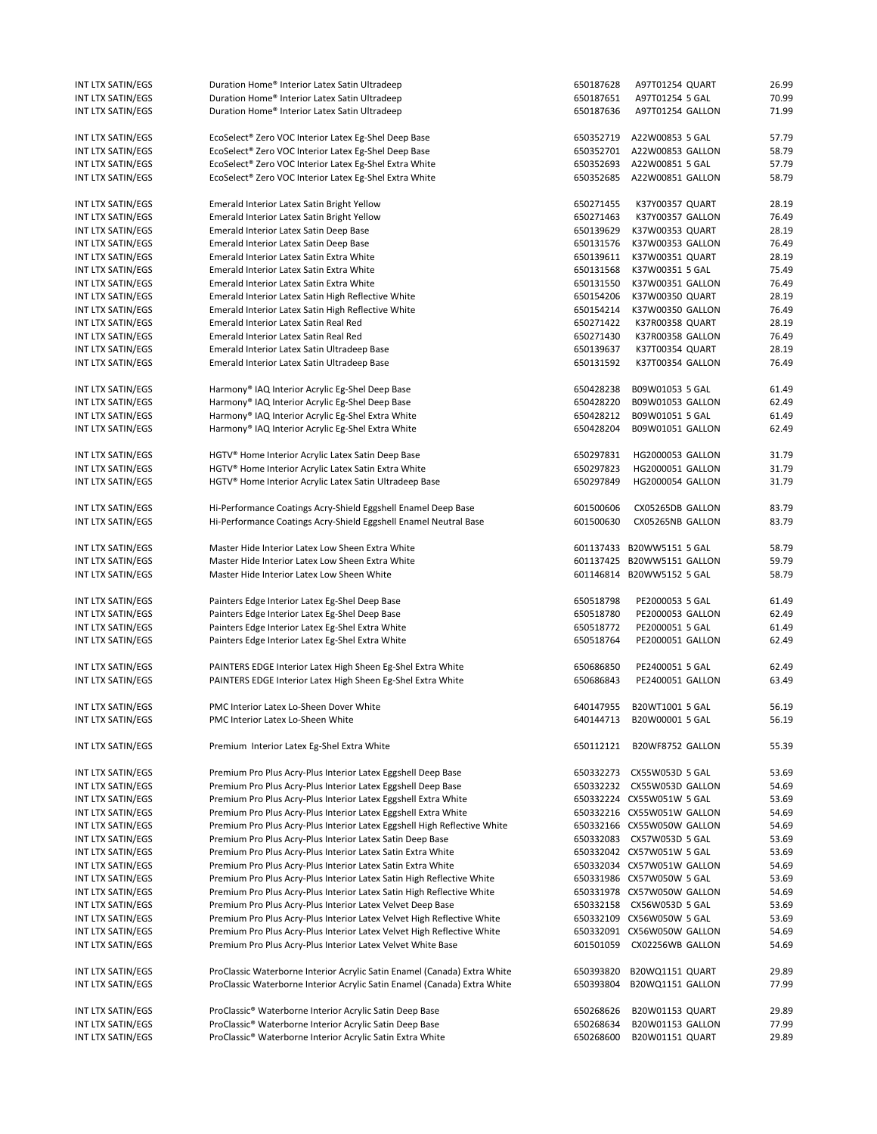| INT LTX SATIN/EGS                      | Duration Home® Interior Latex Satin Ultradeep                                                                                        | 650187628              | A97T01254 QUART                                        | 26.99          |
|----------------------------------------|--------------------------------------------------------------------------------------------------------------------------------------|------------------------|--------------------------------------------------------|----------------|
| INT LTX SATIN/EGS                      | Duration Home® Interior Latex Satin Ultradeep                                                                                        | 650187651              | A97T01254 5 GAL                                        | 70.99          |
| INT LTX SATIN/EGS                      | Duration Home® Interior Latex Satin Ultradeep                                                                                        | 650187636              | A97T01254 GALLON                                       | 71.99          |
| INT LTX SATIN/EGS                      | EcoSelect® Zero VOC Interior Latex Eg-Shel Deep Base                                                                                 | 650352719              | A22W00853 5 GAL                                        | 57.79          |
| INT LTX SATIN/EGS                      | EcoSelect® Zero VOC Interior Latex Eg-Shel Deep Base                                                                                 | 650352701              | A22W00853 GALLON                                       | 58.79          |
| INT LTX SATIN/EGS                      | EcoSelect® Zero VOC Interior Latex Eg-Shel Extra White                                                                               | 650352693              | A22W00851 5 GAL                                        | 57.79          |
| INT LTX SATIN/EGS                      | EcoSelect® Zero VOC Interior Latex Eg-Shel Extra White                                                                               | 650352685              | A22W00851 GALLON                                       | 58.79          |
| INT LTX SATIN/EGS                      | Emerald Interior Latex Satin Bright Yellow                                                                                           | 650271455              | K37Y00357 QUART                                        | 28.19          |
| INT LTX SATIN/EGS                      | Emerald Interior Latex Satin Bright Yellow                                                                                           | 650271463              | K37Y00357 GALLON                                       | 76.49          |
| INT LTX SATIN/EGS                      | Emerald Interior Latex Satin Deep Base                                                                                               | 650139629              | K37W00353 QUART                                        | 28.19          |
| INT LTX SATIN/EGS                      | Emerald Interior Latex Satin Deep Base                                                                                               | 650131576              | K37W00353 GALLON                                       | 76.49          |
| INT LTX SATIN/EGS                      | Emerald Interior Latex Satin Extra White                                                                                             | 650139611              | K37W00351 QUART                                        | 28.19          |
| INT LTX SATIN/EGS                      | Emerald Interior Latex Satin Extra White                                                                                             | 650131568              | K37W00351 5 GAL                                        | 75.49          |
| INT LTX SATIN/EGS                      | Emerald Interior Latex Satin Extra White                                                                                             | 650131550              | K37W00351 GALLON                                       | 76.49          |
| INT LTX SATIN/EGS                      | Emerald Interior Latex Satin High Reflective White                                                                                   | 650154206              | K37W00350 QUART                                        | 28.19          |
| INT LTX SATIN/EGS                      | Emerald Interior Latex Satin High Reflective White                                                                                   | 650154214              | K37W00350 GALLON                                       | 76.49          |
| INT LTX SATIN/EGS                      | Emerald Interior Latex Satin Real Red<br>Emerald Interior Latex Satin Real Red                                                       | 650271422<br>650271430 | K37R00358 QUART                                        | 28.19<br>76.49 |
| INT LTX SATIN/EGS<br>INT LTX SATIN/EGS | Emerald Interior Latex Satin Ultradeep Base                                                                                          | 650139637              | K37R00358 GALLON<br>K37T00354 QUART                    | 28.19          |
| INT LTX SATIN/EGS                      | Emerald Interior Latex Satin Ultradeep Base                                                                                          | 650131592              | K37T00354 GALLON                                       | 76.49          |
| INT LTX SATIN/EGS                      | Harmony® IAQ Interior Acrylic Eg-Shel Deep Base                                                                                      | 650428238              | B09W01053 5 GAL                                        | 61.49          |
| INT LTX SATIN/EGS                      | Harmony® IAQ Interior Acrylic Eg-Shel Deep Base                                                                                      | 650428220              | B09W01053 GALLON                                       | 62.49          |
| INT LTX SATIN/EGS                      | Harmony® IAQ Interior Acrylic Eg-Shel Extra White                                                                                    | 650428212              | B09W01051 5 GAL                                        | 61.49          |
| INT LTX SATIN/EGS                      | Harmony® IAQ Interior Acrylic Eg-Shel Extra White                                                                                    | 650428204              | B09W01051 GALLON                                       | 62.49          |
| INT LTX SATIN/EGS                      | HGTV® Home Interior Acrylic Latex Satin Deep Base                                                                                    | 650297831              | HG2000053 GALLON                                       | 31.79          |
| INT LTX SATIN/EGS                      | HGTV® Home Interior Acrylic Latex Satin Extra White                                                                                  | 650297823              | HG2000051 GALLON                                       | 31.79          |
| INT LTX SATIN/EGS                      | HGTV <sup>®</sup> Home Interior Acrylic Latex Satin Ultradeep Base                                                                   | 650297849              | HG2000054 GALLON                                       | 31.79          |
|                                        |                                                                                                                                      |                        |                                                        | 83.79          |
| INT LTX SATIN/EGS<br>INT LTX SATIN/EGS | Hi-Performance Coatings Acry-Shield Eggshell Enamel Deep Base<br>Hi-Performance Coatings Acry-Shield Eggshell Enamel Neutral Base    | 601500606<br>601500630 | CX05265DB GALLON<br>CX05265NB GALLON                   | 83.79          |
|                                        |                                                                                                                                      |                        |                                                        |                |
| INT LTX SATIN/EGS                      | Master Hide Interior Latex Low Sheen Extra White                                                                                     |                        | 601137433 B20WW5151 5 GAL                              | 58.79          |
| INT LTX SATIN/EGS                      | Master Hide Interior Latex Low Sheen Extra White                                                                                     |                        | 601137425 B20WW5151 GALLON                             | 59.79          |
| INT LTX SATIN/EGS                      | Master Hide Interior Latex Low Sheen White                                                                                           |                        | 601146814 B20WW5152 5 GAL                              | 58.79          |
| INT LTX SATIN/EGS                      | Painters Edge Interior Latex Eg-Shel Deep Base                                                                                       | 650518798              | PE2000053 5 GAL                                        | 61.49          |
| INT LTX SATIN/EGS                      | Painters Edge Interior Latex Eg-Shel Deep Base                                                                                       | 650518780              | PE2000053 GALLON                                       | 62.49          |
| INT LTX SATIN/EGS                      | Painters Edge Interior Latex Eg-Shel Extra White                                                                                     | 650518772              | PE2000051 5 GAL                                        | 61.49          |
| INT LTX SATIN/EGS                      | Painters Edge Interior Latex Eg-Shel Extra White                                                                                     | 650518764              | PE2000051 GALLON                                       | 62.49          |
| INT LTX SATIN/EGS                      | PAINTERS EDGE Interior Latex High Sheen Eg-Shel Extra White                                                                          | 650686850              | PE2400051 5 GAL                                        | 62.49          |
| INT LTX SATIN/EGS                      | PAINTERS EDGE Interior Latex High Sheen Eg-Shel Extra White                                                                          | 650686843              | PE2400051 GALLON                                       | 63.49          |
| INT LTX SATIN/EGS                      | PMC Interior Latex Lo-Sheen Dover White                                                                                              |                        | 640147955 B20WT1001 5 GAL                              | 56.19          |
| INT LTX SATIN/EGS                      | PMC Interior Latex Lo-Sheen White                                                                                                    |                        | 640144713 B20W00001 5 GAL                              | 56.19          |
|                                        |                                                                                                                                      |                        |                                                        |                |
| INT LTX SATIN/EGS                      | Premium Interior Latex Eg-Shel Extra White                                                                                           | 650112121              | B20WF8752 GALLON                                       | 55.39          |
| INT LTX SATIN/EGS                      | Premium Pro Plus Acry-Plus Interior Latex Eggshell Deep Base                                                                         | 650332273              | CX55W053D 5 GAL                                        | 53.69          |
| INT LTX SATIN/EGS                      | Premium Pro Plus Acry-Plus Interior Latex Eggshell Deep Base                                                                         |                        | 650332232 CX55W053D GALLON                             | 54.69          |
| INT LTX SATIN/EGS                      | Premium Pro Plus Acry-Plus Interior Latex Eggshell Extra White                                                                       |                        | 650332224 CX55W051W 5 GAL                              | 53.69          |
| INT LTX SATIN/EGS                      | Premium Pro Plus Acry-Plus Interior Latex Eggshell Extra White                                                                       |                        | 650332216 CX55W051W GALLON                             | 54.69          |
| INT LTX SATIN/EGS                      | Premium Pro Plus Acry-Plus Interior Latex Eggshell High Reflective White                                                             |                        | 650332166 CX55W050W GALLON                             | 54.69          |
| INT LTX SATIN/EGS                      | Premium Pro Plus Acry-Plus Interior Latex Satin Deep Base                                                                            |                        | 650332083 CX57W053D 5 GAL                              | 53.69          |
| INT LTX SATIN/EGS                      | Premium Pro Plus Acry-Plus Interior Latex Satin Extra White                                                                          |                        | 650332042 CX57W051W 5 GAL                              | 53.69          |
| INT LTX SATIN/EGS                      | Premium Pro Plus Acry-Plus Interior Latex Satin Extra White                                                                          |                        | 650332034 CX57W051W GALLON                             | 54.69          |
| INT LTX SATIN/EGS                      | Premium Pro Plus Acry-Plus Interior Latex Satin High Reflective White                                                                |                        | 650331986 CX57W050W 5 GAL                              | 53.69          |
| INT LTX SATIN/EGS                      | Premium Pro Plus Acry-Plus Interior Latex Satin High Reflective White                                                                |                        | 650331978 CX57W050W GALLON                             | 54.69          |
| INT LTX SATIN/EGS<br>INT LTX SATIN/EGS | Premium Pro Plus Acry-Plus Interior Latex Velvet Deep Base<br>Premium Pro Plus Acry-Plus Interior Latex Velvet High Reflective White |                        | 650332158 CX56W053D 5 GAL<br>650332109 CX56W050W 5 GAL | 53.69<br>53.69 |
| INT LTX SATIN/EGS                      | Premium Pro Plus Acry-Plus Interior Latex Velvet High Reflective White                                                               |                        | 650332091 CX56W050W GALLON                             | 54.69          |
| INT LTX SATIN/EGS                      | Premium Pro Plus Acry-Plus Interior Latex Velvet White Base                                                                          | 601501059              | CX02256WB GALLON                                       | 54.69          |
|                                        |                                                                                                                                      |                        |                                                        |                |
| INT LTX SATIN/EGS                      | ProClassic Waterborne Interior Acrylic Satin Enamel (Canada) Extra White                                                             | 650393820              | B20WQ1151 QUART                                        | 29.89          |
| INT LTX SATIN/EGS                      | ProClassic Waterborne Interior Acrylic Satin Enamel (Canada) Extra White                                                             | 650393804              | B20WQ1151 GALLON                                       | 77.99          |
| INT LTX SATIN/EGS                      | ProClassic® Waterborne Interior Acrylic Satin Deep Base                                                                              | 650268626              | <b>B20W01153 QUART</b>                                 | 29.89          |
| INT LTX SATIN/EGS                      | ProClassic <sup>®</sup> Waterborne Interior Acrylic Satin Deep Base                                                                  | 650268634              | B20W01153 GALLON                                       | 77.99          |
| INT LTX SATIN/EGS                      | ProClassic® Waterborne Interior Acrylic Satin Extra White                                                                            | 650268600              | B20W01151 QUART                                        | 29.89          |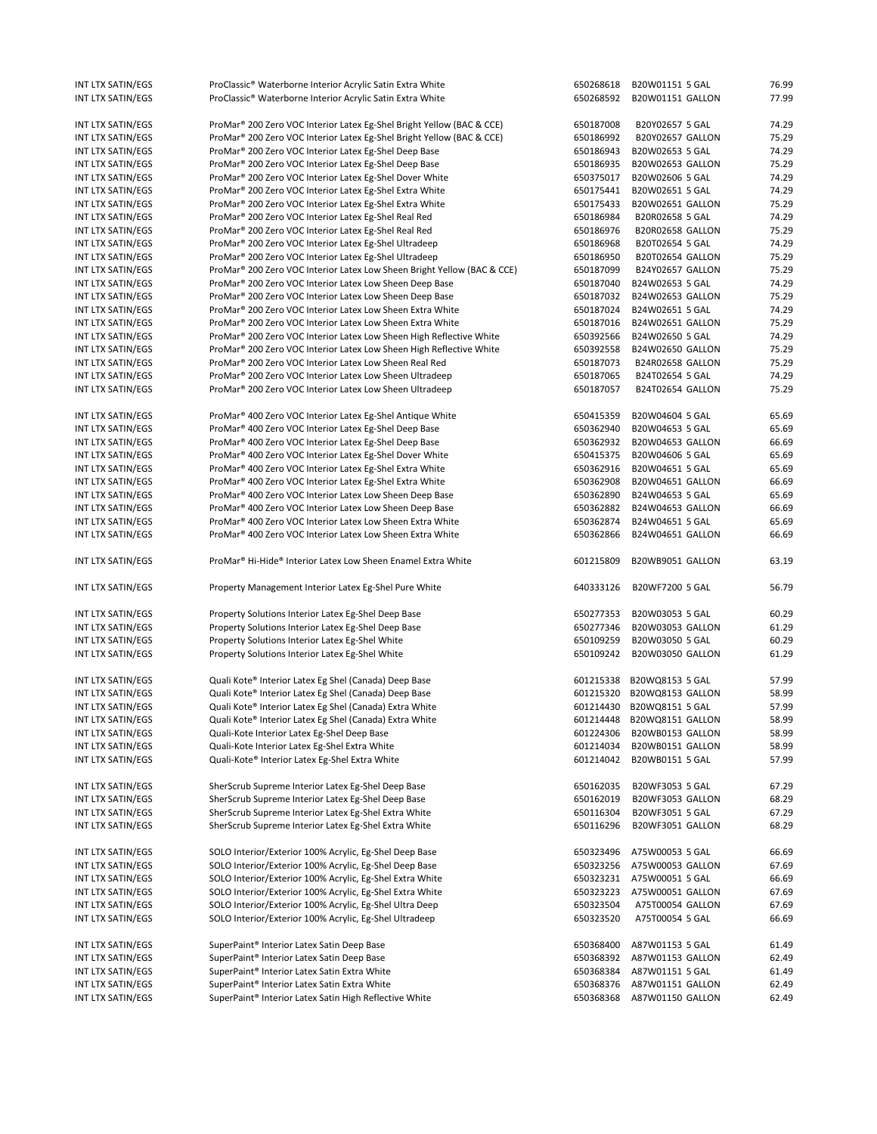| INT LTX SATIN/EGS | ProClassic® Waterborne Interior Acrylic Satin Extra White                            | 650268618 | B20W01151 5 GAL         | 76.99 |
|-------------------|--------------------------------------------------------------------------------------|-----------|-------------------------|-------|
| INT LTX SATIN/EGS | ProClassic® Waterborne Interior Acrylic Satin Extra White                            | 650268592 | B20W01151 GALLON        | 77.99 |
|                   |                                                                                      |           |                         |       |
| INT LTX SATIN/EGS | ProMar <sup>®</sup> 200 Zero VOC Interior Latex Eg-Shel Bright Yellow (BAC & CCE)    | 650187008 | B20Y02657 5 GAL         | 74.29 |
| INT LTX SATIN/EGS | ProMar <sup>®</sup> 200 Zero VOC Interior Latex Eg-Shel Bright Yellow (BAC & CCE)    | 650186992 | <b>B20Y02657 GALLON</b> | 75.29 |
| INT LTX SATIN/EGS | ProMar® 200 Zero VOC Interior Latex Eg-Shel Deep Base                                | 650186943 | B20W02653 5 GAL         | 74.29 |
| INT LTX SATIN/EGS | ProMar <sup>®</sup> 200 Zero VOC Interior Latex Eg-Shel Deep Base                    | 650186935 | B20W02653 GALLON        | 75.29 |
| INT LTX SATIN/EGS | ProMar <sup>®</sup> 200 Zero VOC Interior Latex Eg-Shel Dover White                  | 650375017 | B20W02606 5 GAL         | 74.29 |
| INT LTX SATIN/EGS | ProMar® 200 Zero VOC Interior Latex Eg-Shel Extra White                              | 650175441 | B20W02651 5 GAL         | 74.29 |
| INT LTX SATIN/EGS | ProMar <sup>®</sup> 200 Zero VOC Interior Latex Eg-Shel Extra White                  | 650175433 | B20W02651 GALLON        | 75.29 |
| INT LTX SATIN/EGS | ProMar <sup>®</sup> 200 Zero VOC Interior Latex Eg-Shel Real Red                     | 650186984 | B20R02658 5 GAL         | 74.29 |
| INT LTX SATIN/EGS | ProMar <sup>®</sup> 200 Zero VOC Interior Latex Eg-Shel Real Red                     | 650186976 | B20R02658 GALLON        | 75.29 |
| INT LTX SATIN/EGS | ProMar <sup>®</sup> 200 Zero VOC Interior Latex Eg-Shel Ultradeep                    | 650186968 | B20T02654 5 GAL         | 74.29 |
| INT LTX SATIN/EGS | ProMar® 200 Zero VOC Interior Latex Eg-Shel Ultradeep                                | 650186950 | B20T02654 GALLON        | 75.29 |
| INT LTX SATIN/EGS | ProMar <sup>®</sup> 200 Zero VOC Interior Latex Low Sheen Bright Yellow (BAC & CCE)  | 650187099 | B24Y02657 GALLON        | 75.29 |
| INT LTX SATIN/EGS | ProMar <sup>®</sup> 200 Zero VOC Interior Latex Low Sheen Deep Base                  | 650187040 | B24W02653 5 GAL         | 74.29 |
| INT LTX SATIN/EGS | ProMar <sup>®</sup> 200 Zero VOC Interior Latex Low Sheen Deep Base                  | 650187032 | B24W02653 GALLON        | 75.29 |
| INT LTX SATIN/EGS | ProMar <sup>®</sup> 200 Zero VOC Interior Latex Low Sheen Extra White                | 650187024 | B24W02651 5 GAL         | 74.29 |
| INT LTX SATIN/EGS | ProMar <sup>®</sup> 200 Zero VOC Interior Latex Low Sheen Extra White                | 650187016 | B24W02651 GALLON        | 75.29 |
| INT LTX SATIN/EGS | ProMar® 200 Zero VOC Interior Latex Low Sheen High Reflective White                  | 650392566 | B24W02650 5 GAL         | 74.29 |
| INT LTX SATIN/EGS | ProMar® 200 Zero VOC Interior Latex Low Sheen High Reflective White                  | 650392558 | B24W02650 GALLON        | 75.29 |
| INT LTX SATIN/EGS | ProMar <sup>®</sup> 200 Zero VOC Interior Latex Low Sheen Real Red                   | 650187073 | B24R02658 GALLON        | 75.29 |
| INT LTX SATIN/EGS | ProMar <sup>®</sup> 200 Zero VOC Interior Latex Low Sheen Ultradeep                  | 650187065 | B24T02654 5 GAL         | 74.29 |
| INT LTX SATIN/EGS | ProMar <sup>®</sup> 200 Zero VOC Interior Latex Low Sheen Ultradeep                  | 650187057 | B24T02654 GALLON        | 75.29 |
|                   |                                                                                      |           |                         |       |
| INT LTX SATIN/EGS | ProMar <sup>®</sup> 400 Zero VOC Interior Latex Eg-Shel Antique White                | 650415359 | B20W04604 5 GAL         | 65.69 |
| INT LTX SATIN/EGS | ProMar <sup>®</sup> 400 Zero VOC Interior Latex Eg-Shel Deep Base                    | 650362940 | B20W04653 5 GAL         | 65.69 |
| INT LTX SATIN/EGS | ProMar <sup>®</sup> 400 Zero VOC Interior Latex Eg-Shel Deep Base                    | 650362932 | B20W04653 GALLON        | 66.69 |
| INT LTX SATIN/EGS | ProMar <sup>®</sup> 400 Zero VOC Interior Latex Eg-Shel Dover White                  | 650415375 | B20W04606 5 GAL         | 65.69 |
| INT LTX SATIN/EGS | ProMar <sup>®</sup> 400 Zero VOC Interior Latex Eg-Shel Extra White                  | 650362916 | B20W04651 5 GAL         | 65.69 |
| INT LTX SATIN/EGS | ProMar <sup>®</sup> 400 Zero VOC Interior Latex Eg-Shel Extra White                  | 650362908 | B20W04651 GALLON        | 66.69 |
| INT LTX SATIN/EGS | ProMar <sup>®</sup> 400 Zero VOC Interior Latex Low Sheen Deep Base                  | 650362890 | B24W04653 5 GAL         | 65.69 |
| INT LTX SATIN/EGS | ProMar <sup>®</sup> 400 Zero VOC Interior Latex Low Sheen Deep Base                  | 650362882 | B24W04653 GALLON        | 66.69 |
| INT LTX SATIN/EGS | ProMar <sup>®</sup> 400 Zero VOC Interior Latex Low Sheen Extra White                | 650362874 | B24W04651 5 GAL         | 65.69 |
| INT LTX SATIN/EGS | ProMar <sup>®</sup> 400 Zero VOC Interior Latex Low Sheen Extra White                | 650362866 | B24W04651 GALLON        | 66.69 |
|                   |                                                                                      |           |                         |       |
| INT LTX SATIN/EGS | ProMar <sup>®</sup> Hi-Hide <sup>®</sup> Interior Latex Low Sheen Enamel Extra White | 601215809 | B20WB9051 GALLON        | 63.19 |
| INT LTX SATIN/EGS | Property Management Interior Latex Eg-Shel Pure White                                | 640333126 | B20WF7200 5 GAL         | 56.79 |
|                   |                                                                                      |           |                         |       |
| INT LTX SATIN/EGS | Property Solutions Interior Latex Eg-Shel Deep Base                                  | 650277353 | B20W03053 5 GAL         | 60.29 |
| INT LTX SATIN/EGS | Property Solutions Interior Latex Eg-Shel Deep Base                                  | 650277346 | B20W03053 GALLON        | 61.29 |
| INT LTX SATIN/EGS | Property Solutions Interior Latex Eg-Shel White                                      | 650109259 | B20W03050 5 GAL         | 60.29 |
| INT LTX SATIN/EGS | Property Solutions Interior Latex Eg-Shel White                                      | 650109242 | B20W03050 GALLON        | 61.29 |
| INT LTX SATIN/EGS | Quali Kote® Interior Latex Eg Shel (Canada) Deep Base                                | 601215338 | B20WQ8153 5 GAL         | 57.99 |
| INT LTX SATIN/EGS | Quali Kote® Interior Latex Eg Shel (Canada) Deep Base                                | 601215320 | B20WQ8153 GALLON        | 58.99 |
| INT LTX SATIN/EGS | Quali Kote® Interior Latex Eg Shel (Canada) Extra White                              | 601214430 | B20WQ8151 5 GAL         | 57.99 |
|                   |                                                                                      |           | B20WQ8151 GALLON        |       |
| INT LTX SATIN/EGS | Quali Kote® Interior Latex Eg Shel (Canada) Extra White                              | 601214448 |                         | 58.99 |
| INT LTX SATIN/EGS | Quali-Kote Interior Latex Eg-Shel Deep Base                                          | 601224306 | B20WB0153 GALLON        | 58.99 |
| INT LTX SATIN/EGS | Quali-Kote Interior Latex Eg-Shel Extra White                                        | 601214034 | B20WB0151 GALLON        | 58.99 |
| INT LTX SATIN/EGS | Quali-Kote® Interior Latex Eg-Shel Extra White                                       | 601214042 | B20WB0151 5 GAL         | 57.99 |
| INT LTX SATIN/EGS | SherScrub Supreme Interior Latex Eg-Shel Deep Base                                   | 650162035 | B20WF3053 5 GAL         | 67.29 |
| INT LTX SATIN/EGS | SherScrub Supreme Interior Latex Eg-Shel Deep Base                                   | 650162019 | B20WF3053 GALLON        | 68.29 |
| INT LTX SATIN/EGS | SherScrub Supreme Interior Latex Eg-Shel Extra White                                 | 650116304 | B20WF3051 5 GAL         | 67.29 |
| INT LTX SATIN/EGS | SherScrub Supreme Interior Latex Eg-Shel Extra White                                 | 650116296 | B20WF3051 GALLON        | 68.29 |
|                   |                                                                                      |           |                         |       |
| INT LTX SATIN/EGS | SOLO Interior/Exterior 100% Acrylic, Eg-Shel Deep Base                               | 650323496 | A75W00053 5 GAL         | 66.69 |
| INT LTX SATIN/EGS | SOLO Interior/Exterior 100% Acrylic, Eg-Shel Deep Base                               | 650323256 | A75W00053 GALLON        | 67.69 |
| INT LTX SATIN/EGS | SOLO Interior/Exterior 100% Acrylic, Eg-Shel Extra White                             | 650323231 | A75W00051 5 GAL         | 66.69 |
| INT LTX SATIN/EGS | SOLO Interior/Exterior 100% Acrylic, Eg-Shel Extra White                             | 650323223 | A75W00051 GALLON        | 67.69 |
| INT LTX SATIN/EGS | SOLO Interior/Exterior 100% Acrylic, Eg-Shel Ultra Deep                              | 650323504 | A75T00054 GALLON        | 67.69 |
| INT LTX SATIN/EGS | SOLO Interior/Exterior 100% Acrylic, Eg-Shel Ultradeep                               | 650323520 | A75T00054 5 GAL         | 66.69 |
|                   |                                                                                      |           |                         |       |
| INT LTX SATIN/EGS | SuperPaint <sup>®</sup> Interior Latex Satin Deep Base                               | 650368400 | A87W01153 5 GAL         | 61.49 |
| INT LTX SATIN/EGS | SuperPaint® Interior Latex Satin Deep Base                                           | 650368392 | A87W01153 GALLON        | 62.49 |
| INT LTX SATIN/EGS | SuperPaint® Interior Latex Satin Extra White                                         | 650368384 | A87W01151 5 GAL         | 61.49 |
| INT LTX SATIN/EGS | SuperPaint <sup>®</sup> Interior Latex Satin Extra White                             | 650368376 | A87W01151 GALLON        | 62.49 |
| INT LTX SATIN/EGS | SuperPaint® Interior Latex Satin High Reflective White                               | 650368368 | A87W01150 GALLON        | 62.49 |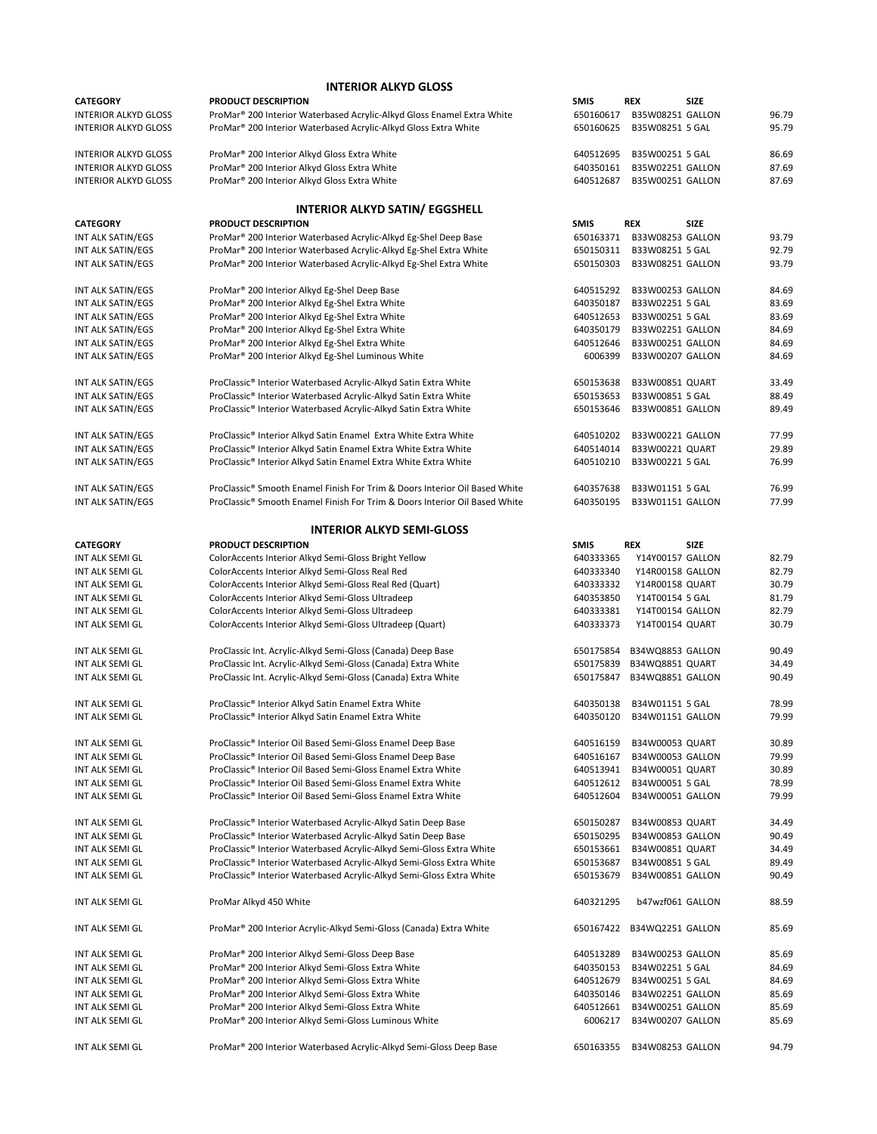| <b>CATEGORY</b>             | <b>PRODUCT DESCRIPTION</b>                                                 | <b>SMIS</b> | <b>REX</b>             | <b>SIZE</b> |       |
|-----------------------------|----------------------------------------------------------------------------|-------------|------------------------|-------------|-------|
| <b>INTERIOR ALKYD GLOSS</b> | ProMar® 200 Interior Waterbased Acrylic-Alkyd Gloss Enamel Extra White     | 650160617   | B35W08251 GALLON       |             | 96.79 |
| <b>INTERIOR ALKYD GLOSS</b> | ProMar® 200 Interior Waterbased Acrylic-Alkyd Gloss Extra White            | 650160625   | B35W08251 5 GAL        |             | 95.79 |
| <b>INTERIOR ALKYD GLOSS</b> | ProMar <sup>®</sup> 200 Interior Alkyd Gloss Extra White                   | 640512695   | B35W00251 5 GAL        |             | 86.69 |
| <b>INTERIOR ALKYD GLOSS</b> | ProMar® 200 Interior Alkyd Gloss Extra White                               | 640350161   | B35W02251 GALLON       |             | 87.69 |
| <b>INTERIOR ALKYD GLOSS</b> | ProMar <sup>®</sup> 200 Interior Alkyd Gloss Extra White                   | 640512687   | B35W00251 GALLON       |             | 87.69 |
|                             | <b>INTERIOR ALKYD SATIN/ EGGSHELL</b>                                      |             |                        |             |       |
| <b>CATEGORY</b>             | PRODUCT DESCRIPTION                                                        | <b>SMIS</b> | REX                    | <b>SIZE</b> |       |
| INT ALK SATIN/EGS           | ProMar® 200 Interior Waterbased Acrylic-Alkyd Eg-Shel Deep Base            | 650163371   | B33W08253 GALLON       |             | 93.79 |
| INT ALK SATIN/EGS           | ProMar® 200 Interior Waterbased Acrylic-Alkyd Eg-Shel Extra White          | 650150311   | B33W08251 5 GAL        |             | 92.79 |
| INT ALK SATIN/EGS           | ProMar® 200 Interior Waterbased Acrylic-Alkyd Eg-Shel Extra White          | 650150303   | B33W08251 GALLON       |             | 93.79 |
| INT ALK SATIN/EGS           | ProMar® 200 Interior Alkyd Eg-Shel Deep Base                               | 640515292   | B33W00253 GALLON       |             | 84.69 |
| INT ALK SATIN/EGS           | ProMar® 200 Interior Alkyd Eg-Shel Extra White                             | 640350187   | B33W02251 5 GAL        |             | 83.69 |
| INT ALK SATIN/EGS           | ProMar® 200 Interior Alkyd Eg-Shel Extra White                             | 640512653   | B33W00251 5 GAL        |             | 83.69 |
| INT ALK SATIN/EGS           | ProMar® 200 Interior Alkyd Eg-Shel Extra White                             | 640350179   | B33W02251 GALLON       |             | 84.69 |
| INT ALK SATIN/EGS           | ProMar® 200 Interior Alkyd Eg-Shel Extra White                             | 640512646   | B33W00251 GALLON       |             | 84.69 |
| INT ALK SATIN/EGS           | ProMar® 200 Interior Alkyd Eg-Shel Luminous White                          | 6006399     | B33W00207 GALLON       |             | 84.69 |
| INT ALK SATIN/EGS           | ProClassic® Interior Waterbased Acrylic-Alkyd Satin Extra White            | 650153638   | B33W00851 QUART        |             | 33.49 |
| INT ALK SATIN/EGS           | ProClassic® Interior Waterbased Acrylic-Alkyd Satin Extra White            | 650153653   | B33W00851 5 GAL        |             | 88.49 |
| INT ALK SATIN/EGS           | ProClassic® Interior Waterbased Acrylic-Alkyd Satin Extra White            | 650153646   | B33W00851 GALLON       |             | 89.49 |
|                             |                                                                            |             |                        |             |       |
| INT ALK SATIN/EGS           | ProClassic® Interior Alkyd Satin Enamel Extra White Extra White            | 640510202   | B33W00221 GALLON       |             | 77.99 |
| INT ALK SATIN/EGS           | ProClassic® Interior Alkyd Satin Enamel Extra White Extra White            | 640514014   | B33W00221 QUART        |             | 29.89 |
| INT ALK SATIN/EGS           | ProClassic® Interior Alkyd Satin Enamel Extra White Extra White            | 640510210   | B33W00221 5 GAL        |             | 76.99 |
| INT ALK SATIN/EGS           | ProClassic® Smooth Enamel Finish For Trim & Doors Interior Oil Based White | 640357638   | B33W01151 5 GAL        |             | 76.99 |
| INT ALK SATIN/EGS           | ProClassic® Smooth Enamel Finish For Trim & Doors Interior Oil Based White | 640350195   | B33W01151 GALLON       |             | 77.99 |
|                             | <b>INTERIOR ALKYD SEMI-GLOSS</b>                                           |             |                        |             |       |
| <b>CATEGORY</b>             | <b>PRODUCT DESCRIPTION</b>                                                 | <b>SMIS</b> | REX                    | <b>SIZE</b> |       |
| INT ALK SEMI GL             | ColorAccents Interior Alkyd Semi-Gloss Bright Yellow                       | 640333365   | Y14Y00157 GALLON       |             | 82.79 |
| INT ALK SEMI GL             | ColorAccents Interior Alkyd Semi-Gloss Real Red                            | 640333340   | Y14R00158 GALLON       |             | 82.79 |
| INT ALK SEMI GL             | ColorAccents Interior Alkyd Semi-Gloss Real Red (Quart)                    | 640333332   | Y14R00158 QUART        |             | 30.79 |
| INT ALK SEMI GL             | ColorAccents Interior Alkyd Semi-Gloss Ultradeep                           | 640353850   | Y14T00154 5 GAL        |             | 81.79 |
| INT ALK SEMI GL             | ColorAccents Interior Alkyd Semi-Gloss Ultradeep                           | 640333381   | Y14T00154 GALLON       |             | 82.79 |
| INT ALK SEMI GL             | ColorAccents Interior Alkyd Semi-Gloss Ultradeep (Quart)                   | 640333373   | Y14T00154 QUART        |             | 30.79 |
| INT ALK SEMI GL             | ProClassic Int. Acrylic-Alkyd Semi-Gloss (Canada) Deep Base                | 650175854   | B34WQ8853 GALLON       |             | 90.49 |
| INT ALK SEMI GL             | ProClassic Int. Acrylic-Alkyd Semi-Gloss (Canada) Extra White              | 650175839   | B34WQ8851 QUART        |             | 34.49 |
| INT ALK SEMI GL             | ProClassic Int. Acrylic-Alkyd Semi-Gloss (Canada) Extra White              | 650175847   | B34WQ8851 GALLON       |             | 90.49 |
| INT ALK SEMI GL             | ProClassic® Interior Alkyd Satin Enamel Extra White                        | 640350138   | B34W01151 5 GAL        |             | 78.99 |
| <b>INT ALK SEMI GL</b>      | ProClassic® Interior Alkyd Satin Enamel Extra White                        | 640350120   | B34W01151 GALLON       |             | 79.99 |
| INT ALK SEMI GL             | ProClassic® Interior Oil Based Semi-Gloss Enamel Deep Base                 | 640516159   | <b>B34W00053 QUART</b> |             | 30.89 |
| INT ALK SEMI GL             | ProClassic® Interior Oil Based Semi-Gloss Enamel Deep Base                 | 640516167   | B34W00053 GALLON       |             | 79.99 |
| INT ALK SEMI GL             | ProClassic® Interior Oil Based Semi-Gloss Enamel Extra White               | 640513941   | B34W00051 QUART        |             | 30.89 |
| INT ALK SEMI GL             | ProClassic® Interior Oil Based Semi-Gloss Enamel Extra White               | 640512612   | B34W00051 5 GAL        |             | 78.99 |
| INT ALK SEMI GL             | ProClassic® Interior Oil Based Semi-Gloss Enamel Extra White               | 640512604   | B34W00051 GALLON       |             | 79.99 |
| INT ALK SEMI GL             | ProClassic® Interior Waterbased Acrylic-Alkyd Satin Deep Base              | 650150287   | B34W00853 QUART        |             | 34.49 |
| INT ALK SEMI GL             | ProClassic® Interior Waterbased Acrylic-Alkyd Satin Deep Base              | 650150295   | B34W00853 GALLON       |             | 90.49 |
| INT ALK SEMI GL             | ProClassic® Interior Waterbased Acrylic-Alkyd Semi-Gloss Extra White       | 650153661   | B34W00851 QUART        |             | 34.49 |
| INT ALK SEMI GL             | ProClassic® Interior Waterbased Acrylic-Alkyd Semi-Gloss Extra White       | 650153687   | B34W00851 5 GAL        |             | 89.49 |
| INT ALK SEMI GL             | ProClassic® Interior Waterbased Acrylic-Alkyd Semi-Gloss Extra White       | 650153679   | B34W00851 GALLON       |             | 90.49 |
| INT ALK SEMI GL             | ProMar Alkyd 450 White                                                     | 640321295   | b47wzf061 GALLON       |             | 88.59 |
| INT ALK SEMI GL             | ProMar® 200 Interior Acrylic-Alkyd Semi-Gloss (Canada) Extra White         | 650167422   | B34WQ2251 GALLON       |             | 85.69 |
| INT ALK SEMI GL             | ProMar <sup>®</sup> 200 Interior Alkyd Semi-Gloss Deep Base                | 640513289   | B34W00253 GALLON       |             | 85.69 |
| INT ALK SEMI GL             | ProMar® 200 Interior Alkyd Semi-Gloss Extra White                          | 640350153   | B34W02251 5 GAL        |             | 84.69 |
| INT ALK SEMI GL             | ProMar <sup>®</sup> 200 Interior Alkyd Semi-Gloss Extra White              | 640512679   | B34W00251 5 GAL        |             | 84.69 |
| INT ALK SEMI GL             | ProMar® 200 Interior Alkyd Semi-Gloss Extra White                          | 640350146   | B34W02251 GALLON       |             | 85.69 |
| INT ALK SEMI GL             | ProMar® 200 Interior Alkyd Semi-Gloss Extra White                          | 640512661   | B34W00251 GALLON       |             | 85.69 |
| INT ALK SEMI GL             | ProMar® 200 Interior Alkyd Semi-Gloss Luminous White                       | 6006217     | B34W00207 GALLON       |             | 85.69 |
| INT ALK SEMI GL             | ProMar® 200 Interior Waterbased Acrylic-Alkyd Semi-Gloss Deep Base         | 650163355   | B34W08253 GALLON       |             | 94.79 |

## **INTERIOR ALKYD GLOSS**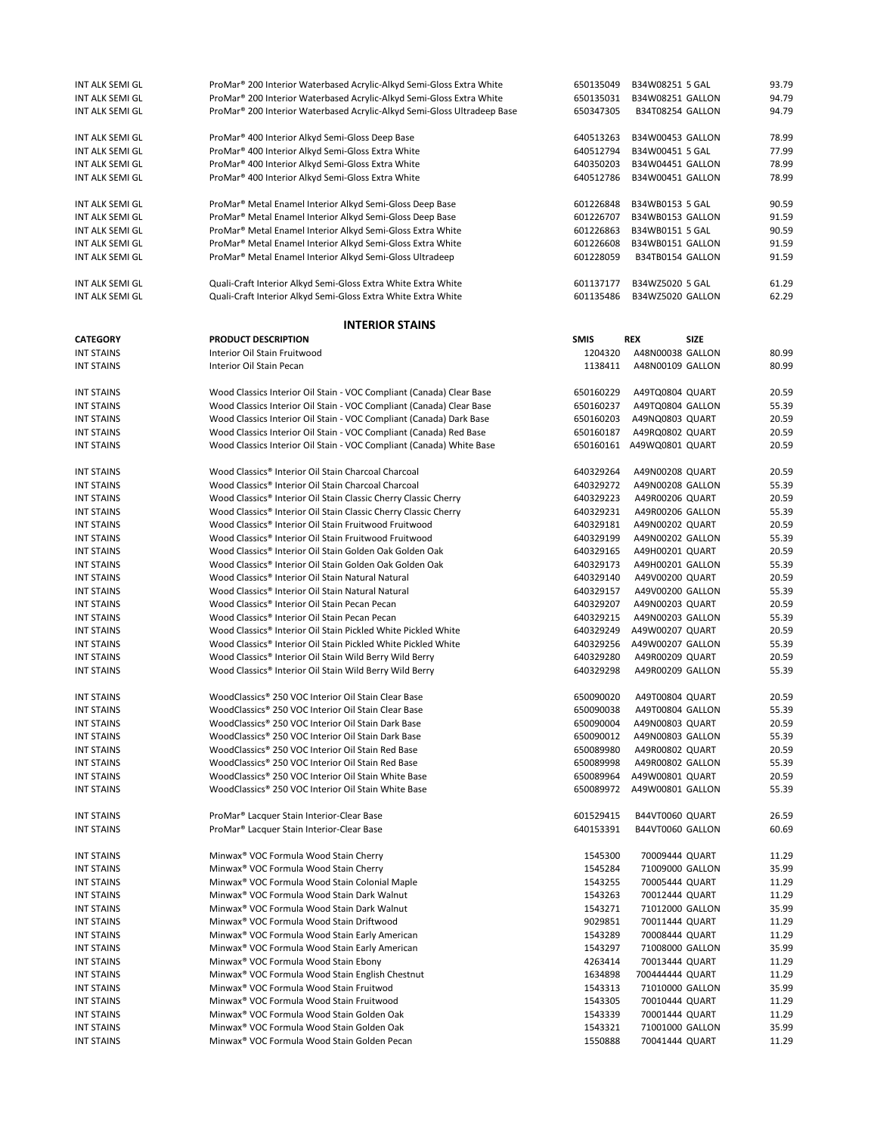| INT ALK SEMI GL   | ProMar® 200 Interior Waterbased Acrylic-Alkyd Semi-Gloss Extra White                | 650135049   | B34W08251 5 GAL           | 93.79 |
|-------------------|-------------------------------------------------------------------------------------|-------------|---------------------------|-------|
| INT ALK SEMI GL   | ProMar® 200 Interior Waterbased Acrylic-Alkyd Semi-Gloss Extra White                | 650135031   | B34W08251 GALLON          | 94.79 |
| INT ALK SEMI GL   | ProMar <sup>®</sup> 200 Interior Waterbased Acrylic-Alkyd Semi-Gloss Ultradeep Base | 650347305   | B34T08254 GALLON          | 94.79 |
|                   |                                                                                     |             |                           |       |
| INT ALK SEMI GL   | ProMar <sup>®</sup> 400 Interior Alkyd Semi-Gloss Deep Base                         | 640513263   | B34W00453 GALLON          | 78.99 |
|                   |                                                                                     |             |                           |       |
| INT ALK SEMI GL   | ProMar <sup>®</sup> 400 Interior Alkyd Semi-Gloss Extra White                       | 640512794   | B34W00451 5 GAL           | 77.99 |
| INT ALK SEMI GL   | ProMar <sup>®</sup> 400 Interior Alkyd Semi-Gloss Extra White                       | 640350203   | B34W04451 GALLON          | 78.99 |
| INT ALK SEMI GL   | ProMar <sup>®</sup> 400 Interior Alkyd Semi-Gloss Extra White                       | 640512786   | B34W00451 GALLON          | 78.99 |
|                   |                                                                                     |             |                           |       |
| INT ALK SEMI GL   | ProMar® Metal Enamel Interior Alkyd Semi-Gloss Deep Base                            | 601226848   | B34WB0153 5 GAL           | 90.59 |
| INT ALK SEMI GL   | ProMar <sup>®</sup> Metal Enamel Interior Alkyd Semi-Gloss Deep Base                | 601226707   | B34WB0153 GALLON          | 91.59 |
|                   |                                                                                     |             | B34WB0151 5 GAL           |       |
| INT ALK SEMI GL   | ProMar <sup>®</sup> Metal Enamel Interior Alkyd Semi-Gloss Extra White              | 601226863   |                           | 90.59 |
| INT ALK SEMI GL   | ProMar <sup>®</sup> Metal Enamel Interior Alkyd Semi-Gloss Extra White              | 601226608   | B34WB0151 GALLON          | 91.59 |
| INT ALK SEMI GL   | ProMar <sup>®</sup> Metal Enamel Interior Alkyd Semi-Gloss Ultradeep                | 601228059   | B34TB0154 GALLON          | 91.59 |
|                   |                                                                                     |             |                           |       |
| INT ALK SEMI GL   | Quali-Craft Interior Alkyd Semi-Gloss Extra White Extra White                       | 601137177   | B34WZ5020 5 GAL           | 61.29 |
| INT ALK SEMI GL   | Quali-Craft Interior Alkyd Semi-Gloss Extra White Extra White                       | 601135486   | B34WZ5020 GALLON          | 62.29 |
|                   |                                                                                     |             |                           |       |
|                   |                                                                                     |             |                           |       |
|                   | <b>INTERIOR STAINS</b>                                                              |             |                           |       |
| <b>CATEGORY</b>   | PRODUCT DESCRIPTION                                                                 | <b>SMIS</b> | <b>REX</b><br><b>SIZE</b> |       |
| <b>INT STAINS</b> | Interior Oil Stain Fruitwood                                                        | 1204320     | A48N00038 GALLON          | 80.99 |
| <b>INT STAINS</b> | Interior Oil Stain Pecan                                                            | 1138411     | A48N00109 GALLON          | 80.99 |
|                   |                                                                                     |             |                           |       |
| <b>INT STAINS</b> | Wood Classics Interior Oil Stain - VOC Compliant (Canada) Clear Base                | 650160229   | A49TQ0804 QUART           | 20.59 |
|                   |                                                                                     |             |                           |       |
| <b>INT STAINS</b> | Wood Classics Interior Oil Stain - VOC Compliant (Canada) Clear Base                | 650160237   | A49TQ0804 GALLON          | 55.39 |
| <b>INT STAINS</b> | Wood Classics Interior Oil Stain - VOC Compliant (Canada) Dark Base                 | 650160203   | A49NQ0803 QUART           | 20.59 |
| <b>INT STAINS</b> | Wood Classics Interior Oil Stain - VOC Compliant (Canada) Red Base                  | 650160187   | A49RQ0802 QUART           | 20.59 |
| <b>INT STAINS</b> | Wood Classics Interior Oil Stain - VOC Compliant (Canada) White Base                |             | 650160161 A49WQ0801 QUART | 20.59 |
|                   |                                                                                     |             |                           |       |
| <b>INT STAINS</b> | Wood Classics® Interior Oil Stain Charcoal Charcoal                                 | 640329264   | A49N00208 QUART           | 20.59 |
| <b>INT STAINS</b> | Wood Classics® Interior Oil Stain Charcoal Charcoal                                 | 640329272   | A49N00208 GALLON          | 55.39 |
|                   |                                                                                     |             |                           |       |
| <b>INT STAINS</b> | Wood Classics® Interior Oil Stain Classic Cherry Classic Cherry                     | 640329223   | A49R00206 QUART           | 20.59 |
| <b>INT STAINS</b> | Wood Classics® Interior Oil Stain Classic Cherry Classic Cherry                     | 640329231   | A49R00206 GALLON          | 55.39 |
| <b>INT STAINS</b> | Wood Classics® Interior Oil Stain Fruitwood Fruitwood                               | 640329181   | A49N00202 QUART           | 20.59 |
| <b>INT STAINS</b> | Wood Classics® Interior Oil Stain Fruitwood Fruitwood                               | 640329199   | A49N00202 GALLON          | 55.39 |
| <b>INT STAINS</b> | Wood Classics® Interior Oil Stain Golden Oak Golden Oak                             | 640329165   | A49H00201 QUART           | 20.59 |
| <b>INT STAINS</b> | Wood Classics® Interior Oil Stain Golden Oak Golden Oak                             | 640329173   | A49H00201 GALLON          | 55.39 |
| <b>INT STAINS</b> | Wood Classics® Interior Oil Stain Natural Natural                                   | 640329140   | A49V00200 QUART           | 20.59 |
| <b>INT STAINS</b> | Wood Classics® Interior Oil Stain Natural Natural                                   | 640329157   | A49V00200 GALLON          | 55.39 |
|                   |                                                                                     |             |                           |       |
| <b>INT STAINS</b> | Wood Classics® Interior Oil Stain Pecan Pecan                                       | 640329207   | A49N00203 QUART           | 20.59 |
| <b>INT STAINS</b> | Wood Classics® Interior Oil Stain Pecan Pecan                                       | 640329215   | A49N00203 GALLON          | 55.39 |
| <b>INT STAINS</b> | Wood Classics® Interior Oil Stain Pickled White Pickled White                       | 640329249   | A49W00207 QUART           | 20.59 |
| <b>INT STAINS</b> | Wood Classics® Interior Oil Stain Pickled White Pickled White                       | 640329256   | A49W00207 GALLON          | 55.39 |
| <b>INT STAINS</b> | Wood Classics® Interior Oil Stain Wild Berry Wild Berry                             | 640329280   | A49R00209 QUART           | 20.59 |
| <b>INT STAINS</b> | Wood Classics® Interior Oil Stain Wild Berry Wild Berry                             | 640329298   | A49R00209 GALLON          | 55.39 |
|                   |                                                                                     |             |                           |       |
|                   | WoodClassics® 250 VOC Interior Oil Stain Clear Base                                 |             |                           |       |
| <b>INT STAINS</b> |                                                                                     | 650090020   | A49T00804 QUART           | 20.59 |
| <b>INT STAINS</b> | WoodClassics® 250 VOC Interior Oil Stain Clear Base                                 | 650090038   | A49T00804 GALLON          | 55.39 |
| <b>INT STAINS</b> | WoodClassics® 250 VOC Interior Oil Stain Dark Base                                  | 650090004   | A49N00803 QUART           | 20.59 |
| <b>INT STAINS</b> | WoodClassics® 250 VOC Interior Oil Stain Dark Base                                  | 650090012   | A49N00803 GALLON          | 55.39 |
| <b>INT STAINS</b> | WoodClassics® 250 VOC Interior Oil Stain Red Base                                   | 650089980   | A49R00802 QUART           | 20.59 |
| <b>INT STAINS</b> | WoodClassics® 250 VOC Interior Oil Stain Red Base                                   | 650089998   | A49R00802 GALLON          | 55.39 |
| <b>INT STAINS</b> | WoodClassics® 250 VOC Interior Oil Stain White Base                                 | 650089964   | A49W00801 QUART           | 20.59 |
| <b>INT STAINS</b> | WoodClassics® 250 VOC Interior Oil Stain White Base                                 | 650089972   | A49W00801 GALLON          | 55.39 |
|                   |                                                                                     |             |                           |       |
|                   |                                                                                     |             |                           |       |
| <b>INT STAINS</b> | ProMar <sup>®</sup> Lacquer Stain Interior-Clear Base                               | 601529415   | B44VT0060 QUART           | 26.59 |
| <b>INT STAINS</b> | ProMar <sup>®</sup> Lacquer Stain Interior-Clear Base                               | 640153391   | B44VT0060 GALLON          | 60.69 |
|                   |                                                                                     |             |                           |       |
| <b>INT STAINS</b> | Minwax <sup>®</sup> VOC Formula Wood Stain Cherry                                   | 1545300     | 70009444 QUART            | 11.29 |
| <b>INT STAINS</b> | Minwax <sup>®</sup> VOC Formula Wood Stain Cherry                                   | 1545284     | 71009000 GALLON           | 35.99 |
| <b>INT STAINS</b> | Minwax <sup>®</sup> VOC Formula Wood Stain Colonial Maple                           | 1543255     | 70005444 QUART            | 11.29 |
|                   |                                                                                     |             |                           |       |
| <b>INT STAINS</b> | Minwax <sup>®</sup> VOC Formula Wood Stain Dark Walnut                              | 1543263     | 70012444 QUART            | 11.29 |
| <b>INT STAINS</b> | Minwax <sup>®</sup> VOC Formula Wood Stain Dark Walnut                              | 1543271     | 71012000 GALLON           | 35.99 |
| <b>INT STAINS</b> | Minwax <sup>®</sup> VOC Formula Wood Stain Driftwood                                | 9029851     | 70011444 QUART            | 11.29 |
| <b>INT STAINS</b> | Minwax <sup>®</sup> VOC Formula Wood Stain Early American                           | 1543289     | 70008444 QUART            | 11.29 |
| <b>INT STAINS</b> | Minwax <sup>®</sup> VOC Formula Wood Stain Early American                           | 1543297     | 71008000 GALLON           | 35.99 |
| <b>INT STAINS</b> | Minwax <sup>®</sup> VOC Formula Wood Stain Ebony                                    | 4263414     | 70013444 QUART            | 11.29 |
|                   |                                                                                     |             |                           |       |
| <b>INT STAINS</b> | Minwax <sup>®</sup> VOC Formula Wood Stain English Chestnut                         | 1634898     | 700444444 QUART           | 11.29 |
| <b>INT STAINS</b> | Minwax <sup>®</sup> VOC Formula Wood Stain Fruitwod                                 | 1543313     | 71010000 GALLON           | 35.99 |
| <b>INT STAINS</b> | Minwax <sup>®</sup> VOC Formula Wood Stain Fruitwood                                | 1543305     | 70010444 QUART            | 11.29 |
| <b>INT STAINS</b> | Minwax <sup>®</sup> VOC Formula Wood Stain Golden Oak                               | 1543339     | 70001444 QUART            | 11.29 |
| <b>INT STAINS</b> | Minwax <sup>®</sup> VOC Formula Wood Stain Golden Oak                               | 1543321     | 71001000 GALLON           | 35.99 |
| <b>INT STAINS</b> | Minwax <sup>®</sup> VOC Formula Wood Stain Golden Pecan                             | 1550888     | 70041444 QUART            | 11.29 |
|                   |                                                                                     |             |                           |       |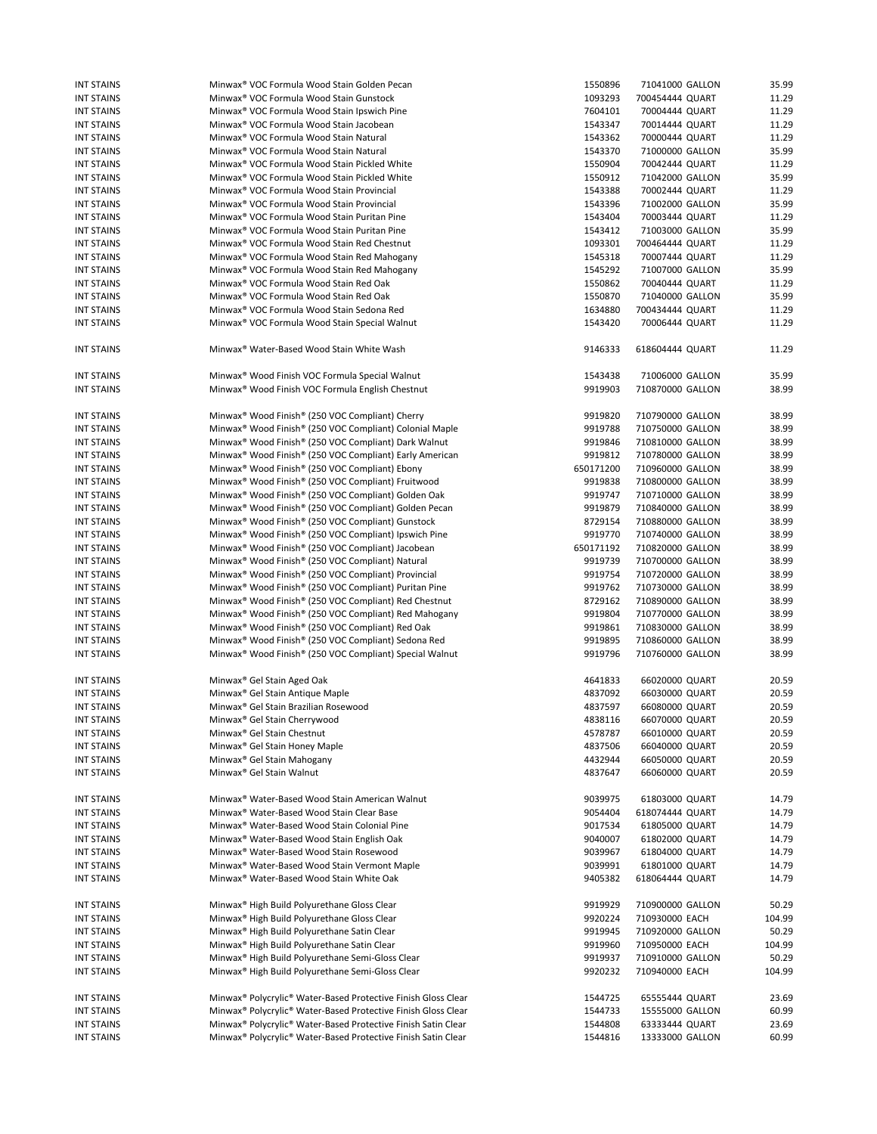| <b>INT STAINS</b> | Minwax <sup>®</sup> VOC Formula Wood Stain Golden Pecan                               | 1550896   | 71041000 GALLON  | 35.99  |
|-------------------|---------------------------------------------------------------------------------------|-----------|------------------|--------|
| <b>INT STAINS</b> | Minwax <sup>®</sup> VOC Formula Wood Stain Gunstock                                   | 1093293   | 700454444 QUART  | 11.29  |
| <b>INT STAINS</b> | Minwax <sup>®</sup> VOC Formula Wood Stain Ipswich Pine                               | 7604101   | 70004444 QUART   | 11.29  |
| <b>INT STAINS</b> | Minwax <sup>®</sup> VOC Formula Wood Stain Jacobean                                   | 1543347   | 70014444 QUART   | 11.29  |
| <b>INT STAINS</b> | Minwax <sup>®</sup> VOC Formula Wood Stain Natural                                    | 1543362   | 70000444 QUART   | 11.29  |
| <b>INT STAINS</b> | Minwax <sup>®</sup> VOC Formula Wood Stain Natural                                    | 1543370   | 71000000 GALLON  | 35.99  |
| <b>INT STAINS</b> | Minwax <sup>®</sup> VOC Formula Wood Stain Pickled White                              | 1550904   | 70042444 QUART   | 11.29  |
| <b>INT STAINS</b> | Minwax <sup>®</sup> VOC Formula Wood Stain Pickled White                              | 1550912   | 71042000 GALLON  | 35.99  |
| <b>INT STAINS</b> | Minwax <sup>®</sup> VOC Formula Wood Stain Provincial                                 | 1543388   | 70002444 QUART   | 11.29  |
|                   |                                                                                       |           |                  | 35.99  |
| <b>INT STAINS</b> | Minwax <sup>®</sup> VOC Formula Wood Stain Provincial                                 | 1543396   | 71002000 GALLON  |        |
| <b>INT STAINS</b> | Minwax <sup>®</sup> VOC Formula Wood Stain Puritan Pine                               | 1543404   | 70003444 QUART   | 11.29  |
| <b>INT STAINS</b> | Minwax <sup>®</sup> VOC Formula Wood Stain Puritan Pine                               | 1543412   | 71003000 GALLON  | 35.99  |
| <b>INT STAINS</b> | Minwax <sup>®</sup> VOC Formula Wood Stain Red Chestnut                               | 1093301   | 700464444 QUART  | 11.29  |
| <b>INT STAINS</b> | Minwax <sup>®</sup> VOC Formula Wood Stain Red Mahogany                               | 1545318   | 70007444 QUART   | 11.29  |
| <b>INT STAINS</b> | Minwax <sup>®</sup> VOC Formula Wood Stain Red Mahogany                               | 1545292   | 71007000 GALLON  | 35.99  |
| <b>INT STAINS</b> | Minwax <sup>®</sup> VOC Formula Wood Stain Red Oak                                    | 1550862   | 70040444 QUART   | 11.29  |
| <b>INT STAINS</b> | Minwax <sup>®</sup> VOC Formula Wood Stain Red Oak                                    | 1550870   | 71040000 GALLON  | 35.99  |
| <b>INT STAINS</b> | Minwax <sup>®</sup> VOC Formula Wood Stain Sedona Red                                 | 1634880   | 700434444 QUART  | 11.29  |
| <b>INT STAINS</b> | Minwax <sup>®</sup> VOC Formula Wood Stain Special Walnut                             | 1543420   | 70006444 QUART   | 11.29  |
|                   |                                                                                       |           |                  |        |
| <b>INT STAINS</b> | Minwax <sup>®</sup> Water-Based Wood Stain White Wash                                 | 9146333   | 618604444 QUART  | 11.29  |
| <b>INT STAINS</b> | Minwax <sup>®</sup> Wood Finish VOC Formula Special Walnut                            | 1543438   | 71006000 GALLON  | 35.99  |
| <b>INT STAINS</b> | Minwax <sup>®</sup> Wood Finish VOC Formula English Chestnut                          | 9919903   | 710870000 GALLON | 38.99  |
| <b>INT STAINS</b> | Minwax <sup>®</sup> Wood Finish <sup>®</sup> (250 VOC Compliant) Cherry               | 9919820   | 710790000 GALLON | 38.99  |
| <b>INT STAINS</b> | Minwax <sup>®</sup> Wood Finish <sup>®</sup> (250 VOC Compliant) Colonial Maple       | 9919788   | 710750000 GALLON | 38.99  |
| <b>INT STAINS</b> | Minwax <sup>®</sup> Wood Finish <sup>®</sup> (250 VOC Compliant) Dark Walnut          | 9919846   | 710810000 GALLON | 38.99  |
| <b>INT STAINS</b> |                                                                                       | 9919812   |                  | 38.99  |
|                   | Minwax® Wood Finish® (250 VOC Compliant) Early American                               |           | 710780000 GALLON |        |
| <b>INT STAINS</b> | Minwax <sup>®</sup> Wood Finish <sup>®</sup> (250 VOC Compliant) Ebony                | 650171200 | 710960000 GALLON | 38.99  |
| <b>INT STAINS</b> | Minwax <sup>®</sup> Wood Finish <sup>®</sup> (250 VOC Compliant) Fruitwood            | 9919838   | 710800000 GALLON | 38.99  |
| <b>INT STAINS</b> | Minwax <sup>®</sup> Wood Finish <sup>®</sup> (250 VOC Compliant) Golden Oak           | 9919747   | 710710000 GALLON | 38.99  |
| <b>INT STAINS</b> | Minwax <sup>®</sup> Wood Finish <sup>®</sup> (250 VOC Compliant) Golden Pecan         | 9919879   | 710840000 GALLON | 38.99  |
| <b>INT STAINS</b> | Minwax® Wood Finish® (250 VOC Compliant) Gunstock                                     | 8729154   | 710880000 GALLON | 38.99  |
| <b>INT STAINS</b> | Minwax <sup>®</sup> Wood Finish <sup>®</sup> (250 VOC Compliant) Ipswich Pine         | 9919770   | 710740000 GALLON | 38.99  |
| <b>INT STAINS</b> | Minwax® Wood Finish® (250 VOC Compliant) Jacobean                                     | 650171192 | 710820000 GALLON | 38.99  |
| <b>INT STAINS</b> | Minwax® Wood Finish® (250 VOC Compliant) Natural                                      | 9919739   | 710700000 GALLON | 38.99  |
| <b>INT STAINS</b> | Minwax <sup>®</sup> Wood Finish <sup>®</sup> (250 VOC Compliant) Provincial           | 9919754   | 710720000 GALLON | 38.99  |
| <b>INT STAINS</b> | Minwax <sup>®</sup> Wood Finish <sup>®</sup> (250 VOC Compliant) Puritan Pine         | 9919762   | 710730000 GALLON | 38.99  |
| <b>INT STAINS</b> | Minwax <sup>®</sup> Wood Finish <sup>®</sup> (250 VOC Compliant) Red Chestnut         | 8729162   | 710890000 GALLON | 38.99  |
| <b>INT STAINS</b> | Minwax <sup>®</sup> Wood Finish <sup>®</sup> (250 VOC Compliant) Red Mahogany         | 9919804   | 710770000 GALLON | 38.99  |
|                   |                                                                                       |           |                  |        |
| <b>INT STAINS</b> | Minwax <sup>®</sup> Wood Finish <sup>®</sup> (250 VOC Compliant) Red Oak              | 9919861   | 710830000 GALLON | 38.99  |
| <b>INT STAINS</b> | Minwax® Wood Finish® (250 VOC Compliant) Sedona Red                                   | 9919895   | 710860000 GALLON | 38.99  |
| <b>INT STAINS</b> | Minwax <sup>®</sup> Wood Finish <sup>®</sup> (250 VOC Compliant) Special Walnut       | 9919796   | 710760000 GALLON | 38.99  |
| <b>INT STAINS</b> | Minwax <sup>®</sup> Gel Stain Aged Oak                                                | 4641833   | 66020000 QUART   | 20.59  |
| <b>INT STAINS</b> | Minwax <sup>®</sup> Gel Stain Antique Maple                                           | 4837092   | 66030000 QUART   | 20.59  |
| <b>INT STAINS</b> | Minwax <sup>®</sup> Gel Stain Brazilian Rosewood                                      | 4837597   | 66080000 QUART   | 20.59  |
| <b>INT STAINS</b> | Minwax <sup>®</sup> Gel Stain Cherrywood                                              | 4838116   | 66070000 QUART   | 20.59  |
| <b>INT STAINS</b> | Minwax <sup>®</sup> Gel Stain Chestnut                                                | 4578787   | 66010000 QUART   | 20.59  |
| <b>INT STAINS</b> | Minwax <sup>®</sup> Gel Stain Honey Maple                                             | 4837506   | 66040000 QUART   | 20.59  |
| <b>INT STAINS</b> | Minwax <sup>®</sup> Gel Stain Mahogany                                                | 4432944   | 66050000 QUART   | 20.59  |
| <b>INT STAINS</b> | Minwax <sup>®</sup> Gel Stain Walnut                                                  | 4837647   | 66060000 QUART   | 20.59  |
|                   |                                                                                       |           |                  |        |
| <b>INT STAINS</b> | Minwax <sup>®</sup> Water-Based Wood Stain American Walnut                            | 9039975   | 61803000 QUART   | 14.79  |
| <b>INT STAINS</b> | Minwax <sup>®</sup> Water-Based Wood Stain Clear Base                                 | 9054404   | 618074444 QUART  | 14.79  |
| <b>INT STAINS</b> | Minwax <sup>®</sup> Water-Based Wood Stain Colonial Pine                              | 9017534   | 61805000 QUART   | 14.79  |
| <b>INT STAINS</b> | Minwax <sup>®</sup> Water-Based Wood Stain English Oak                                | 9040007   | 61802000 QUART   | 14.79  |
| <b>INT STAINS</b> | Minwax <sup>®</sup> Water-Based Wood Stain Rosewood                                   | 9039967   | 61804000 QUART   | 14.79  |
| <b>INT STAINS</b> | Minwax <sup>®</sup> Water-Based Wood Stain Vermont Maple                              | 9039991   | 61801000 QUART   | 14.79  |
| <b>INT STAINS</b> | Minwax <sup>®</sup> Water-Based Wood Stain White Oak                                  | 9405382   | 618064444 QUART  | 14.79  |
| <b>INT STAINS</b> | Minwax <sup>®</sup> High Build Polyurethane Gloss Clear                               | 9919929   | 710900000 GALLON | 50.29  |
| <b>INT STAINS</b> | Minwax <sup>®</sup> High Build Polyurethane Gloss Clear                               | 9920224   | 710930000 EACH   | 104.99 |
|                   |                                                                                       |           |                  |        |
| <b>INT STAINS</b> | Minwax <sup>®</sup> High Build Polyurethane Satin Clear                               | 9919945   | 710920000 GALLON | 50.29  |
| <b>INT STAINS</b> | Minwax <sup>®</sup> High Build Polyurethane Satin Clear                               | 9919960   | 710950000 EACH   | 104.99 |
| <b>INT STAINS</b> | Minwax <sup>®</sup> High Build Polyurethane Semi-Gloss Clear                          | 9919937   | 710910000 GALLON | 50.29  |
| <b>INT STAINS</b> | Minwax® High Build Polyurethane Semi-Gloss Clear                                      | 9920232   | 710940000 EACH   | 104.99 |
| <b>INT STAINS</b> | Minwax <sup>®</sup> Polycrylic <sup>®</sup> Water-Based Protective Finish Gloss Clear | 1544725   | 65555444 QUART   | 23.69  |
| <b>INT STAINS</b> | Minwax® Polycrylic® Water-Based Protective Finish Gloss Clear                         | 1544733   | 15555000 GALLON  | 60.99  |
| <b>INT STAINS</b> | Minwax <sup>®</sup> Polycrylic <sup>®</sup> Water-Based Protective Finish Satin Clear | 1544808   | 63333444 QUART   | 23.69  |
| <b>INT STAINS</b> | Minwax <sup>®</sup> Polycrylic <sup>®</sup> Water-Based Protective Finish Satin Clear | 1544816   | 13333000 GALLON  | 60.99  |
|                   |                                                                                       |           |                  |        |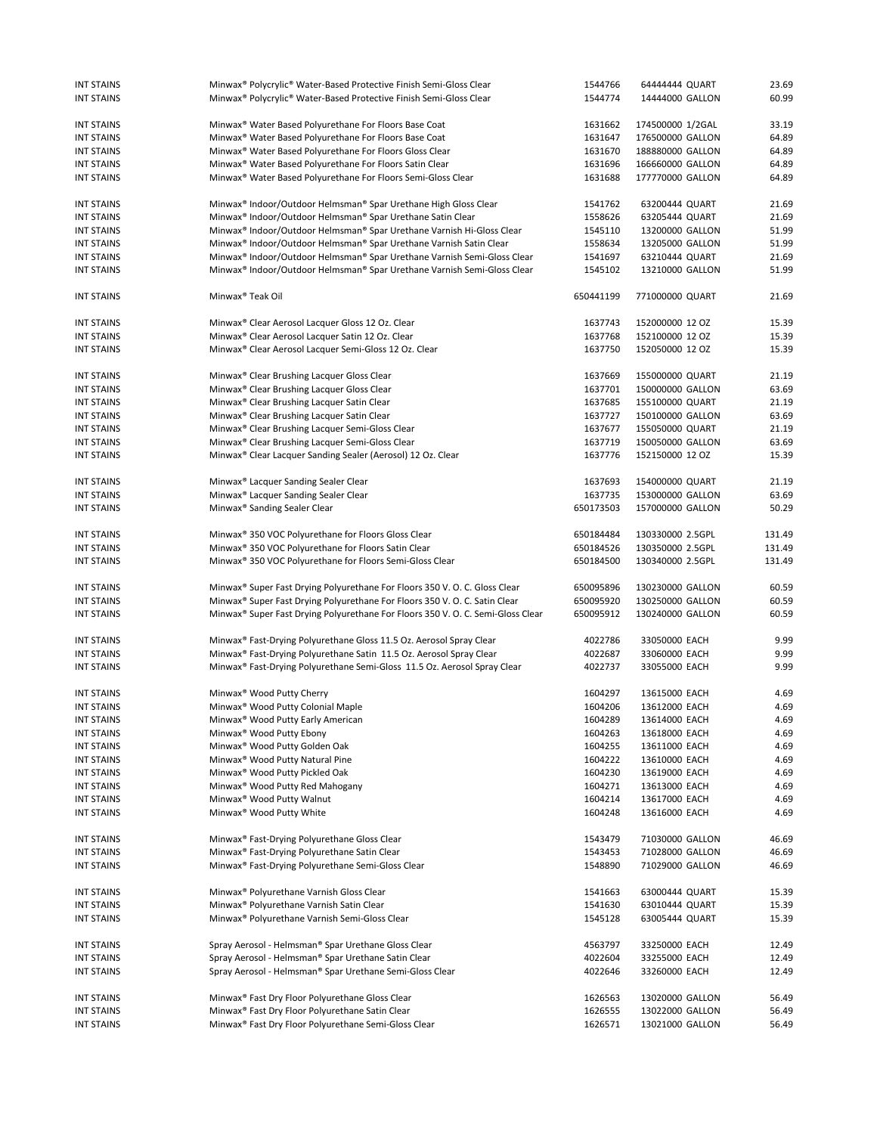| <b>INT STAINS</b> | Minwax <sup>®</sup> Polycrylic <sup>®</sup> Water-Based Protective Finish Semi-Gloss Clear  | 1544766   | 64444444 QUART   | 23.69  |
|-------------------|---------------------------------------------------------------------------------------------|-----------|------------------|--------|
| <b>INT STAINS</b> | Minwax <sup>®</sup> Polycrylic <sup>®</sup> Water-Based Protective Finish Semi-Gloss Clear  | 1544774   | 14444000 GALLON  | 60.99  |
|                   |                                                                                             |           |                  |        |
|                   |                                                                                             |           |                  |        |
| <b>INT STAINS</b> | Minwax <sup>®</sup> Water Based Polyurethane For Floors Base Coat                           | 1631662   | 174500000 1/2GAL | 33.19  |
| <b>INT STAINS</b> | Minwax <sup>®</sup> Water Based Polyurethane For Floors Base Coat                           | 1631647   | 176500000 GALLON | 64.89  |
| <b>INT STAINS</b> | Minwax <sup>®</sup> Water Based Polyurethane For Floors Gloss Clear                         | 1631670   | 188880000 GALLON | 64.89  |
|                   |                                                                                             |           |                  |        |
| <b>INT STAINS</b> | Minwax <sup>®</sup> Water Based Polyurethane For Floors Satin Clear                         | 1631696   | 166660000 GALLON | 64.89  |
| <b>INT STAINS</b> | Minwax <sup>®</sup> Water Based Polyurethane For Floors Semi-Gloss Clear                    | 1631688   | 177770000 GALLON | 64.89  |
|                   |                                                                                             |           |                  |        |
| <b>INT STAINS</b> | Minwax <sup>®</sup> Indoor/Outdoor Helmsman® Spar Urethane High Gloss Clear                 | 1541762   | 63200444 QUART   | 21.69  |
|                   | Minwax <sup>®</sup> Indoor/Outdoor Helmsman® Spar Urethane Satin Clear                      |           |                  |        |
| <b>INT STAINS</b> |                                                                                             | 1558626   | 63205444 QUART   | 21.69  |
| <b>INT STAINS</b> | Minwax <sup>®</sup> Indoor/Outdoor Helmsman® Spar Urethane Varnish Hi-Gloss Clear           | 1545110   | 13200000 GALLON  | 51.99  |
| <b>INT STAINS</b> | Minwax <sup>®</sup> Indoor/Outdoor Helmsman® Spar Urethane Varnish Satin Clear              | 1558634   | 13205000 GALLON  | 51.99  |
| <b>INT STAINS</b> | Minwax <sup>®</sup> Indoor/Outdoor Helmsman® Spar Urethane Varnish Semi-Gloss Clear         | 1541697   | 63210444 QUART   | 21.69  |
|                   |                                                                                             |           |                  |        |
| <b>INT STAINS</b> | Minwax <sup>®</sup> Indoor/Outdoor Helmsman® Spar Urethane Varnish Semi-Gloss Clear         | 1545102   | 13210000 GALLON  | 51.99  |
|                   |                                                                                             |           |                  |        |
| <b>INT STAINS</b> | Minwax <sup>®</sup> Teak Oil                                                                | 650441199 | 771000000 QUART  | 21.69  |
|                   |                                                                                             |           |                  |        |
| <b>INT STAINS</b> | Minwax <sup>®</sup> Clear Aerosol Lacquer Gloss 12 Oz. Clear                                | 1637743   | 152000000 12 OZ  | 15.39  |
| <b>INT STAINS</b> |                                                                                             | 1637768   | 152100000 12 OZ  | 15.39  |
|                   | Minwax <sup>®</sup> Clear Aerosol Lacquer Satin 12 Oz. Clear                                |           |                  |        |
| <b>INT STAINS</b> | Minwax <sup>®</sup> Clear Aerosol Lacquer Semi-Gloss 12 Oz. Clear                           | 1637750   | 152050000 12 OZ  | 15.39  |
|                   |                                                                                             |           |                  |        |
| <b>INT STAINS</b> | Minwax <sup>®</sup> Clear Brushing Lacquer Gloss Clear                                      | 1637669   | 155000000 QUART  | 21.19  |
| <b>INT STAINS</b> |                                                                                             | 1637701   |                  | 63.69  |
|                   | Minwax <sup>®</sup> Clear Brushing Lacquer Gloss Clear                                      |           | 150000000 GALLON |        |
| <b>INT STAINS</b> | Minwax <sup>®</sup> Clear Brushing Lacquer Satin Clear                                      | 1637685   | 155100000 QUART  | 21.19  |
| <b>INT STAINS</b> | Minwax <sup>®</sup> Clear Brushing Lacquer Satin Clear                                      | 1637727   | 150100000 GALLON | 63.69  |
| <b>INT STAINS</b> | Minwax <sup>®</sup> Clear Brushing Lacquer Semi-Gloss Clear                                 | 1637677   | 155050000 QUART  | 21.19  |
|                   |                                                                                             |           |                  |        |
| <b>INT STAINS</b> | Minwax® Clear Brushing Lacquer Semi-Gloss Clear                                             | 1637719   | 150050000 GALLON | 63.69  |
| <b>INT STAINS</b> | Minwax <sup>®</sup> Clear Lacquer Sanding Sealer (Aerosol) 12 Oz. Clear                     | 1637776   | 152150000 12 OZ  | 15.39  |
|                   |                                                                                             |           |                  |        |
| <b>INT STAINS</b> | Minwax <sup>®</sup> Lacquer Sanding Sealer Clear                                            | 1637693   | 154000000 QUART  | 21.19  |
|                   |                                                                                             |           |                  |        |
| <b>INT STAINS</b> | Minwax <sup>®</sup> Lacquer Sanding Sealer Clear                                            | 1637735   | 153000000 GALLON | 63.69  |
| <b>INT STAINS</b> | Minwax <sup>®</sup> Sanding Sealer Clear                                                    | 650173503 | 157000000 GALLON | 50.29  |
|                   |                                                                                             |           |                  |        |
| <b>INT STAINS</b> | Minwax <sup>®</sup> 350 VOC Polyurethane for Floors Gloss Clear                             | 650184484 | 130330000 2.5GPL | 131.49 |
| <b>INT STAINS</b> | Minwax <sup>®</sup> 350 VOC Polyurethane for Floors Satin Clear                             | 650184526 | 130350000 2.5GPL | 131.49 |
| <b>INT STAINS</b> |                                                                                             |           |                  |        |
|                   | Minwax <sup>®</sup> 350 VOC Polyurethane for Floors Semi-Gloss Clear                        | 650184500 | 130340000 2.5GPL | 131.49 |
|                   |                                                                                             |           |                  |        |
| <b>INT STAINS</b> | Minwax <sup>®</sup> Super Fast Drying Polyurethane For Floors 350 V. O. C. Gloss Clear      | 650095896 | 130230000 GALLON | 60.59  |
| <b>INT STAINS</b> | Minwax <sup>®</sup> Super Fast Drying Polyurethane For Floors 350 V. O. C. Satin Clear      | 650095920 | 130250000 GALLON | 60.59  |
| <b>INT STAINS</b> | Minwax <sup>®</sup> Super Fast Drying Polyurethane For Floors 350 V. O. C. Semi-Gloss Clear | 650095912 | 130240000 GALLON | 60.59  |
|                   |                                                                                             |           |                  |        |
|                   |                                                                                             |           |                  |        |
| <b>INT STAINS</b> | Minwax® Fast-Drying Polyurethane Gloss 11.5 Oz. Aerosol Spray Clear                         | 4022786   | 33050000 EACH    | 9.99   |
| <b>INT STAINS</b> | Minwax® Fast-Drying Polyurethane Satin 11.5 Oz. Aerosol Spray Clear                         | 4022687   | 33060000 EACH    | 9.99   |
| <b>INT STAINS</b> | Minwax® Fast-Drying Polyurethane Semi-Gloss 11.5 Oz. Aerosol Spray Clear                    | 4022737   | 33055000 EACH    | 9.99   |
|                   |                                                                                             |           |                  |        |
| <b>INT STAINS</b> | Minwax <sup>®</sup> Wood Putty Cherry                                                       | 1604297   | 13615000 EACH    | 4.69   |
|                   |                                                                                             |           |                  |        |
| <b>INT STAINS</b> | Minwax <sup>®</sup> Wood Putty Colonial Maple                                               | 1604206   | 13612000 EACH    | 4.69   |
| INT STAINS        | Minwax <sup>®</sup> Wood Putty Early American                                               | 1604289   | 13614000 EACH    | 4.69   |
| <b>INT STAINS</b> | Minwax <sup>®</sup> Wood Putty Ebony                                                        | 1604263   | 13618000 EACH    | 4.69   |
|                   |                                                                                             |           |                  |        |
| <b>INT STAINS</b> | Minwax <sup>®</sup> Wood Putty Golden Oak                                                   | 1604255   | 13611000 EACH    | 4.69   |
| <b>INT STAINS</b> | Minwax <sup>®</sup> Wood Putty Natural Pine                                                 | 1604222   | 13610000 EACH    | 4.69   |
| <b>INT STAINS</b> | Minwax <sup>®</sup> Wood Putty Pickled Oak                                                  | 1604230   | 13619000 EACH    | 4.69   |
|                   | Minwax <sup>®</sup> Wood Putty Red Mahogany                                                 |           |                  | 4.69   |
| <b>INT STAINS</b> |                                                                                             | 1604271   | 13613000 EACH    |        |
| <b>INT STAINS</b> | Minwax <sup>®</sup> Wood Putty Walnut                                                       | 1604214   | 13617000 EACH    | 4.69   |
| <b>INT STAINS</b> | Minwax <sup>®</sup> Wood Putty White                                                        | 1604248   | 13616000 EACH    | 4.69   |
|                   |                                                                                             |           |                  |        |
| <b>INT STAINS</b> | Minwax <sup>®</sup> Fast-Drying Polyurethane Gloss Clear                                    | 1543479   | 71030000 GALLON  | 46.69  |
| <b>INT STAINS</b> | Minwax <sup>®</sup> Fast-Drying Polyurethane Satin Clear                                    |           | 71028000 GALLON  |        |
|                   |                                                                                             | 1543453   |                  | 46.69  |
| <b>INT STAINS</b> | Minwax <sup>®</sup> Fast-Drying Polyurethane Semi-Gloss Clear                               | 1548890   | 71029000 GALLON  | 46.69  |
|                   |                                                                                             |           |                  |        |
| <b>INT STAINS</b> | Minwax <sup>®</sup> Polyurethane Varnish Gloss Clear                                        | 1541663   | 63000444 QUART   | 15.39  |
| <b>INT STAINS</b> | Minwax <sup>®</sup> Polyurethane Varnish Satin Clear                                        | 1541630   | 63010444 QUART   | 15.39  |
|                   |                                                                                             |           |                  |        |
| <b>INT STAINS</b> | Minwax <sup>®</sup> Polyurethane Varnish Semi-Gloss Clear                                   | 1545128   | 63005444 QUART   | 15.39  |
|                   |                                                                                             |           |                  |        |
| <b>INT STAINS</b> | Spray Aerosol - Helmsman® Spar Urethane Gloss Clear                                         | 4563797   | 33250000 EACH    | 12.49  |
| INT STAINS        | Spray Aerosol - Helmsman® Spar Urethane Satin Clear                                         | 4022604   | 33255000 EACH    | 12.49  |
| <b>INT STAINS</b> | Spray Aerosol - Helmsman® Spar Urethane Semi-Gloss Clear                                    | 4022646   | 33260000 EACH    | 12.49  |
|                   |                                                                                             |           |                  |        |
|                   |                                                                                             |           |                  |        |
| <b>INT STAINS</b> | Minwax <sup>®</sup> Fast Dry Floor Polyurethane Gloss Clear                                 | 1626563   | 13020000 GALLON  | 56.49  |
| <b>INT STAINS</b> | Minwax® Fast Dry Floor Polyurethane Satin Clear                                             | 1626555   | 13022000 GALLON  | 56.49  |
| <b>INT STAINS</b> | Minwax <sup>®</sup> Fast Dry Floor Polyurethane Semi-Gloss Clear                            | 1626571   | 13021000 GALLON  | 56.49  |
|                   |                                                                                             |           |                  |        |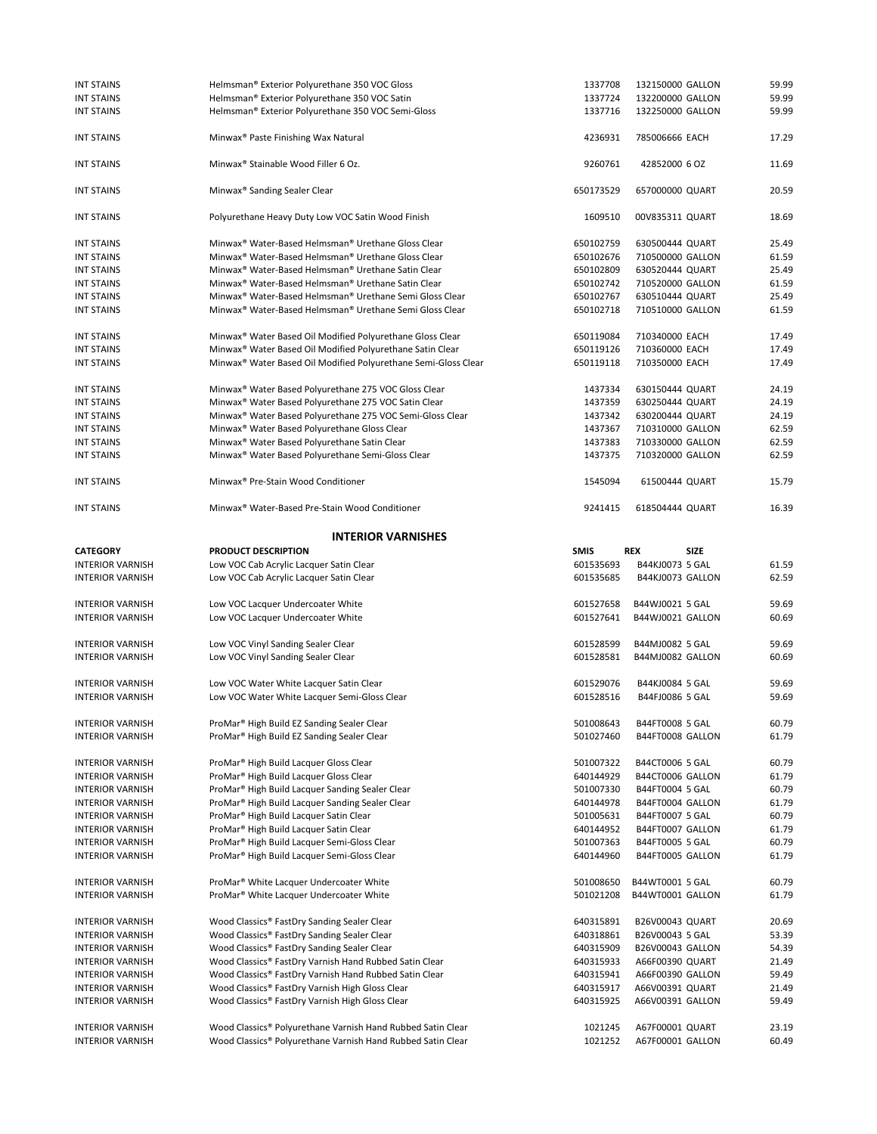| <b>INT STAINS</b>       | Helmsman® Exterior Polyurethane 350 VOC Gloss                                   | 1337708     | 132150000 GALLON          | 59.99 |
|-------------------------|---------------------------------------------------------------------------------|-------------|---------------------------|-------|
| <b>INT STAINS</b>       | Helmsman® Exterior Polyurethane 350 VOC Satin                                   | 1337724     | 132200000 GALLON          | 59.99 |
| <b>INT STAINS</b>       | Helmsman® Exterior Polyurethane 350 VOC Semi-Gloss                              | 1337716     | 132250000 GALLON          | 59.99 |
|                         |                                                                                 |             |                           |       |
| <b>INT STAINS</b>       | Minwax <sup>®</sup> Paste Finishing Wax Natural                                 | 4236931     | 785006666 EACH            | 17.29 |
| <b>INT STAINS</b>       | Minwax <sup>®</sup> Stainable Wood Filler 6 Oz.                                 | 9260761     | 42852000 6 OZ             | 11.69 |
| <b>INT STAINS</b>       | Minwax <sup>®</sup> Sanding Sealer Clear                                        | 650173529   | 657000000 QUART           | 20.59 |
| <b>INT STAINS</b>       | Polyurethane Heavy Duty Low VOC Satin Wood Finish                               | 1609510     | 00V835311 QUART           | 18.69 |
|                         |                                                                                 |             |                           |       |
| <b>INT STAINS</b>       | Minwax <sup>®</sup> Water-Based Helmsman <sup>®</sup> Urethane Gloss Clear      | 650102759   | 630500444 QUART           | 25.49 |
| <b>INT STAINS</b>       | Minwax <sup>®</sup> Water-Based Helmsman <sup>®</sup> Urethane Gloss Clear      | 650102676   | 710500000 GALLON          | 61.59 |
| <b>INT STAINS</b>       | Minwax <sup>®</sup> Water-Based Helmsman <sup>®</sup> Urethane Satin Clear      | 650102809   | 630520444 QUART           | 25.49 |
| <b>INT STAINS</b>       | Minwax <sup>®</sup> Water-Based Helmsman <sup>®</sup> Urethane Satin Clear      | 650102742   | 710520000 GALLON          | 61.59 |
| <b>INT STAINS</b>       | Minwax <sup>®</sup> Water-Based Helmsman <sup>®</sup> Urethane Semi Gloss Clear | 650102767   | 630510444 QUART           | 25.49 |
| <b>INT STAINS</b>       | Minwax® Water-Based Helmsman® Urethane Semi Gloss Clear                         | 650102718   | 710510000 GALLON          | 61.59 |
| <b>INT STAINS</b>       | Minwax <sup>®</sup> Water Based Oil Modified Polyurethane Gloss Clear           | 650119084   | 710340000 EACH            | 17.49 |
| <b>INT STAINS</b>       | Minwax® Water Based Oil Modified Polyurethane Satin Clear                       | 650119126   | 710360000 EACH            | 17.49 |
| <b>INT STAINS</b>       | Minwax <sup>®</sup> Water Based Oil Modified Polyurethane Semi-Gloss Clear      | 650119118   | 710350000 EACH            | 17.49 |
| <b>INT STAINS</b>       | Minwax® Water Based Polyurethane 275 VOC Gloss Clear                            | 1437334     | 630150444 QUART           | 24.19 |
| <b>INT STAINS</b>       | Minwax <sup>®</sup> Water Based Polyurethane 275 VOC Satin Clear                | 1437359     | 630250444 QUART           | 24.19 |
| <b>INT STAINS</b>       | Minwax <sup>®</sup> Water Based Polyurethane 275 VOC Semi-Gloss Clear           | 1437342     | 630200444 QUART           | 24.19 |
| <b>INT STAINS</b>       | Minwax <sup>®</sup> Water Based Polyurethane Gloss Clear                        | 1437367     | 710310000 GALLON          | 62.59 |
| <b>INT STAINS</b>       | Minwax <sup>®</sup> Water Based Polyurethane Satin Clear                        | 1437383     | 710330000 GALLON          | 62.59 |
| <b>INT STAINS</b>       | Minwax® Water Based Polyurethane Semi-Gloss Clear                               | 1437375     | 710320000 GALLON          | 62.59 |
|                         |                                                                                 |             |                           |       |
| <b>INT STAINS</b>       | Minwax <sup>®</sup> Pre-Stain Wood Conditioner                                  | 1545094     | 61500444 QUART            | 15.79 |
| <b>INT STAINS</b>       | Minwax <sup>®</sup> Water-Based Pre-Stain Wood Conditioner                      | 9241415     | 618504444 QUART           | 16.39 |
|                         | <b>INTERIOR VARNISHES</b>                                                       |             |                           |       |
| <b>CATEGORY</b>         | <b>PRODUCT DESCRIPTION</b>                                                      | <b>SMIS</b> | <b>REX</b><br><b>SIZE</b> |       |
| <b>INTERIOR VARNISH</b> | Low VOC Cab Acrylic Lacquer Satin Clear                                         | 601535693   | B44KJ0073 5 GAL           | 61.59 |
| <b>INTERIOR VARNISH</b> | Low VOC Cab Acrylic Lacquer Satin Clear                                         | 601535685   | B44KJ0073 GALLON          | 62.59 |
| <b>INTERIOR VARNISH</b> | Low VOC Lacquer Undercoater White                                               | 601527658   | B44WJ0021 5 GAL           | 59.69 |
| <b>INTERIOR VARNISH</b> | Low VOC Lacquer Undercoater White                                               | 601527641   | B44WJ0021 GALLON          | 60.69 |
|                         |                                                                                 |             |                           |       |
| <b>INTERIOR VARNISH</b> | Low VOC Vinyl Sanding Sealer Clear                                              | 601528599   | B44MJ0082 5 GAL           | 59.69 |
| <b>INTERIOR VARNISH</b> | Low VOC Vinyl Sanding Sealer Clear                                              | 601528581   | B44MJ0082 GALLON          | 60.69 |
| <b>INTERIOR VARNISH</b> | Low VOC Water White Lacquer Satin Clear                                         | 601529076   | B44KJ0084 5 GAL           | 59.69 |
| <b>INTERIOR VARNISH</b> | Low VOC Water White Lacquer Semi-Gloss Clear                                    | 601528516   | B44FJ0086 5 GAL           | 59.69 |
| <b>INTERIOR VARNISH</b> | ProMar <sup>®</sup> High Build EZ Sanding Sealer Clear                          | 501008643   | B44FT0008 5 GAL           | 60.79 |
| <b>INTERIOR VARNISH</b> | ProMar® High Build EZ Sanding Sealer Clear                                      | 501027460   | B44FT0008 GALLON          | 61.79 |
|                         |                                                                                 |             |                           |       |
|                         |                                                                                 |             |                           |       |
| <b>INTERIOR VARNISH</b> | ProMar® High Build Lacquer Gloss Clear                                          | 501007322   | B44CT0006 5 GAL           | 60.79 |
| <b>INTERIOR VARNISH</b> | ProMar <sup>®</sup> High Build Lacquer Gloss Clear                              | 640144929   | B44CT0006 GALLON          | 61.79 |
| <b>INTERIOR VARNISH</b> | ProMar <sup>®</sup> High Build Lacquer Sanding Sealer Clear                     | 501007330   | B44FT0004 5 GAL           | 60.79 |
| <b>INTERIOR VARNISH</b> | ProMar® High Build Lacquer Sanding Sealer Clear                                 | 640144978   | B44FT0004 GALLON          | 61.79 |
| <b>INTERIOR VARNISH</b> | ProMar <sup>®</sup> High Build Lacquer Satin Clear                              | 501005631   | B44FT0007 5 GAL           | 60.79 |
| <b>INTERIOR VARNISH</b> | ProMar <sup>®</sup> High Build Lacquer Satin Clear                              | 640144952   | B44FT0007 GALLON          | 61.79 |
| <b>INTERIOR VARNISH</b> | ProMar® High Build Lacquer Semi-Gloss Clear                                     | 501007363   | B44FT0005 5 GAL           | 60.79 |
| <b>INTERIOR VARNISH</b> | ProMar <sup>®</sup> High Build Lacquer Semi-Gloss Clear                         | 640144960   | B44FT0005 GALLON          | 61.79 |
| <b>INTERIOR VARNISH</b> | ProMar® White Lacquer Undercoater White                                         | 501008650   | B44WT0001 5 GAL           | 60.79 |
| <b>INTERIOR VARNISH</b> | ProMar <sup>®</sup> White Lacquer Undercoater White                             | 501021208   | B44WT0001 GALLON          | 61.79 |
| <b>INTERIOR VARNISH</b> | Wood Classics® FastDry Sanding Sealer Clear                                     | 640315891   | B26V00043 QUART           | 20.69 |
| <b>INTERIOR VARNISH</b> |                                                                                 |             |                           |       |
|                         | Wood Classics® FastDry Sanding Sealer Clear                                     | 640318861   | B26V00043 5 GAL           | 53.39 |
| <b>INTERIOR VARNISH</b> | Wood Classics® FastDry Sanding Sealer Clear                                     | 640315909   | B26V00043 GALLON          | 54.39 |
| <b>INTERIOR VARNISH</b> | Wood Classics® FastDry Varnish Hand Rubbed Satin Clear                          | 640315933   | A66F00390 QUART           | 21.49 |
| <b>INTERIOR VARNISH</b> | Wood Classics® FastDry Varnish Hand Rubbed Satin Clear                          | 640315941   | A66F00390 GALLON          | 59.49 |
| <b>INTERIOR VARNISH</b> | Wood Classics® FastDry Varnish High Gloss Clear                                 | 640315917   | A66V00391 QUART           | 21.49 |
| <b>INTERIOR VARNISH</b> | Wood Classics® FastDry Varnish High Gloss Clear                                 | 640315925   | A66V00391 GALLON          | 59.49 |
| <b>INTERIOR VARNISH</b> | Wood Classics® Polyurethane Varnish Hand Rubbed Satin Clear                     | 1021245     | A67F00001 QUART           | 23.19 |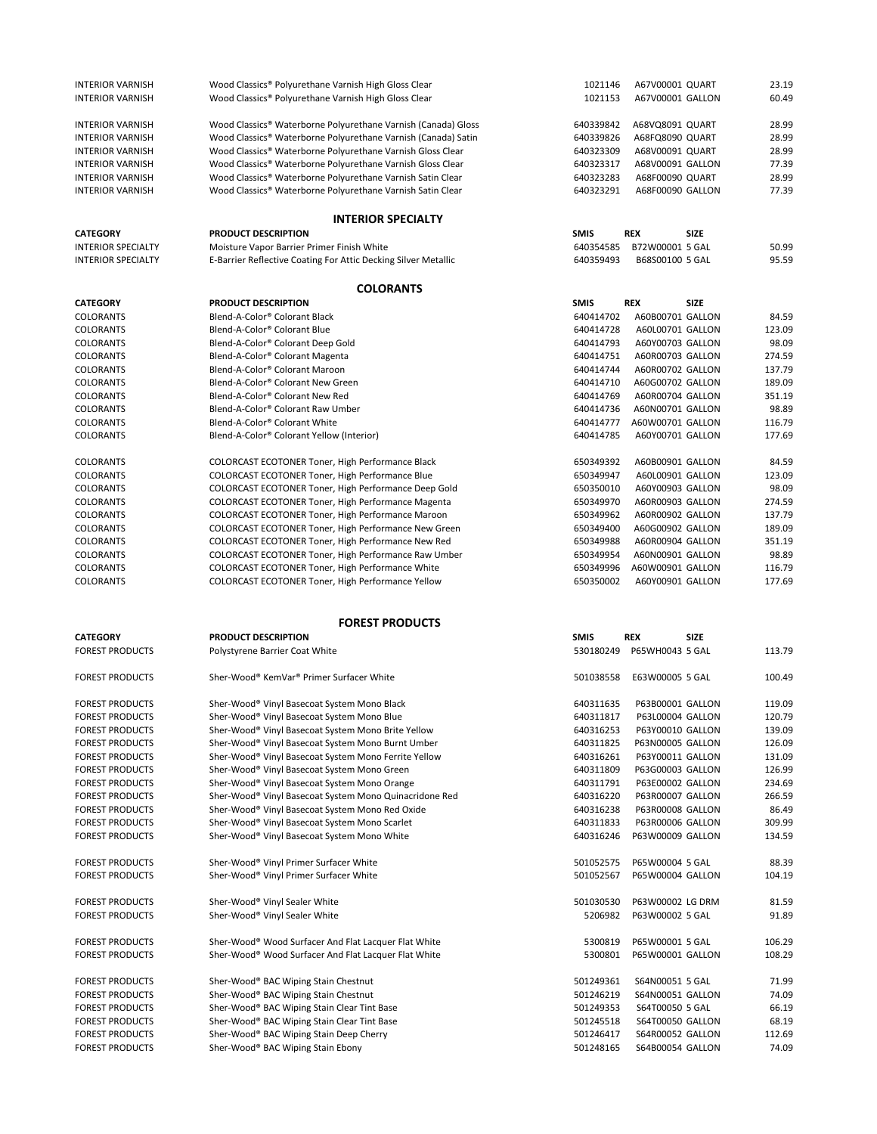| <b>INTERIOR VARNISH</b>                          | Wood Classics® Polyurethane Varnish High Gloss Clear           | 1021146     | A67V00001 QUART           | 23.19  |
|--------------------------------------------------|----------------------------------------------------------------|-------------|---------------------------|--------|
| <b>INTERIOR VARNISH</b>                          | Wood Classics® Polyurethane Varnish High Gloss Clear           | 1021153     | A67V00001 GALLON          | 60.49  |
|                                                  |                                                                |             |                           |        |
| <b>INTERIOR VARNISH</b>                          | Wood Classics® Waterborne Polyurethane Varnish (Canada) Gloss  |             |                           | 28.99  |
|                                                  |                                                                | 640339842   | A68VQ8091 QUART           |        |
| <b>INTERIOR VARNISH</b>                          | Wood Classics® Waterborne Polyurethane Varnish (Canada) Satin  | 640339826   | A68FQ8090 QUART           | 28.99  |
| <b>INTERIOR VARNISH</b>                          | Wood Classics® Waterborne Polyurethane Varnish Gloss Clear     | 640323309   | A68V00091 QUART           | 28.99  |
| <b>INTERIOR VARNISH</b>                          | Wood Classics® Waterborne Polyurethane Varnish Gloss Clear     | 640323317   | A68V00091 GALLON          | 77.39  |
| <b>INTERIOR VARNISH</b>                          | Wood Classics® Waterborne Polyurethane Varnish Satin Clear     | 640323283   | A68F00090 QUART           | 28.99  |
| <b>INTERIOR VARNISH</b>                          | Wood Classics® Waterborne Polyurethane Varnish Satin Clear     | 640323291   | A68F00090 GALLON          | 77.39  |
|                                                  |                                                                |             |                           |        |
|                                                  | <b>INTERIOR SPECIALTY</b>                                      |             |                           |        |
| <b>CATEGORY</b>                                  | <b>PRODUCT DESCRIPTION</b>                                     | <b>SMIS</b> | <b>SIZE</b><br>REX        |        |
|                                                  |                                                                |             |                           |        |
| <b>INTERIOR SPECIALTY</b>                        | Moisture Vapor Barrier Primer Finish White                     | 640354585   | B72W00001 5 GAL           | 50.99  |
| <b>INTERIOR SPECIALTY</b>                        | E-Barrier Reflective Coating For Attic Decking Silver Metallic | 640359493   | B68S00100 5 GAL           | 95.59  |
|                                                  | <b>COLORANTS</b>                                               |             |                           |        |
|                                                  | PRODUCT DESCRIPTION                                            | <b>SMIS</b> | <b>REX</b><br><b>SIZE</b> |        |
| <b>CATEGORY</b>                                  |                                                                |             |                           |        |
| COLORANTS                                        | Blend-A-Color® Colorant Black                                  | 640414702   | A60B00701 GALLON          | 84.59  |
| <b>COLORANTS</b>                                 | Blend-A-Color® Colorant Blue                                   | 640414728   | A60L00701 GALLON          | 123.09 |
| COLORANTS                                        | Blend-A-Color® Colorant Deep Gold                              | 640414793   | A60Y00703 GALLON          | 98.09  |
| COLORANTS                                        | Blend-A-Color® Colorant Magenta                                | 640414751   | A60R00703 GALLON          | 274.59 |
| COLORANTS                                        | Blend-A-Color® Colorant Maroon                                 | 640414744   | A60R00702 GALLON          | 137.79 |
| COLORANTS                                        | Blend-A-Color® Colorant New Green                              | 640414710   | A60G00702 GALLON          | 189.09 |
| <b>COLORANTS</b>                                 | Blend-A-Color® Colorant New Red                                | 640414769   | A60R00704 GALLON          | 351.19 |
|                                                  |                                                                | 640414736   |                           |        |
| COLORANTS                                        | Blend-A-Color® Colorant Raw Umber                              |             | A60N00701 GALLON          | 98.89  |
| COLORANTS                                        | Blend-A-Color® Colorant White                                  | 640414777   | A60W00701 GALLON          | 116.79 |
| <b>COLORANTS</b>                                 | Blend-A-Color® Colorant Yellow (Interior)                      | 640414785   | A60Y00701 GALLON          | 177.69 |
|                                                  |                                                                |             | A60B00901 GALLON          |        |
| COLORANTS                                        | COLORCAST ECOTONER Toner, High Performance Black               | 650349392   |                           | 84.59  |
| COLORANTS                                        | COLORCAST ECOTONER Toner, High Performance Blue                | 650349947   | A60L00901 GALLON          | 123.09 |
| COLORANTS                                        | COLORCAST ECOTONER Toner, High Performance Deep Gold           | 650350010   | A60Y00903 GALLON          | 98.09  |
| COLORANTS                                        | COLORCAST ECOTONER Toner, High Performance Magenta             | 650349970   | A60R00903 GALLON          | 274.59 |
| <b>COLORANTS</b>                                 | COLORCAST ECOTONER Toner, High Performance Maroon              | 650349962   | A60R00902 GALLON          | 137.79 |
| COLORANTS                                        | COLORCAST ECOTONER Toner, High Performance New Green           | 650349400   | A60G00902 GALLON          | 189.09 |
| COLORANTS                                        | COLORCAST ECOTONER Toner, High Performance New Red             | 650349988   | A60R00904 GALLON          | 351.19 |
|                                                  |                                                                |             |                           | 98.89  |
| COLORANTS                                        | COLORCAST ECOTONER Toner, High Performance Raw Umber           | 650349954   | A60N00901 GALLON          |        |
| COLORANTS                                        | COLORCAST ECOTONER Toner, High Performance White               | 650349996   | A60W00901 GALLON          | 116.79 |
| COLORANTS                                        | COLORCAST ECOTONER Toner, High Performance Yellow              | 650350002   | A60Y00901 GALLON          | 177.69 |
|                                                  |                                                                |             |                           |        |
|                                                  | <b>FOREST PRODUCTS</b>                                         |             |                           |        |
| <b>CATEGORY</b>                                  | <b>PRODUCT DESCRIPTION</b>                                     | <b>SMIS</b> | <b>SIZE</b><br>REX        |        |
| <b>FOREST PRODUCTS</b>                           |                                                                | 530180249   | P65WH0043 5 GAL           | 113.79 |
|                                                  | Polystyrene Barrier Coat White                                 |             |                           |        |
| <b>FOREST PRODUCTS</b>                           | Sher-Wood® KemVar® Primer Surfacer White                       | 501038558   | E63W00005 5 GAL           | 100.49 |
|                                                  |                                                                |             |                           |        |
| <b>FOREST PRODUCTS</b>                           | Sher-Wood® Vinyl Basecoat System Mono Black                    | 640311635   | P63B00001 GALLON          | 119.09 |
| <b>FOREST PRODUCTS</b>                           | Sher-Wood® Vinyl Basecoat System Mono Blue                     | 640311817   | P63L00004 GALLON          | 120.79 |
| <b>FOREST PRODUCTS</b>                           | Sher-Wood® Vinyl Basecoat System Mono Brite Yellow             | 640316253   | P63Y00010 GALLON          | 139.09 |
| <b>FOREST PRODUCTS</b>                           |                                                                |             |                           |        |
|                                                  | Sher-Wood® Vinyl Basecoat System Mono Burnt Umber              | 640311825   | P63N00005 GALLON          | 126.09 |
| <b>FOREST PRODUCTS</b>                           | Sher-Wood® Vinyl Basecoat System Mono Ferrite Yellow           | 640316261   | P63Y00011 GALLON          | 131.09 |
| <b>FOREST PRODUCTS</b>                           | Sher-Wood® Vinyl Basecoat System Mono Green                    | 640311809   | P63G00003 GALLON          | 126.99 |
| <b>FOREST PRODUCTS</b>                           | Sher-Wood® Vinyl Basecoat System Mono Orange                   | 640311791   | P63E00002 GALLON          | 234.69 |
| <b>FOREST PRODUCTS</b>                           | Sher-Wood® Vinyl Basecoat System Mono Quinacridone Red         | 640316220   | P63R00007 GALLON          | 266.59 |
| <b>FOREST PRODUCTS</b>                           | Sher-Wood® Vinyl Basecoat System Mono Red Oxide                | 640316238   | P63R00008 GALLON          | 86.49  |
| <b>FOREST PRODUCTS</b>                           | Sher-Wood® Vinyl Basecoat System Mono Scarlet                  | 640311833   | P63R00006 GALLON          | 309.99 |
| <b>FOREST PRODUCTS</b>                           | Sher-Wood® Vinyl Basecoat System Mono White                    | 640316246   | P63W00009 GALLON          | 134.59 |
|                                                  |                                                                |             |                           |        |
| <b>FOREST PRODUCTS</b>                           | Sher-Wood® Vinyl Primer Surfacer White                         | 501052575   | P65W00004 5 GAL           | 88.39  |
| <b>FOREST PRODUCTS</b>                           | Sher-Wood® Vinyl Primer Surfacer White                         | 501052567   | P65W00004 GALLON          | 104.19 |
|                                                  |                                                                |             |                           |        |
| <b>FOREST PRODUCTS</b>                           | Sher-Wood® Vinyl Sealer White                                  | 501030530   | P63W00002 LG DRM          | 81.59  |
| <b>FOREST PRODUCTS</b>                           | Sher-Wood® Vinyl Sealer White                                  | 5206982     | P63W00002 5 GAL           | 91.89  |
|                                                  |                                                                |             |                           |        |
| <b>FOREST PRODUCTS</b>                           | Sher-Wood® Wood Surfacer And Flat Lacquer Flat White           | 5300819     | P65W00001 5 GAL           | 106.29 |
| <b>FOREST PRODUCTS</b>                           | Sher-Wood® Wood Surfacer And Flat Lacquer Flat White           | 5300801     | P65W00001 GALLON          | 108.29 |
|                                                  |                                                                |             |                           |        |
| <b>FOREST PRODUCTS</b>                           | Sher-Wood® BAC Wiping Stain Chestnut                           | 501249361   | S64N00051 5 GAL           | 71.99  |
| <b>FOREST PRODUCTS</b>                           |                                                                | 501246219   | S64N00051 GALLON          | 74.09  |
|                                                  | Sher-Wood® BAC Wiping Stain Chestnut                           |             |                           |        |
|                                                  | Sher-Wood® BAC Wiping Stain Clear Tint Base                    | 501249353   | S64T00050 5 GAL           | 66.19  |
| <b>FOREST PRODUCTS</b><br><b>FOREST PRODUCTS</b> | Sher-Wood® BAC Wiping Stain Clear Tint Base                    | 501245518   | S64T00050 GALLON          | 68.19  |
| <b>FOREST PRODUCTS</b>                           |                                                                | 501246417   | S64R00052 GALLON          | 112.69 |
|                                                  | Sher-Wood® BAC Wiping Stain Deep Cherry                        |             |                           |        |
| <b>FOREST PRODUCTS</b>                           | Sher-Wood® BAC Wiping Stain Ebony                              | 501248165   | S64B00054 GALLON          | 74.09  |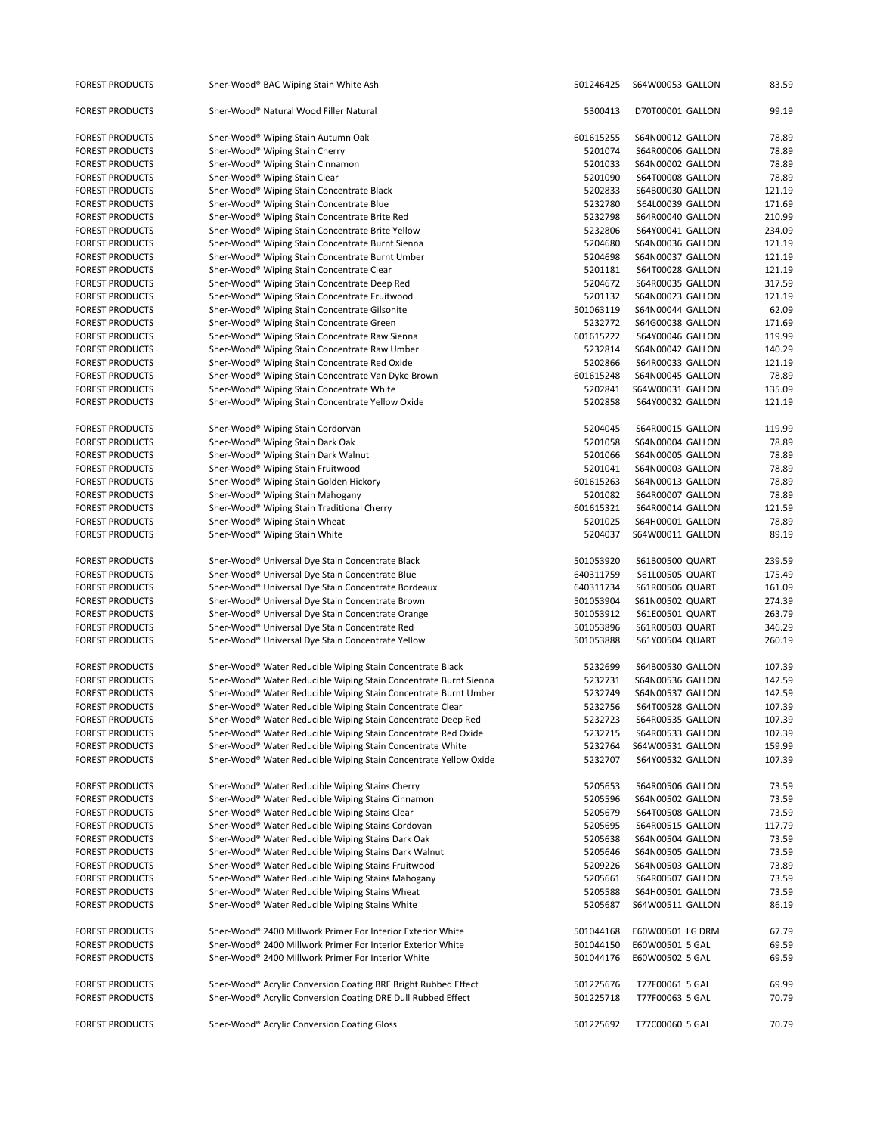| <b>FOREST PRODUCTS</b> | Sher-Wood® BAC Wiping Stain White Ash                            | 501246425 | S64W00053 GALLON        | 83.59  |
|------------------------|------------------------------------------------------------------|-----------|-------------------------|--------|
| <b>FOREST PRODUCTS</b> | Sher-Wood® Natural Wood Filler Natural                           | 5300413   | D70T00001 GALLON        | 99.19  |
| <b>FOREST PRODUCTS</b> | Sher-Wood® Wiping Stain Autumn Oak                               | 601615255 | S64N00012 GALLON        | 78.89  |
| <b>FOREST PRODUCTS</b> | Sher-Wood® Wiping Stain Cherry                                   | 5201074   | S64R00006 GALLON        | 78.89  |
| <b>FOREST PRODUCTS</b> | Sher-Wood® Wiping Stain Cinnamon                                 | 5201033   | S64N00002 GALLON        | 78.89  |
| <b>FOREST PRODUCTS</b> | Sher-Wood® Wiping Stain Clear                                    | 5201090   | <b>S64T00008 GALLON</b> | 78.89  |
| <b>FOREST PRODUCTS</b> | Sher-Wood® Wiping Stain Concentrate Black                        | 5202833   | S64B00030 GALLON        | 121.19 |
| <b>FOREST PRODUCTS</b> | Sher-Wood® Wiping Stain Concentrate Blue                         | 5232780   | S64L00039 GALLON        | 171.69 |
|                        |                                                                  |           |                         |        |
| <b>FOREST PRODUCTS</b> | Sher-Wood® Wiping Stain Concentrate Brite Red                    | 5232798   | S64R00040 GALLON        | 210.99 |
| <b>FOREST PRODUCTS</b> | Sher-Wood® Wiping Stain Concentrate Brite Yellow                 | 5232806   | S64Y00041 GALLON        | 234.09 |
| <b>FOREST PRODUCTS</b> | Sher-Wood® Wiping Stain Concentrate Burnt Sienna                 | 5204680   | S64N00036 GALLON        | 121.19 |
| <b>FOREST PRODUCTS</b> | Sher-Wood® Wiping Stain Concentrate Burnt Umber                  | 5204698   | S64N00037 GALLON        | 121.19 |
| <b>FOREST PRODUCTS</b> | Sher-Wood® Wiping Stain Concentrate Clear                        | 5201181   | S64T00028 GALLON        | 121.19 |
| <b>FOREST PRODUCTS</b> | Sher-Wood® Wiping Stain Concentrate Deep Red                     | 5204672   | S64R00035 GALLON        | 317.59 |
| <b>FOREST PRODUCTS</b> | Sher-Wood® Wiping Stain Concentrate Fruitwood                    | 5201132   | S64N00023 GALLON        | 121.19 |
| <b>FOREST PRODUCTS</b> | Sher-Wood® Wiping Stain Concentrate Gilsonite                    | 501063119 | S64N00044 GALLON        | 62.09  |
| <b>FOREST PRODUCTS</b> | Sher-Wood® Wiping Stain Concentrate Green                        | 5232772   | S64G00038 GALLON        | 171.69 |
| <b>FOREST PRODUCTS</b> | Sher-Wood® Wiping Stain Concentrate Raw Sienna                   | 601615222 | S64Y00046 GALLON        | 119.99 |
| <b>FOREST PRODUCTS</b> | Sher-Wood® Wiping Stain Concentrate Raw Umber                    | 5232814   | S64N00042 GALLON        | 140.29 |
| <b>FOREST PRODUCTS</b> | Sher-Wood® Wiping Stain Concentrate Red Oxide                    | 5202866   | S64R00033 GALLON        | 121.19 |
| <b>FOREST PRODUCTS</b> | Sher-Wood® Wiping Stain Concentrate Van Dyke Brown               | 601615248 | S64N00045 GALLON        | 78.89  |
| <b>FOREST PRODUCTS</b> | Sher-Wood® Wiping Stain Concentrate White                        | 5202841   | S64W00031 GALLON        | 135.09 |
| <b>FOREST PRODUCTS</b> | Sher-Wood® Wiping Stain Concentrate Yellow Oxide                 | 5202858   | S64Y00032 GALLON        | 121.19 |
|                        |                                                                  |           |                         |        |
| <b>FOREST PRODUCTS</b> | Sher-Wood® Wiping Stain Cordorvan                                | 5204045   | S64R00015 GALLON        | 119.99 |
| <b>FOREST PRODUCTS</b> | Sher-Wood® Wiping Stain Dark Oak                                 | 5201058   | <b>S64N00004 GALLON</b> | 78.89  |
| <b>FOREST PRODUCTS</b> | Sher-Wood® Wiping Stain Dark Walnut                              | 5201066   | S64N00005 GALLON        | 78.89  |
| <b>FOREST PRODUCTS</b> | Sher-Wood® Wiping Stain Fruitwood                                | 5201041   | S64N00003 GALLON        | 78.89  |
| <b>FOREST PRODUCTS</b> | Sher-Wood® Wiping Stain Golden Hickory                           | 601615263 | S64N00013 GALLON        | 78.89  |
| <b>FOREST PRODUCTS</b> | Sher-Wood® Wiping Stain Mahogany                                 | 5201082   | S64R00007 GALLON        | 78.89  |
| <b>FOREST PRODUCTS</b> | Sher-Wood® Wiping Stain Traditional Cherry                       | 601615321 | S64R00014 GALLON        | 121.59 |
| <b>FOREST PRODUCTS</b> | Sher-Wood® Wiping Stain Wheat                                    | 5201025   | S64H00001 GALLON        | 78.89  |
| <b>FOREST PRODUCTS</b> | Sher-Wood® Wiping Stain White                                    | 5204037   | S64W00011 GALLON        | 89.19  |
|                        |                                                                  |           |                         |        |
| <b>FOREST PRODUCTS</b> | Sher-Wood® Universal Dye Stain Concentrate Black                 | 501053920 | S61B00500 QUART         | 239.59 |
| <b>FOREST PRODUCTS</b> | Sher-Wood® Universal Dye Stain Concentrate Blue                  | 640311759 | S61L00505 QUART         | 175.49 |
| <b>FOREST PRODUCTS</b> | Sher-Wood® Universal Dye Stain Concentrate Bordeaux              | 640311734 | S61R00506 QUART         | 161.09 |
| <b>FOREST PRODUCTS</b> | Sher-Wood® Universal Dye Stain Concentrate Brown                 | 501053904 | S61N00502 QUART         | 274.39 |
| <b>FOREST PRODUCTS</b> | Sher-Wood® Universal Dye Stain Concentrate Orange                | 501053912 | S61E00501 QUART         | 263.79 |
| <b>FOREST PRODUCTS</b> | Sher-Wood® Universal Dye Stain Concentrate Red                   | 501053896 | S61R00503 QUART         | 346.29 |
| <b>FOREST PRODUCTS</b> | Sher-Wood® Universal Dye Stain Concentrate Yellow                | 501053888 | S61Y00504 QUART         | 260.19 |
|                        |                                                                  |           |                         |        |
| <b>FOREST PRODUCTS</b> | Sher-Wood® Water Reducible Wiping Stain Concentrate Black        | 5232699   | <b>S64B00530 GALLON</b> | 107.39 |
| <b>FOREST PRODUCTS</b> | Sher-Wood® Water Reducible Wiping Stain Concentrate Burnt Sienna | 5232731   | S64N00536 GALLON        | 142.59 |
| <b>FOREST PRODUCTS</b> | Sher-Wood® Water Reducible Wiping Stain Concentrate Burnt Umber  | 5232749   | S64N00537 GALLON        | 142.59 |
| <b>FOREST PRODUCTS</b> | Sher-Wood® Water Reducible Wiping Stain Concentrate Clear        | 5232756   | S64T00528 GALLON        | 107.39 |
| <b>FOREST PRODUCTS</b> | Sher-Wood® Water Reducible Wiping Stain Concentrate Deep Red     | 5232723   | S64R00535 GALLON        | 107.39 |
| <b>FOREST PRODUCTS</b> | Sher-Wood® Water Reducible Wiping Stain Concentrate Red Oxide    | 5232715   | S64R00533 GALLON        | 107.39 |
| <b>FOREST PRODUCTS</b> | Sher-Wood® Water Reducible Wiping Stain Concentrate White        | 5232764   | S64W00531 GALLON        | 159.99 |
| <b>FOREST PRODUCTS</b> | Sher-Wood® Water Reducible Wiping Stain Concentrate Yellow Oxide | 5232707   | S64Y00532 GALLON        | 107.39 |
| <b>FOREST PRODUCTS</b> | Sher-Wood® Water Reducible Wiping Stains Cherry                  | 5205653   | S64R00506 GALLON        | 73.59  |
|                        |                                                                  |           |                         |        |
| <b>FOREST PRODUCTS</b> | Sher-Wood® Water Reducible Wiping Stains Cinnamon                | 5205596   | S64N00502 GALLON        | 73.59  |
| <b>FOREST PRODUCTS</b> | Sher-Wood® Water Reducible Wiping Stains Clear                   | 5205679   | S64T00508 GALLON        | 73.59  |
| <b>FOREST PRODUCTS</b> | Sher-Wood® Water Reducible Wiping Stains Cordovan                | 5205695   | S64R00515 GALLON        | 117.79 |
| <b>FOREST PRODUCTS</b> | Sher-Wood® Water Reducible Wiping Stains Dark Oak                | 5205638   | S64N00504 GALLON        | 73.59  |
| <b>FOREST PRODUCTS</b> | Sher-Wood® Water Reducible Wiping Stains Dark Walnut             | 5205646   | S64N00505 GALLON        | 73.59  |
| <b>FOREST PRODUCTS</b> | Sher-Wood® Water Reducible Wiping Stains Fruitwood               | 5209226   | S64N00503 GALLON        | 73.89  |
| <b>FOREST PRODUCTS</b> | Sher-Wood® Water Reducible Wiping Stains Mahogany                | 5205661   | S64R00507 GALLON        | 73.59  |
| <b>FOREST PRODUCTS</b> | Sher-Wood® Water Reducible Wiping Stains Wheat                   | 5205588   | S64H00501 GALLON        | 73.59  |
| <b>FOREST PRODUCTS</b> | Sher-Wood® Water Reducible Wiping Stains White                   | 5205687   | S64W00511 GALLON        | 86.19  |
| <b>FOREST PRODUCTS</b> | Sher-Wood® 2400 Millwork Primer For Interior Exterior White      | 501044168 | E60W00501 LG DRM        | 67.79  |
| <b>FOREST PRODUCTS</b> | Sher-Wood® 2400 Millwork Primer For Interior Exterior White      | 501044150 | E60W00501 5 GAL         | 69.59  |
| <b>FOREST PRODUCTS</b> | Sher-Wood® 2400 Millwork Primer For Interior White               | 501044176 | E60W00502 5 GAL         | 69.59  |
| <b>FOREST PRODUCTS</b> | Sher-Wood® Acrylic Conversion Coating BRE Bright Rubbed Effect   | 501225676 | T77F00061 5 GAL         | 69.99  |
| <b>FOREST PRODUCTS</b> | Sher-Wood® Acrylic Conversion Coating DRE Dull Rubbed Effect     | 501225718 | T77F00063 5 GAL         | 70.79  |
| <b>FOREST PRODUCTS</b> | Sher-Wood® Acrylic Conversion Coating Gloss                      | 501225692 | T77C00060 5 GAL         | 70.79  |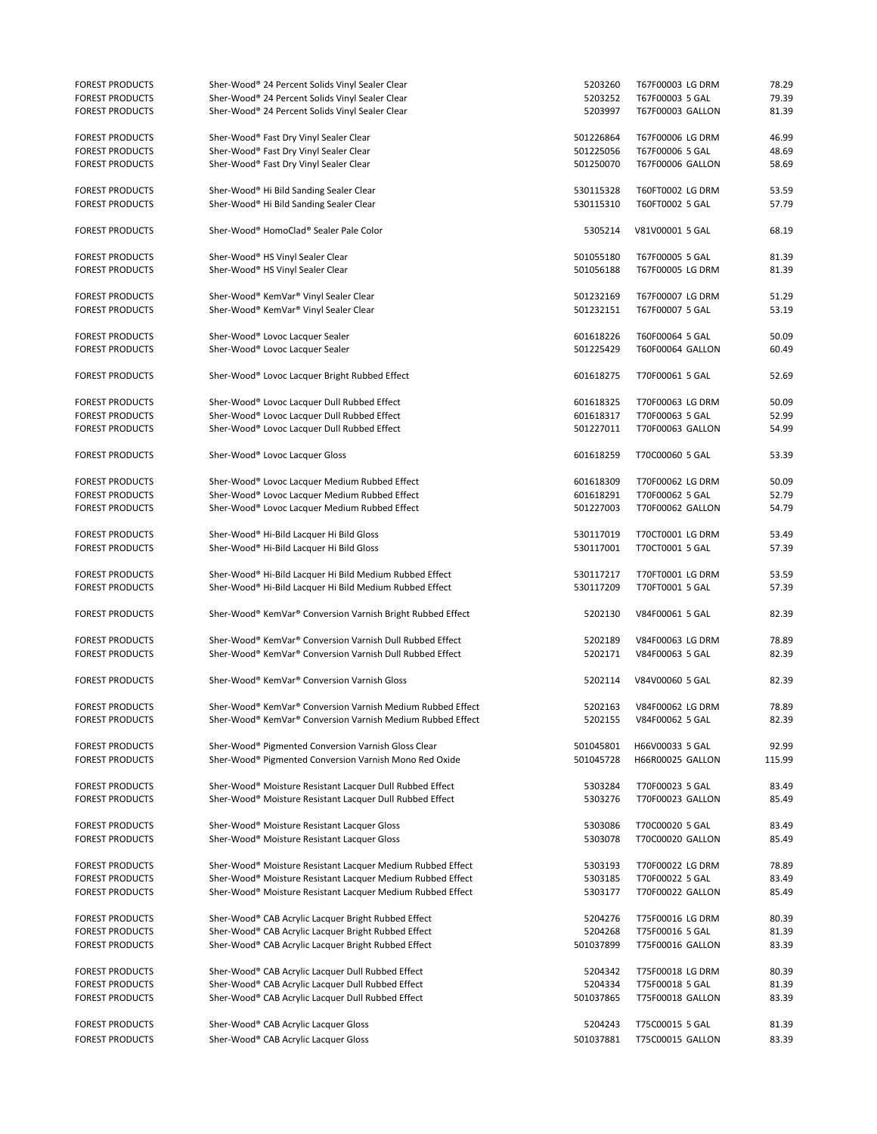| <b>FOREST PRODUCTS</b>                           | Sher-Wood® 24 Percent Solids Vinyl Sealer Clear                                                            | 5203260                | T67F00003 LG DRM                    | 78.29          |
|--------------------------------------------------|------------------------------------------------------------------------------------------------------------|------------------------|-------------------------------------|----------------|
| <b>FOREST PRODUCTS</b>                           | Sher-Wood® 24 Percent Solids Vinyl Sealer Clear                                                            | 5203252                | T67F00003 5 GAL                     | 79.39          |
| <b>FOREST PRODUCTS</b>                           | Sher-Wood® 24 Percent Solids Vinyl Sealer Clear                                                            | 5203997                | T67F00003 GALLON                    | 81.39          |
| <b>FOREST PRODUCTS</b>                           | Sher-Wood® Fast Dry Vinyl Sealer Clear                                                                     | 501226864              | T67F00006 LG DRM                    | 46.99          |
| <b>FOREST PRODUCTS</b>                           | Sher-Wood® Fast Dry Vinyl Sealer Clear                                                                     | 501225056              | T67F00006 5 GAL                     | 48.69          |
| <b>FOREST PRODUCTS</b>                           | Sher-Wood® Fast Dry Vinyl Sealer Clear                                                                     | 501250070              | T67F00006 GALLON                    | 58.69          |
|                                                  |                                                                                                            |                        |                                     |                |
| <b>FOREST PRODUCTS</b>                           | Sher-Wood® Hi Bild Sanding Sealer Clear                                                                    | 530115328              | T60FT0002 LG DRM                    | 53.59          |
| <b>FOREST PRODUCTS</b>                           | Sher-Wood® Hi Bild Sanding Sealer Clear                                                                    | 530115310              | T60FT0002 5 GAL                     | 57.79          |
| <b>FOREST PRODUCTS</b>                           | Sher-Wood® HomoClad® Sealer Pale Color                                                                     | 5305214                | V81V00001 5 GAL                     | 68.19          |
| <b>FOREST PRODUCTS</b>                           | Sher-Wood® HS Vinyl Sealer Clear                                                                           | 501055180              | T67F00005 5 GAL                     | 81.39          |
| <b>FOREST PRODUCTS</b>                           | Sher-Wood® HS Vinyl Sealer Clear                                                                           | 501056188              | T67F00005 LG DRM                    | 81.39          |
|                                                  |                                                                                                            |                        |                                     |                |
| <b>FOREST PRODUCTS</b>                           | Sher-Wood® KemVar® Vinyl Sealer Clear                                                                      | 501232169              | T67F00007 LG DRM                    | 51.29          |
| <b>FOREST PRODUCTS</b>                           | Sher-Wood® KemVar® Vinyl Sealer Clear                                                                      | 501232151              | T67F00007 5 GAL                     | 53.19          |
|                                                  |                                                                                                            |                        |                                     |                |
| <b>FOREST PRODUCTS</b><br><b>FOREST PRODUCTS</b> | Sher-Wood® Lovoc Lacquer Sealer<br>Sher-Wood® Lovoc Lacquer Sealer                                         | 601618226<br>501225429 | T60F00064 5 GAL<br>T60F00064 GALLON | 50.09<br>60.49 |
|                                                  |                                                                                                            |                        |                                     |                |
| <b>FOREST PRODUCTS</b>                           | Sher-Wood® Lovoc Lacquer Bright Rubbed Effect                                                              | 601618275              | T70F00061 5 GAL                     | 52.69          |
| <b>FOREST PRODUCTS</b>                           | Sher-Wood® Lovoc Lacquer Dull Rubbed Effect                                                                | 601618325              | T70F00063 LG DRM                    | 50.09          |
| <b>FOREST PRODUCTS</b>                           | Sher-Wood® Lovoc Lacquer Dull Rubbed Effect                                                                | 601618317              | T70F00063 5 GAL                     | 52.99          |
| <b>FOREST PRODUCTS</b>                           | Sher-Wood® Lovoc Lacquer Dull Rubbed Effect                                                                | 501227011              | T70F00063 GALLON                    | 54.99          |
| <b>FOREST PRODUCTS</b>                           | Sher-Wood® Lovoc Lacquer Gloss                                                                             | 601618259              | T70C00060 5 GAL                     | 53.39          |
|                                                  |                                                                                                            |                        |                                     |                |
| <b>FOREST PRODUCTS</b>                           | Sher-Wood® Lovoc Lacquer Medium Rubbed Effect                                                              | 601618309              | T70F00062 LG DRM                    | 50.09          |
| <b>FOREST PRODUCTS</b>                           | Sher-Wood® Lovoc Lacquer Medium Rubbed Effect                                                              | 601618291              | T70F00062 5 GAL                     | 52.79          |
| <b>FOREST PRODUCTS</b>                           | Sher-Wood® Lovoc Lacquer Medium Rubbed Effect                                                              | 501227003              | T70F00062 GALLON                    | 54.79          |
| <b>FOREST PRODUCTS</b>                           | Sher-Wood® Hi-Bild Lacquer Hi Bild Gloss                                                                   | 530117019              | T70CT0001 LG DRM                    | 53.49          |
| <b>FOREST PRODUCTS</b>                           | Sher-Wood® Hi-Bild Lacquer Hi Bild Gloss                                                                   | 530117001              | T70CT0001 5 GAL                     | 57.39          |
|                                                  |                                                                                                            |                        |                                     |                |
| <b>FOREST PRODUCTS</b>                           | Sher-Wood® Hi-Bild Lacquer Hi Bild Medium Rubbed Effect                                                    | 530117217              | T70FT0001 LG DRM                    | 53.59          |
| <b>FOREST PRODUCTS</b>                           | Sher-Wood® Hi-Bild Lacquer Hi Bild Medium Rubbed Effect                                                    | 530117209              | T70FT0001 5 GAL                     | 57.39          |
| <b>FOREST PRODUCTS</b>                           | Sher-Wood® KemVar® Conversion Varnish Bright Rubbed Effect                                                 | 5202130                | V84F00061 5 GAL                     | 82.39          |
|                                                  |                                                                                                            |                        |                                     |                |
| <b>FOREST PRODUCTS</b>                           | Sher-Wood® KemVar® Conversion Varnish Dull Rubbed Effect                                                   | 5202189                | V84F00063 LG DRM                    | 78.89          |
| <b>FOREST PRODUCTS</b>                           | Sher-Wood® KemVar® Conversion Varnish Dull Rubbed Effect                                                   | 5202171                | V84F00063 5 GAL                     | 82.39          |
| <b>FOREST PRODUCTS</b>                           | Sher-Wood® KemVar® Conversion Varnish Gloss                                                                | 5202114                | V84V00060 5 GAL                     | 82.39          |
|                                                  |                                                                                                            |                        |                                     |                |
| <b>FOREST PRODUCTS</b>                           | Sher-Wood® KemVar® Conversion Varnish Medium Rubbed Effect                                                 | 5202163                | V84F00062 LG DRM                    | 78.89          |
| FOREST PRODUCTS                                  | Sher-Wood® KemVar® Conversion Varnish Medium Rubbed Effect                                                 | 5202155                | V84F00062 5 GAL                     | 82.39          |
| <b>FOREST PRODUCTS</b>                           | Sher-Wood® Pigmented Conversion Varnish Gloss Clear                                                        | 501045801              | H66V00033 5 GAL                     | 92.99          |
| <b>FOREST PRODUCTS</b>                           | Sher-Wood® Pigmented Conversion Varnish Mono Red Oxide                                                     | 501045728              | H66R00025 GALLON                    | 115.99         |
|                                                  |                                                                                                            |                        |                                     |                |
| <b>FOREST PRODUCTS</b>                           | Sher-Wood® Moisture Resistant Lacquer Dull Rubbed Effect                                                   | 5303284                | T70F00023 5 GAL                     | 83.49          |
| <b>FOREST PRODUCTS</b>                           | Sher-Wood® Moisture Resistant Lacquer Dull Rubbed Effect                                                   | 5303276                | T70F00023 GALLON                    | 85.49          |
|                                                  |                                                                                                            |                        |                                     |                |
| <b>FOREST PRODUCTS</b><br><b>FOREST PRODUCTS</b> | Sher-Wood® Moisture Resistant Lacquer Gloss<br>Sher-Wood® Moisture Resistant Lacquer Gloss                 | 5303086<br>5303078     | T70C00020 5 GAL<br>T70C00020 GALLON | 83.49<br>85.49 |
|                                                  |                                                                                                            |                        |                                     |                |
| <b>FOREST PRODUCTS</b>                           | Sher-Wood® Moisture Resistant Lacquer Medium Rubbed Effect                                                 | 5303193                | T70F00022 LG DRM                    | 78.89          |
| <b>FOREST PRODUCTS</b>                           | Sher-Wood® Moisture Resistant Lacquer Medium Rubbed Effect                                                 | 5303185                | T70F00022 5 GAL                     | 83.49          |
| <b>FOREST PRODUCTS</b>                           | Sher-Wood® Moisture Resistant Lacquer Medium Rubbed Effect                                                 | 5303177                | T70F00022 GALLON                    | 85.49          |
|                                                  |                                                                                                            |                        |                                     |                |
| <b>FOREST PRODUCTS</b>                           | Sher-Wood® CAB Acrylic Lacquer Bright Rubbed Effect                                                        | 5204276                | T75F00016 LG DRM                    | 80.39          |
| <b>FOREST PRODUCTS</b><br><b>FOREST PRODUCTS</b> | Sher-Wood® CAB Acrylic Lacquer Bright Rubbed Effect<br>Sher-Wood® CAB Acrylic Lacquer Bright Rubbed Effect | 5204268<br>501037899   | T75F00016 5 GAL<br>T75F00016 GALLON | 81.39<br>83.39 |
|                                                  |                                                                                                            |                        |                                     |                |
| <b>FOREST PRODUCTS</b>                           | Sher-Wood® CAB Acrylic Lacquer Dull Rubbed Effect                                                          | 5204342                | T75F00018 LG DRM                    | 80.39          |
| <b>FOREST PRODUCTS</b>                           | Sher-Wood® CAB Acrylic Lacquer Dull Rubbed Effect                                                          | 5204334                | T75F00018 5 GAL                     | 81.39          |
| <b>FOREST PRODUCTS</b>                           | Sher-Wood® CAB Acrylic Lacquer Dull Rubbed Effect                                                          | 501037865              | T75F00018 GALLON                    | 83.39          |
| <b>FOREST PRODUCTS</b>                           | Sher-Wood® CAB Acrylic Lacquer Gloss                                                                       | 5204243                | T75C00015 5 GAL                     | 81.39          |
| <b>FOREST PRODUCTS</b>                           | Sher-Wood® CAB Acrylic Lacquer Gloss                                                                       | 501037881              | T75C00015 GALLON                    | 83.39          |
|                                                  |                                                                                                            |                        |                                     |                |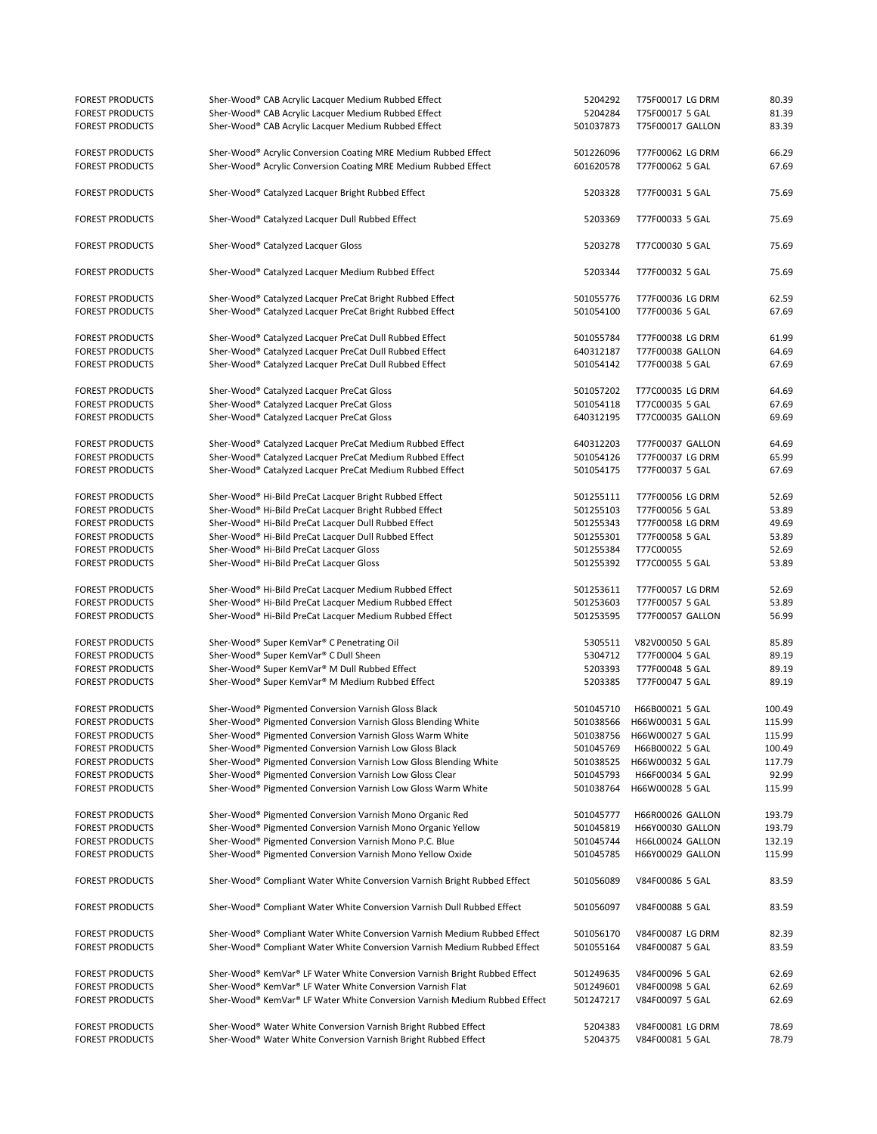| <b>FOREST PRODUCTS</b> | Sher-Wood® CAB Acrylic Lacquer Medium Rubbed Effect                       | 5204292   | T75F00017 LG DRM          | 80.39  |
|------------------------|---------------------------------------------------------------------------|-----------|---------------------------|--------|
| <b>FOREST PRODUCTS</b> | Sher-Wood® CAB Acrylic Lacquer Medium Rubbed Effect                       | 5204284   | T75F00017 5 GAL           | 81.39  |
|                        | Sher-Wood® CAB Acrylic Lacquer Medium Rubbed Effect                       |           |                           | 83.39  |
| <b>FOREST PRODUCTS</b> |                                                                           | 501037873 | T75F00017 GALLON          |        |
|                        |                                                                           |           |                           |        |
| <b>FOREST PRODUCTS</b> | Sher-Wood® Acrylic Conversion Coating MRE Medium Rubbed Effect            | 501226096 | T77F00062 LG DRM          | 66.29  |
| <b>FOREST PRODUCTS</b> | Sher-Wood® Acrylic Conversion Coating MRE Medium Rubbed Effect            | 601620578 | T77F00062 5 GAL           | 67.69  |
|                        |                                                                           |           |                           |        |
| <b>FOREST PRODUCTS</b> | Sher-Wood® Catalyzed Lacquer Bright Rubbed Effect                         | 5203328   | T77F00031 5 GAL           | 75.69  |
| <b>FOREST PRODUCTS</b> | Sher-Wood® Catalyzed Lacquer Dull Rubbed Effect                           | 5203369   | T77F00033 5 GAL           | 75.69  |
| <b>FOREST PRODUCTS</b> | Sher-Wood® Catalyzed Lacquer Gloss                                        | 5203278   | T77C00030 5 GAL           | 75.69  |
| <b>FOREST PRODUCTS</b> | Sher-Wood® Catalyzed Lacquer Medium Rubbed Effect                         | 5203344   | T77F00032 5 GAL           | 75.69  |
|                        |                                                                           |           |                           |        |
| <b>FOREST PRODUCTS</b> | Sher-Wood® Catalyzed Lacquer PreCat Bright Rubbed Effect                  | 501055776 | T77F00036 LG DRM          | 62.59  |
| <b>FOREST PRODUCTS</b> | Sher-Wood® Catalyzed Lacquer PreCat Bright Rubbed Effect                  | 501054100 | T77F00036 5 GAL           | 67.69  |
|                        |                                                                           |           |                           |        |
| <b>FOREST PRODUCTS</b> | Sher-Wood® Catalyzed Lacquer PreCat Dull Rubbed Effect                    | 501055784 | T77F00038 LG DRM          | 61.99  |
| <b>FOREST PRODUCTS</b> | Sher-Wood® Catalyzed Lacquer PreCat Dull Rubbed Effect                    | 640312187 | T77F00038 GALLON          | 64.69  |
| <b>FOREST PRODUCTS</b> | Sher-Wood® Catalyzed Lacquer PreCat Dull Rubbed Effect                    | 501054142 | T77F00038 5 GAL           | 67.69  |
|                        |                                                                           |           |                           |        |
| <b>FOREST PRODUCTS</b> | Sher-Wood® Catalyzed Lacquer PreCat Gloss                                 | 501057202 | T77C00035 LG DRM          | 64.69  |
| <b>FOREST PRODUCTS</b> | Sher-Wood® Catalyzed Lacquer PreCat Gloss                                 | 501054118 | T77C00035 5 GAL           | 67.69  |
| <b>FOREST PRODUCTS</b> | Sher-Wood® Catalyzed Lacquer PreCat Gloss                                 | 640312195 | T77C00035 GALLON          | 69.69  |
| <b>FOREST PRODUCTS</b> | Sher-Wood® Catalyzed Lacquer PreCat Medium Rubbed Effect                  | 640312203 | T77F00037 GALLON          | 64.69  |
|                        |                                                                           |           |                           |        |
| <b>FOREST PRODUCTS</b> | Sher-Wood® Catalyzed Lacquer PreCat Medium Rubbed Effect                  | 501054126 | T77F00037 LG DRM          | 65.99  |
| <b>FOREST PRODUCTS</b> | Sher-Wood® Catalyzed Lacquer PreCat Medium Rubbed Effect                  | 501054175 | T77F00037 5 GAL           | 67.69  |
| <b>FOREST PRODUCTS</b> | Sher-Wood® Hi-Bild PreCat Lacquer Bright Rubbed Effect                    | 501255111 | T77F00056 LG DRM          | 52.69  |
|                        |                                                                           |           |                           |        |
| <b>FOREST PRODUCTS</b> | Sher-Wood® Hi-Bild PreCat Lacquer Bright Rubbed Effect                    | 501255103 | T77F00056 5 GAL           | 53.89  |
| <b>FOREST PRODUCTS</b> | Sher-Wood® Hi-Bild PreCat Lacquer Dull Rubbed Effect                      | 501255343 | T77F00058 LG DRM          | 49.69  |
| <b>FOREST PRODUCTS</b> | Sher-Wood® Hi-Bild PreCat Lacquer Dull Rubbed Effect                      | 501255301 | T77F00058 5 GAL           | 53.89  |
| <b>FOREST PRODUCTS</b> | Sher-Wood® Hi-Bild PreCat Lacquer Gloss                                   | 501255384 | T77C00055                 | 52.69  |
| <b>FOREST PRODUCTS</b> | Sher-Wood® Hi-Bild PreCat Lacquer Gloss                                   | 501255392 | T77C00055 5 GAL           | 53.89  |
|                        |                                                                           |           |                           |        |
| <b>FOREST PRODUCTS</b> | Sher-Wood® Hi-Bild PreCat Lacquer Medium Rubbed Effect                    | 501253611 | T77F00057 LG DRM          | 52.69  |
| <b>FOREST PRODUCTS</b> | Sher-Wood® Hi-Bild PreCat Lacquer Medium Rubbed Effect                    | 501253603 | T77F00057 5 GAL           | 53.89  |
| <b>FOREST PRODUCTS</b> | Sher-Wood® Hi-Bild PreCat Lacquer Medium Rubbed Effect                    | 501253595 | T77F00057 GALLON          | 56.99  |
| <b>FOREST PRODUCTS</b> | Sher-Wood® Super KemVar® C Penetrating Oil                                | 5305511   | V82V00050 5 GAL           | 85.89  |
| <b>FOREST PRODUCTS</b> | Sher-Wood® Super KemVar® C Dull Sheen                                     | 5304712   | T77F00004 5 GAL           | 89.19  |
| <b>FOREST PRODUCTS</b> | Sher-Wood® Super KemVar® M Dull Rubbed Effect                             | 5203393   | T77F00048 5 GAL           | 89.19  |
| <b>FOREST PRODUCTS</b> | Sher-Wood® Super KemVar® M Medium Rubbed Effect                           | 5203385   | T77F00047 5 GAL           | 89.19  |
|                        |                                                                           |           |                           |        |
| <b>FOREST PRODUCTS</b> | Sher-Wood® Pigmented Conversion Varnish Gloss Black                       | 501045710 | H66B00021 5 GAL           | 100.49 |
| <b>FOREST PRODUCTS</b> | Sher-Wood® Pigmented Conversion Varnish Gloss Blending White              | 501038566 | H66W00031 5 GAL           | 115.99 |
| <b>FOREST PRODUCTS</b> | Sher-Wood® Pigmented Conversion Varnish Gloss Warm White                  |           | 501038756 H66W00027 5 GAL | 115.99 |
| <b>FOREST PRODUCTS</b> | Sher-Wood® Pigmented Conversion Varnish Low Gloss Black                   | 501045769 | H66B00022 5 GAL           | 100.49 |
| <b>FOREST PRODUCTS</b> | Sher-Wood® Pigmented Conversion Varnish Low Gloss Blending White          | 501038525 | H66W00032 5 GAL           | 117.79 |
| <b>FOREST PRODUCTS</b> | Sher-Wood® Pigmented Conversion Varnish Low Gloss Clear                   | 501045793 | H66F00034 5 GAL           | 92.99  |
| <b>FOREST PRODUCTS</b> | Sher-Wood® Pigmented Conversion Varnish Low Gloss Warm White              | 501038764 | H66W00028 5 GAL           | 115.99 |
|                        |                                                                           |           |                           |        |
| <b>FOREST PRODUCTS</b> | Sher-Wood® Pigmented Conversion Varnish Mono Organic Red                  | 501045777 | H66R00026 GALLON          | 193.79 |
| <b>FOREST PRODUCTS</b> | Sher-Wood® Pigmented Conversion Varnish Mono Organic Yellow               | 501045819 | H66Y00030 GALLON          | 193.79 |
| <b>FOREST PRODUCTS</b> | Sher-Wood® Pigmented Conversion Varnish Mono P.C. Blue                    | 501045744 | H66L00024 GALLON          | 132.19 |
| <b>FOREST PRODUCTS</b> |                                                                           | 501045785 |                           |        |
|                        | Sher-Wood® Pigmented Conversion Varnish Mono Yellow Oxide                 |           | H66Y00029 GALLON          | 115.99 |
| <b>FOREST PRODUCTS</b> | Sher-Wood® Compliant Water White Conversion Varnish Bright Rubbed Effect  | 501056089 | V84F00086 5 GAL           | 83.59  |
|                        |                                                                           |           |                           |        |
| <b>FOREST PRODUCTS</b> | Sher-Wood® Compliant Water White Conversion Varnish Dull Rubbed Effect    | 501056097 | V84F00088 5 GAL           | 83.59  |
| <b>FOREST PRODUCTS</b> | Sher-Wood® Compliant Water White Conversion Varnish Medium Rubbed Effect  | 501056170 | V84F00087 LG DRM          | 82.39  |
| <b>FOREST PRODUCTS</b> | Sher-Wood® Compliant Water White Conversion Varnish Medium Rubbed Effect  | 501055164 | V84F00087 5 GAL           | 83.59  |
|                        |                                                                           |           |                           |        |
| <b>FOREST PRODUCTS</b> | Sher-Wood® KemVar® LF Water White Conversion Varnish Bright Rubbed Effect | 501249635 | V84F00096 5 GAL           | 62.69  |
| <b>FOREST PRODUCTS</b> | Sher-Wood® KemVar® LF Water White Conversion Varnish Flat                 | 501249601 | V84F00098 5 GAL           | 62.69  |
| <b>FOREST PRODUCTS</b> | Sher-Wood® KemVar® LF Water White Conversion Varnish Medium Rubbed Effect | 501247217 | V84F00097 5 GAL           | 62.69  |
|                        |                                                                           |           |                           |        |
| <b>FOREST PRODUCTS</b> | Sher-Wood® Water White Conversion Varnish Bright Rubbed Effect            | 5204383   | V84F00081 LG DRM          | 78.69  |
| <b>FOREST PRODUCTS</b> | Sher-Wood® Water White Conversion Varnish Bright Rubbed Effect            | 5204375   | V84F00081 5 GAL           | 78.79  |